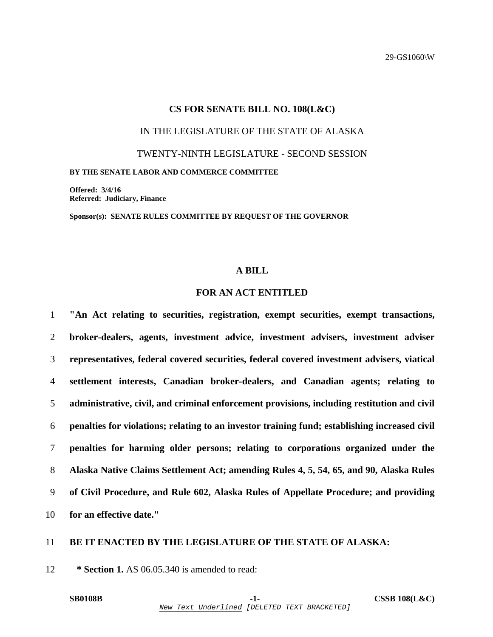#### **CS FOR SENATE BILL NO. 108(L&C)**

## IN THE LEGISLATURE OF THE STATE OF ALASKA

#### TWENTY-NINTH LEGISLATURE - SECOND SESSION

**BY THE SENATE LABOR AND COMMERCE COMMITTEE** 

**Offered: 3/4/16 Referred: Judiciary, Finance** 

**Sponsor(s): SENATE RULES COMMITTEE BY REQUEST OF THE GOVERNOR** 

# **A BILL**

# **FOR AN ACT ENTITLED**

**"An Act relating to securities, registration, exempt securities, exempt transactions, broker-dealers, agents, investment advice, investment advisers, investment adviser representatives, federal covered securities, federal covered investment advisers, viatical settlement interests, Canadian broker-dealers, and Canadian agents; relating to administrative, civil, and criminal enforcement provisions, including restitution and civil penalties for violations; relating to an investor training fund; establishing increased civil penalties for harming older persons; relating to corporations organized under the Alaska Native Claims Settlement Act; amending Rules 4, 5, 54, 65, and 90, Alaska Rules of Civil Procedure, and Rule 602, Alaska Rules of Appellate Procedure; and providing for an effective date."** 

### 11 **BE IT ENACTED BY THE LEGISLATURE OF THE STATE OF ALASKA:**

12 **\* Section 1.** AS 06.05.340 is amended to read: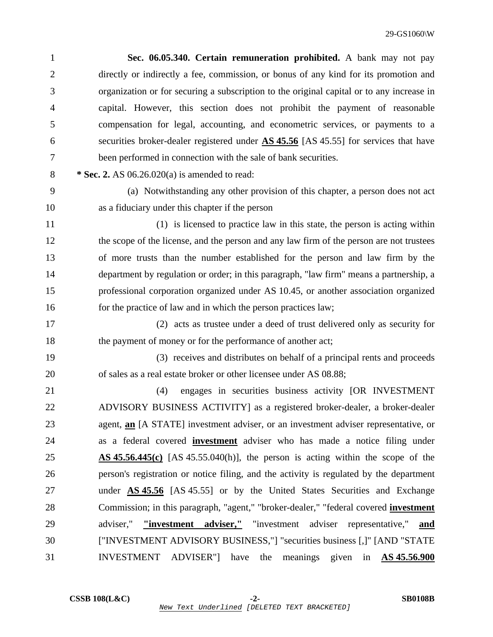1 **Sec. 06.05.340. Certain remuneration prohibited.** A bank may not pay 2 directly or indirectly a fee, commission, or bonus of any kind for its promotion and 3 organization or for securing a subscription to the original capital or to any increase in 4 capital. However, this section does not prohibit the payment of reasonable 5 compensation for legal, accounting, and econometric services, or payments to a 6 securities broker-dealer registered under **AS 45.56** [AS 45.55] for services that have 7 been performed in connection with the sale of bank securities.

8 **\* Sec. 2.** AS 06.26.020(a) is amended to read:

9 (a) Notwithstanding any other provision of this chapter, a person does not act 10 as a fiduciary under this chapter if the person

11 (1) is licensed to practice law in this state, the person is acting within 12 the scope of the license, and the person and any law firm of the person are not trustees 13 of more trusts than the number established for the person and law firm by the 14 department by regulation or order; in this paragraph, "law firm" means a partnership, a 15 professional corporation organized under AS 10.45, or another association organized 16 for the practice of law and in which the person practices law;

17 (2) acts as trustee under a deed of trust delivered only as security for 18 the payment of money or for the performance of another act;

19 (3) receives and distributes on behalf of a principal rents and proceeds 20 of sales as a real estate broker or other licensee under AS 08.88;

21 (4) engages in securities business activity [OR INVESTMENT 22 ADVISORY BUSINESS ACTIVITY] as a registered broker-dealer, a broker-dealer 23 agent, **an** [A STATE] investment adviser, or an investment adviser representative, or 24 as a federal covered **investment** adviser who has made a notice filing under 25 **AS 45.56.445(c)** [AS 45.55.040(h)], the person is acting within the scope of the 26 person's registration or notice filing, and the activity is regulated by the department 27 under **AS 45.56** [AS 45.55] or by the United States Securities and Exchange 28 Commission; in this paragraph, "agent," "broker-dealer," "federal covered **investment** 29 adviser," **"investment adviser,"** "investment adviser representative," **and** 30 ["INVESTMENT ADVISORY BUSINESS,"] "securities business [,]" [AND "STATE 31 INVESTMENT ADVISER"] have the meanings given in **AS 45.56.900**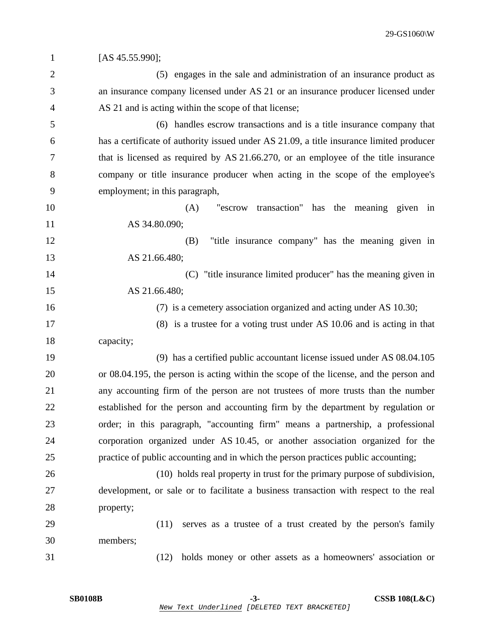| $\mathbf{1}$   | [AS $45.55.990$ ];                                                                       |
|----------------|------------------------------------------------------------------------------------------|
| $\overline{2}$ | engages in the sale and administration of an insurance product as<br>(5)                 |
| 3              | an insurance company licensed under AS 21 or an insurance producer licensed under        |
| 4              | AS 21 and is acting within the scope of that license;                                    |
| 5              | (6) handles escrow transactions and is a title insurance company that                    |
| 6              | has a certificate of authority issued under AS 21.09, a title insurance limited producer |
| 7              | that is licensed as required by AS 21.66.270, or an employee of the title insurance      |
| 8              | company or title insurance producer when acting in the scope of the employee's           |
| 9              | employment; in this paragraph,                                                           |
| 10             | "escrow transaction" has the meaning given in<br>(A)                                     |
| 11             | AS 34.80.090;                                                                            |
| 12             | "title insurance company" has the meaning given in<br>(B)                                |
| 13             | AS 21.66.480;                                                                            |
| 14             | (C) "title insurance limited producer" has the meaning given in                          |
| 15             | AS 21.66.480;                                                                            |
| 16             | (7) is a cemetery association organized and acting under AS 10.30;                       |
| 17             | (8) is a trustee for a voting trust under AS 10.06 and is acting in that                 |
| 18             | capacity;                                                                                |
| 19             | (9) has a certified public accountant license issued under AS 08.04.105                  |
| 20             | or 08.04.195, the person is acting within the scope of the license, and the person and   |
| 21             | any accounting firm of the person are not trustees of more trusts than the number        |
| 22             | established for the person and accounting firm by the department by regulation or        |
| 23             | order; in this paragraph, "accounting firm" means a partnership, a professional          |
| 24             | corporation organized under AS 10.45, or another association organized for the           |
| 25             | practice of public accounting and in which the person practices public accounting;       |
| 26             | (10) holds real property in trust for the primary purpose of subdivision,                |
| 27             | development, or sale or to facilitate a business transaction with respect to the real    |
| 28             | property;                                                                                |
| 29             | serves as a trustee of a trust created by the person's family<br>(11)                    |
| 30             | members;                                                                                 |
| 31             | holds money or other assets as a homeowners' association or<br>(12)                      |

**SB0108B** -3- **CSSB 108(L&C)** New Text Underlined [DELETED TEXT BRACKETED]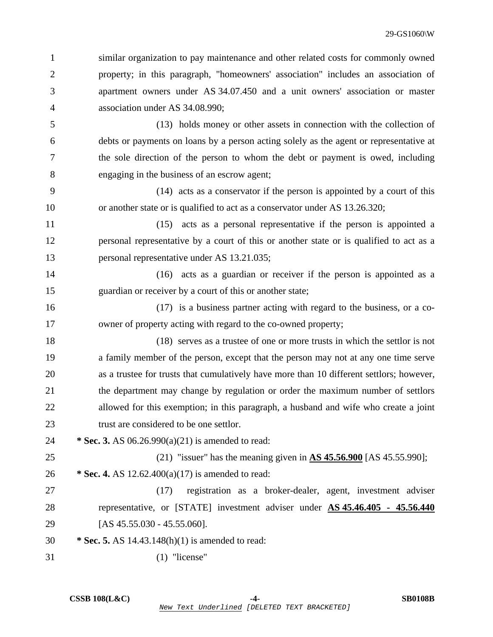1 similar organization to pay maintenance and other related costs for commonly owned 2 property; in this paragraph, "homeowners' association" includes an association of 3 apartment owners under AS 34.07.450 and a unit owners' association or master 4 association under AS 34.08.990;

5 (13) holds money or other assets in connection with the collection of 6 debts or payments on loans by a person acting solely as the agent or representative at 7 the sole direction of the person to whom the debt or payment is owed, including 8 engaging in the business of an escrow agent;

9 (14) acts as a conservator if the person is appointed by a court of this 10 or another state or is qualified to act as a conservator under AS 13.26.320;

11 (15) acts as a personal representative if the person is appointed a 12 personal representative by a court of this or another state or is qualified to act as a 13 personal representative under AS 13.21.035;

14 (16) acts as a guardian or receiver if the person is appointed as a 15 guardian or receiver by a court of this or another state;

16 (17) is a business partner acting with regard to the business, or a co-17 owner of property acting with regard to the co-owned property;

18 (18) serves as a trustee of one or more trusts in which the settlor is not 19 a family member of the person, except that the person may not at any one time serve 20 as a trustee for trusts that cumulatively have more than 10 different settlors; however, 21 the department may change by regulation or order the maximum number of settlors 22 allowed for this exemption; in this paragraph, a husband and wife who create a joint 23 trust are considered to be one settlor.

24 **\* Sec. 3.** AS 06.26.990(a)(21) is amended to read:

25 (21) "issuer" has the meaning given in **AS 45.56.900** [AS 45.55.990]; 26 **\* Sec. 4.** AS 12.62.400(a)(17) is amended to read:

27 (17) registration as a broker-dealer, agent, investment adviser 28 representative, or [STATE] investment adviser under **AS 45.46.405 - 45.56.440** 29 [AS 45.55.030 - 45.55.060].

30 **\* Sec. 5.** AS 14.43.148(h)(1) is amended to read:

31 (1) "license"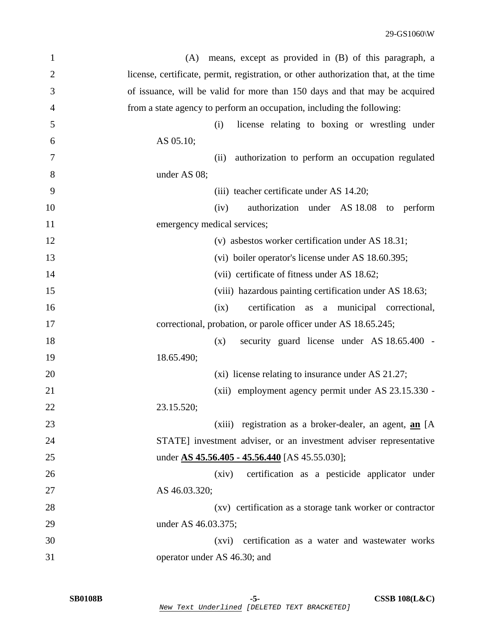| 1              | (A)<br>means, except as provided in (B) of this paragraph, a                         |
|----------------|--------------------------------------------------------------------------------------|
| $\overline{2}$ | license, certificate, permit, registration, or other authorization that, at the time |
| 3              | of issuance, will be valid for more than 150 days and that may be acquired           |
| 4              | from a state agency to perform an occupation, including the following:               |
| 5              | license relating to boxing or wrestling under<br>(i)                                 |
| 6              | AS 05.10;                                                                            |
| 7              | authorization to perform an occupation regulated<br>(ii)                             |
| 8              | under AS 08;                                                                         |
| 9              | (iii) teacher certificate under AS 14.20;                                            |
| 10             | authorization under AS 18.08<br>(iv)<br>perform<br>to                                |
| 11             | emergency medical services;                                                          |
| 12             | (v) asbestos worker certification under AS 18.31;                                    |
| 13             | (vi) boiler operator's license under AS 18.60.395;                                   |
| 14             | (vii) certificate of fitness under AS 18.62;                                         |
| 15             | (viii) hazardous painting certification under AS 18.63;                              |
| 16             | certification<br>(ix)<br>a municipal correctional,<br>as                             |
| 17             | correctional, probation, or parole officer under AS 18.65.245;                       |
| 18             | security guard license under AS 18.65.400 -<br>(x)                                   |
| 19             | 18.65.490;                                                                           |
| 20             | (xi) license relating to insurance under AS 21.27;                                   |
| 21             | (xii) employment agency permit under AS 23.15.330 -                                  |
| 22             | 23.15.520;                                                                           |
| 23             | (xiii) registration as a broker-dealer, an agent, <b>an</b> [A                       |
| 24             | STATE] investment adviser, or an investment adviser representative                   |
| 25             | under <b>AS 45.56.405 - 45.56.440</b> [AS 45.55.030];                                |
| 26             | certification as a pesticide applicator under<br>(xiv)                               |
| 27             | AS 46.03.320;                                                                        |
| 28             | (xv) certification as a storage tank worker or contractor                            |
| 29             | under AS 46.03.375;                                                                  |
| 30             | certification as a water and wastewater works<br>(xvi)                               |
| 31             | operator under AS 46.30; and                                                         |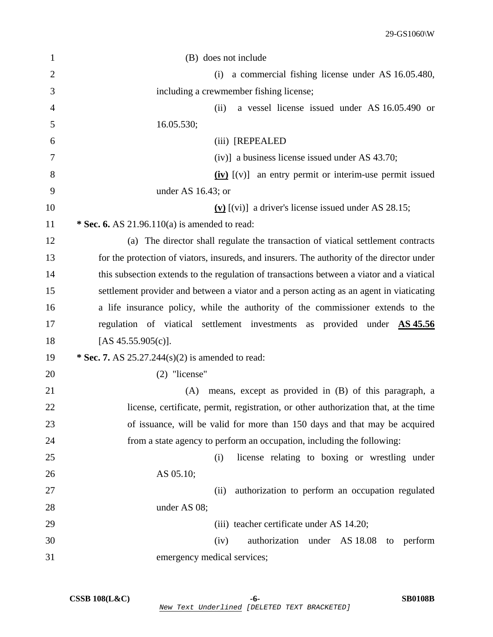| $\mathbf{1}$   | (B) does not include                                                                       |
|----------------|--------------------------------------------------------------------------------------------|
| $\overline{2}$ | a commercial fishing license under AS 16.05.480,<br>(i)                                    |
| 3              | including a crewmember fishing license;                                                    |
| $\overline{4}$ | a vessel license issued under AS 16.05.490 or<br>(ii)                                      |
| 5              | 16.05.530;                                                                                 |
| 6              | (iii) [REPEALED                                                                            |
| 7              | (iv)] a business license issued under AS 43.70;                                            |
| 8              | $(iv)$ [(v)] an entry permit or interim-use permit issued                                  |
| 9              | under AS $16.43$ ; or                                                                      |
| 10             | $(v)$ [(vi)] a driver's license issued under AS 28.15;                                     |
| 11             | * Sec. 6. AS 21.96.110(a) is amended to read:                                              |
| 12             | (a) The director shall regulate the transaction of viatical settlement contracts           |
| 13             | for the protection of viators, insureds, and insurers. The authority of the director under |
| 14             | this subsection extends to the regulation of transactions between a viator and a viatical  |
| 15             | settlement provider and between a viator and a person acting as an agent in viaticating    |
| 16             | a life insurance policy, while the authority of the commissioner extends to the            |
| 17             | regulation of viatical settlement investments<br>as provided under $\overline{AS 45.56}$   |
| 18             | [AS $45.55.905(c)$ ].                                                                      |
|                | * Sec. 7. AS $25.27.244(s)(2)$ is amended to read:                                         |
| 19             |                                                                                            |
| 20             | $(2)$ "license"                                                                            |
| 21             | means, except as provided in (B) of this paragraph, a<br>(A)                               |
| 22             | license, certificate, permit, registration, or other authorization that, at the time       |
| 23             | of issuance, will be valid for more than 150 days and that may be acquired                 |
| 24             | from a state agency to perform an occupation, including the following:                     |
| 25             | license relating to boxing or wrestling under<br>(i)                                       |
| 26             | AS 05.10;                                                                                  |
| 27             | authorization to perform an occupation regulated<br>(ii)                                   |
| 28             | under AS 08;                                                                               |
| 29             | (iii) teacher certificate under AS 14.20;                                                  |
| 30             | authorization under AS 18.08 to perform<br>(iv)                                            |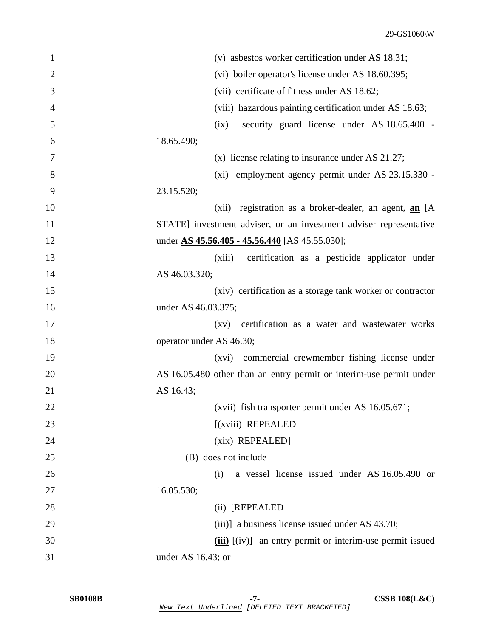| $\mathbf{1}$   | (v) asbestos worker certification under AS 18.31;                   |
|----------------|---------------------------------------------------------------------|
| $\overline{2}$ | (vi) boiler operator's license under AS 18.60.395;                  |
| 3              | (vii) certificate of fitness under AS 18.62;                        |
| $\overline{4}$ | (viii) hazardous painting certification under AS 18.63;             |
| 5              | security guard license under AS 18.65.400 -<br>(ix)                 |
| 6              | 18.65.490;                                                          |
| 7              | $(x)$ license relating to insurance under AS 21.27;                 |
| 8              | (xi) employment agency permit under AS 23.15.330 -                  |
| 9              | 23.15.520;                                                          |
| 10             | registration as a broker-dealer, an agent, an [A]<br>(xii)          |
| 11             | STATE] investment adviser, or an investment adviser representative  |
| 12             | under <b>AS 45.56.405 - 45.56.440</b> [AS 45.55.030];               |
| 13             | certification as a pesticide applicator under<br>(xiii)             |
| 14             | AS 46.03.320;                                                       |
| 15             | (xiv) certification as a storage tank worker or contractor          |
| 16             | under AS 46.03.375;                                                 |
| 17             | (xv) certification as a water and wastewater works                  |
| 18             | operator under AS 46.30;                                            |
| 19             | (xvi) commercial crewmember fishing license under                   |
| 20             | AS 16.05.480 other than an entry permit or interim-use permit under |
| 21             | AS 16.43;                                                           |
| 22             | (xvii) fish transporter permit under AS 16.05.671;                  |
| 23             | [(xviii) REPEALED                                                   |
| 24             | (xix) REPEALED]                                                     |
| 25             | (B) does not include                                                |
| 26             | a vessel license issued under AS 16.05.490 or<br>(i)                |
| 27             | 16.05.530;                                                          |
| 28             | (ii) [REPEALED                                                      |
| 29             | (iii)] a business license issued under AS 43.70;                    |
| 30             | (iii) [(iv)] an entry permit or interim-use permit issued           |
| 31             | under AS $16.43$ ; or                                               |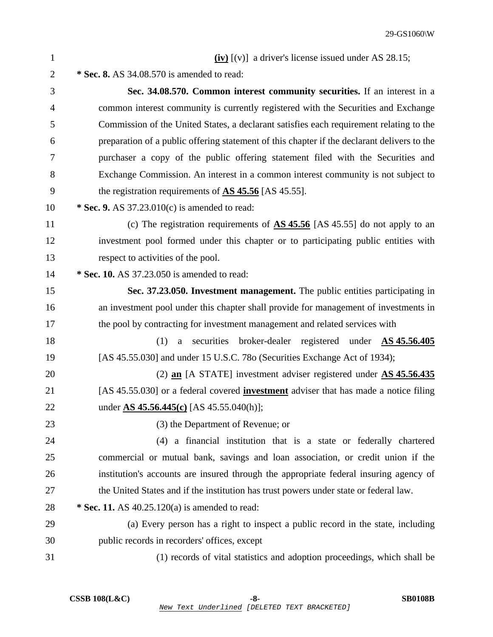| $\mathbf{1}$   | $(iv)$ [(v)] a driver's license issued under AS 28.15;                                      |
|----------------|---------------------------------------------------------------------------------------------|
| $\overline{2}$ | * Sec. 8. AS 34.08.570 is amended to read:                                                  |
| 3              | Sec. 34.08.570. Common interest community securities. If an interest in a                   |
| $\overline{4}$ | common interest community is currently registered with the Securities and Exchange          |
| 5              | Commission of the United States, a declarant satisfies each requirement relating to the     |
| 6              | preparation of a public offering statement of this chapter if the declarant delivers to the |
| 7              | purchaser a copy of the public offering statement filed with the Securities and             |
| 8              | Exchange Commission. An interest in a common interest community is not subject to           |
| 9              | the registration requirements of $\overline{AS}$ 45.56 [AS 45.55].                          |
| 10             | * Sec. 9. AS 37.23.010(c) is amended to read:                                               |
| 11             | (c) The registration requirements of $\overline{AS 45.56}$ [AS 45.55] do not apply to an    |
| 12             | investment pool formed under this chapter or to participating public entities with          |
| 13             | respect to activities of the pool.                                                          |
| 14             | * Sec. 10. AS 37.23.050 is amended to read:                                                 |
| 15             | Sec. 37.23.050. Investment management. The public entities participating in                 |
| 16             | an investment pool under this chapter shall provide for management of investments in        |
| 17             | the pool by contracting for investment management and related services with                 |
| 18             | a securities broker-dealer registered under <b>AS 45.56.405</b><br>(1)                      |
| 19             | [AS 45.55.030] and under 15 U.S.C. 780 (Securities Exchange Act of 1934);                   |
| 20             | (2) $\alpha$ [A STATE] investment adviser registered under $\Delta S$ 45.56.435             |
| 21             | [AS 45.55.030] or a federal covered <b>investment</b> adviser that has made a notice filing |
| 22             | under $\overline{AS}$ 45.56.445(c) [AS 45.55.040(h)];                                       |
| 23             | (3) the Department of Revenue; or                                                           |
| 24             | (4) a financial institution that is a state or federally chartered                          |
| 25             | commercial or mutual bank, savings and loan association, or credit union if the             |
| 26             | institution's accounts are insured through the appropriate federal insuring agency of       |
| 27             | the United States and if the institution has trust powers under state or federal law.       |
| 28             | * Sec. 11. AS $40.25.120(a)$ is amended to read:                                            |
| 29             | (a) Every person has a right to inspect a public record in the state, including             |
| 30             | public records in recorders' offices, except                                                |
| 31             | (1) records of vital statistics and adoption proceedings, which shall be                    |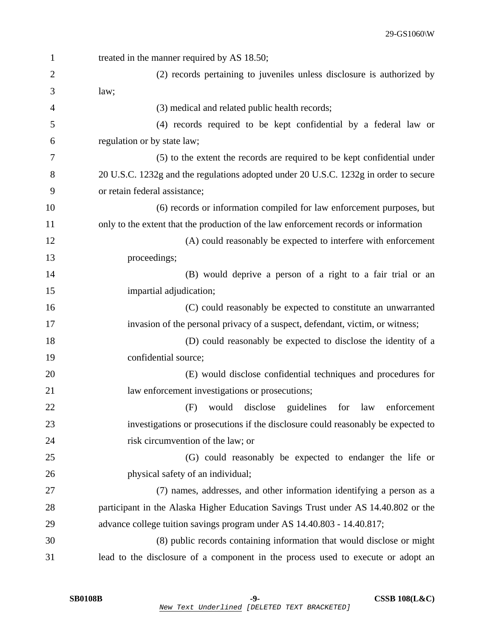| $\mathbf{1}$   | treated in the manner required by AS 18.50;                                          |
|----------------|--------------------------------------------------------------------------------------|
| $\overline{2}$ | (2) records pertaining to juveniles unless disclosure is authorized by               |
| 3              | law;                                                                                 |
| 4              | (3) medical and related public health records;                                       |
| 5              | (4) records required to be kept confidential by a federal law or                     |
| 6              | regulation or by state law;                                                          |
| 7              | (5) to the extent the records are required to be kept confidential under             |
| 8              | 20 U.S.C. 1232g and the regulations adopted under 20 U.S.C. 1232g in order to secure |
| 9              | or retain federal assistance;                                                        |
| 10             | (6) records or information compiled for law enforcement purposes, but                |
| 11             | only to the extent that the production of the law enforcement records or information |
| 12             | (A) could reasonably be expected to interfere with enforcement                       |
| 13             | proceedings;                                                                         |
| 14             | (B) would deprive a person of a right to a fair trial or an                          |
| 15             | impartial adjudication;                                                              |
| 16             | (C) could reasonably be expected to constitute an unwarranted                        |
| 17             | invasion of the personal privacy of a suspect, defendant, victim, or witness;        |
| 18             | (D) could reasonably be expected to disclose the identity of a                       |
| 19             | confidential source;                                                                 |
| 20             | (E) would disclose confidential techniques and procedures for                        |
| 21             | law enforcement investigations or prosecutions;                                      |
| 22             | (F) would disclose guidelines for law enforcement                                    |
| 23             | investigations or prosecutions if the disclosure could reasonably be expected to     |
| 24             | risk circumvention of the law; or                                                    |
| 25             | (G) could reasonably be expected to endanger the life or                             |
| 26             | physical safety of an individual;                                                    |
| 27             | (7) names, addresses, and other information identifying a person as a                |
| 28             | participant in the Alaska Higher Education Savings Trust under AS 14.40.802 or the   |
| 29             | advance college tuition savings program under AS 14.40.803 - 14.40.817;              |
| 30             | (8) public records containing information that would disclose or might               |
| 31             | lead to the disclosure of a component in the process used to execute or adopt an     |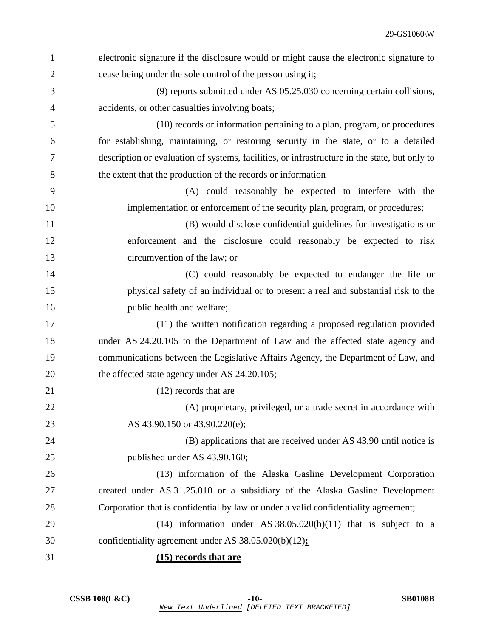| $\mathbf{1}$   | electronic signature if the disclosure would or might cause the electronic signature to       |
|----------------|-----------------------------------------------------------------------------------------------|
| $\overline{2}$ | cease being under the sole control of the person using it;                                    |
| 3              | (9) reports submitted under AS 05.25.030 concerning certain collisions,                       |
| 4              | accidents, or other casualties involving boats;                                               |
| 5              | (10) records or information pertaining to a plan, program, or procedures                      |
| 6              | for establishing, maintaining, or restoring security in the state, or to a detailed           |
| 7              | description or evaluation of systems, facilities, or infrastructure in the state, but only to |
| 8              | the extent that the production of the records or information                                  |
| 9              | (A) could reasonably be expected to interfere with the                                        |
| 10             | implementation or enforcement of the security plan, program, or procedures;                   |
| 11             | (B) would disclose confidential guidelines for investigations or                              |
| 12             | enforcement and the disclosure could reasonably be expected to risk                           |
| 13             | circumvention of the law; or                                                                  |
| 14             | (C) could reasonably be expected to endanger the life or                                      |
| 15             | physical safety of an individual or to present a real and substantial risk to the             |
| 16             | public health and welfare;                                                                    |
| 17             | (11) the written notification regarding a proposed regulation provided                        |
| 18             | under AS 24.20.105 to the Department of Law and the affected state agency and                 |
| 19             | communications between the Legislative Affairs Agency, the Department of Law, and             |
| 20             | the affected state agency under AS 24.20.105;                                                 |
| 21             | (12) records that are                                                                         |
| 22             | (A) proprietary, privileged, or a trade secret in accordance with                             |
| 23             | AS 43.90.150 or 43.90.220(e);                                                                 |
| 24             | (B) applications that are received under AS 43.90 until notice is                             |
| 25             | published under AS 43.90.160;                                                                 |
| 26             | (13) information of the Alaska Gasline Development Corporation                                |
| 27             | created under AS 31.25.010 or a subsidiary of the Alaska Gasline Development                  |
| 28             | Corporation that is confidential by law or under a valid confidentiality agreement;           |
| 29             | $(14)$ information under AS 38.05.020(b)(11) that is subject to a                             |
| 30             | confidentiality agreement under AS $38.05.020(b)(12)$ ;                                       |
| 31             | (15) records that are                                                                         |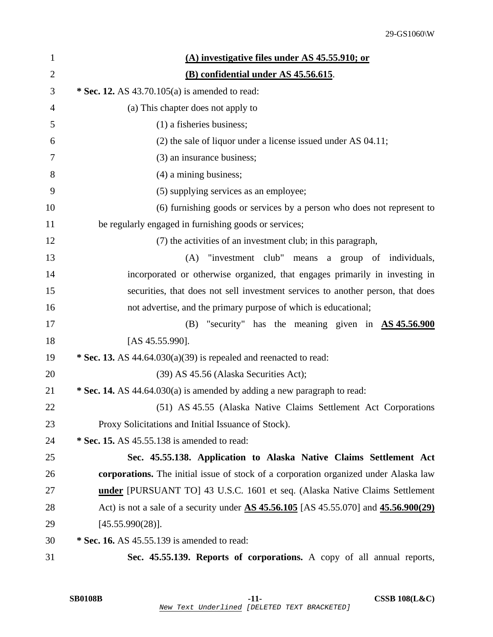| $\mathbf{1}$   | (A) investigative files under AS 45.55.910; or                                                     |
|----------------|----------------------------------------------------------------------------------------------------|
| $\overline{2}$ | (B) confidential under AS 45.56.615.                                                               |
| 3              | * Sec. 12. AS $43.70.105(a)$ is amended to read:                                                   |
| 4              | (a) This chapter does not apply to                                                                 |
| 5              | $(1)$ a fisheries business;                                                                        |
| 6              | $(2)$ the sale of liquor under a license issued under AS 04.11;                                    |
| 7              | (3) an insurance business;                                                                         |
| 8              | $(4)$ a mining business;                                                                           |
| 9              | (5) supplying services as an employee;                                                             |
| 10             | (6) furnishing goods or services by a person who does not represent to                             |
| 11             | be regularly engaged in furnishing goods or services;                                              |
| 12             | (7) the activities of an investment club; in this paragraph,                                       |
| 13             | "investment club" means a group of individuals,<br>(A)                                             |
| 14             | incorporated or otherwise organized, that engages primarily in investing in                        |
| 15             | securities, that does not sell investment services to another person, that does                    |
| 16             | not advertise, and the primary purpose of which is educational;                                    |
| 17             | "security" has the meaning given in $\overline{AS}\,45.56.900$<br>(B)                              |
| 18             | [AS $45.55.990$ ].                                                                                 |
| 19             | * Sec. 13. AS 44.64.030(a)(39) is repealed and reenacted to read:                                  |
| 20             | (39) AS 45.56 (Alaska Securities Act);                                                             |
| 21             | * Sec. 14. AS 44.64.030(a) is amended by adding a new paragraph to read:                           |
| 22             | (51) AS 45.55 (Alaska Native Claims Settlement Act Corporations                                    |
| 23             | Proxy Solicitations and Initial Issuance of Stock).                                                |
| 24             | * Sec. 15. AS 45.55.138 is amended to read:                                                        |
| 25             | Sec. 45.55.138. Application to Alaska Native Claims Settlement Act                                 |
| 26             | corporations. The initial issue of stock of a corporation organized under Alaska law               |
| 27             | under [PURSUANT TO] 43 U.S.C. 1601 et seq. (Alaska Native Claims Settlement                        |
| 28             | Act) is not a sale of a security under <b>AS 45.56.105</b> [AS 45.55.070] and <b>45.56.900(29)</b> |
| 29             | [45.55.990(28)].                                                                                   |
| 30             | * Sec. 16. AS 45.55.139 is amended to read:                                                        |
| 31             | Sec. 45.55.139. Reports of corporations. A copy of all annual reports,                             |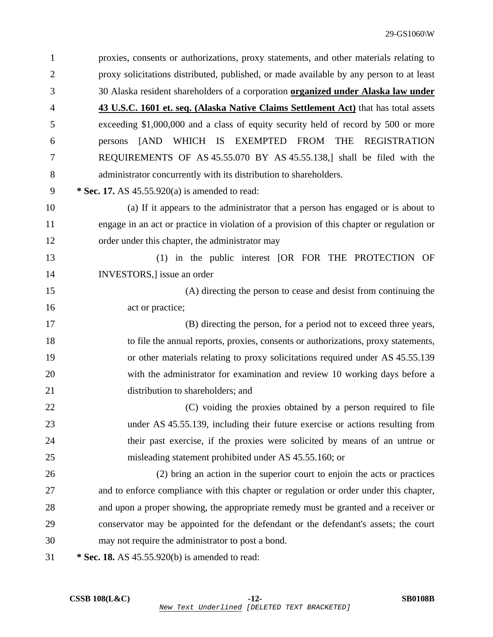1 proxies, consents or authorizations, proxy statements, and other materials relating to 2 proxy solicitations distributed, published, or made available by any person to at least 3 30 Alaska resident shareholders of a corporation **organized under Alaska law under** 4 **43 U.S.C. 1601 et. seq. (Alaska Native Claims Settlement Act)** that has total assets 5 exceeding \$1,000,000 and a class of equity security held of record by 500 or more 6 persons [AND WHICH IS EXEMPTED FROM THE REGISTRATION 7 REQUIREMENTS OF AS 45.55.070 BY AS 45.55.138,] shall be filed with the 8 administrator concurrently with its distribution to shareholders. 9 **\* Sec. 17.** AS 45.55.920(a) is amended to read: 10 (a) If it appears to the administrator that a person has engaged or is about to 11 engage in an act or practice in violation of a provision of this chapter or regulation or 12 order under this chapter, the administrator may 13 (1) in the public interest [OR FOR THE PROTECTION OF 14 INVESTORS,] issue an order 15 (A) directing the person to cease and desist from continuing the 16 act or practice; 17 (B) directing the person, for a period not to exceed three years, 18 to file the annual reports, proxies, consents or authorizations, proxy statements, 19 or other materials relating to proxy solicitations required under AS 45.55.139 20 with the administrator for examination and review 10 working days before a 21 distribution to shareholders; and 22 (C) voiding the proxies obtained by a person required to file 23 under AS 45.55.139, including their future exercise or actions resulting from 24 their past exercise, if the proxies were solicited by means of an untrue or 25 misleading statement prohibited under AS 45.55.160; or 26 (2) bring an action in the superior court to enjoin the acts or practices 27 and to enforce compliance with this chapter or regulation or order under this chapter, 28 and upon a proper showing, the appropriate remedy must be granted and a receiver or 29 conservator may be appointed for the defendant or the defendant's assets; the court 30 may not require the administrator to post a bond. 31 **\* Sec. 18.** AS 45.55.920(b) is amended to read: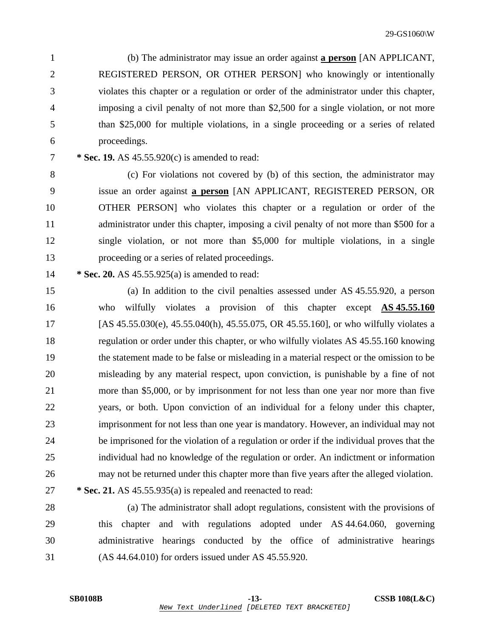1 (b) The administrator may issue an order against **a person** [AN APPLICANT, 2 REGISTERED PERSON, OR OTHER PERSON] who knowingly or intentionally 3 violates this chapter or a regulation or order of the administrator under this chapter, 4 imposing a civil penalty of not more than \$2,500 for a single violation, or not more 5 than \$25,000 for multiple violations, in a single proceeding or a series of related 6 proceedings.

7 **\* Sec. 19.** AS 45.55.920(c) is amended to read:

8 (c) For violations not covered by (b) of this section, the administrator may 9 issue an order against **a person** [AN APPLICANT, REGISTERED PERSON, OR 10 OTHER PERSON] who violates this chapter or a regulation or order of the 11 administrator under this chapter, imposing a civil penalty of not more than \$500 for a 12 single violation, or not more than \$5,000 for multiple violations, in a single 13 proceeding or a series of related proceedings.

14 **\* Sec. 20.** AS 45.55.925(a) is amended to read:

15 (a) In addition to the civil penalties assessed under AS 45.55.920, a person 16 who wilfully violates a provision of this chapter except **AS 45.55.160** 17 [AS 45.55.030(e), 45.55.040(h), 45.55.075, OR 45.55.160], or who wilfully violates a 18 regulation or order under this chapter, or who wilfully violates AS 45.55.160 knowing 19 the statement made to be false or misleading in a material respect or the omission to be 20 misleading by any material respect, upon conviction, is punishable by a fine of not 21 more than \$5,000, or by imprisonment for not less than one year nor more than five 22 years, or both. Upon conviction of an individual for a felony under this chapter, 23 imprisonment for not less than one year is mandatory. However, an individual may not 24 be imprisoned for the violation of a regulation or order if the individual proves that the 25 individual had no knowledge of the regulation or order. An indictment or information 26 may not be returned under this chapter more than five years after the alleged violation. 27 **\* Sec. 21.** AS 45.55.935(a) is repealed and reenacted to read:

28 (a) The administrator shall adopt regulations, consistent with the provisions of 29 this chapter and with regulations adopted under AS 44.64.060, governing 30 administrative hearings conducted by the office of administrative hearings 31 (AS 44.64.010) for orders issued under AS 45.55.920.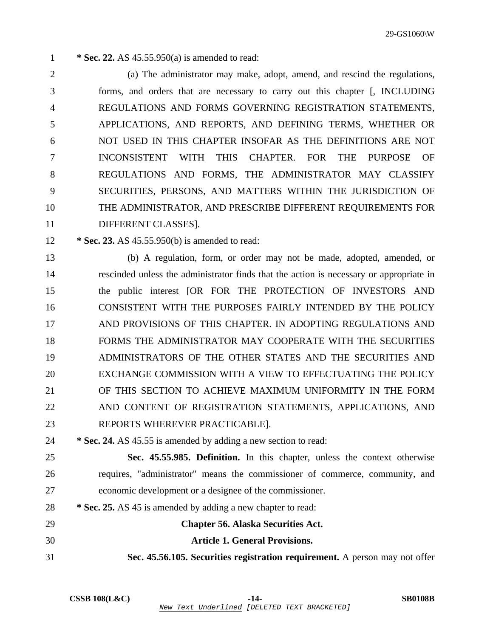1 **\* Sec. 22.** AS 45.55.950(a) is amended to read:

2 (a) The administrator may make, adopt, amend, and rescind the regulations, 3 forms, and orders that are necessary to carry out this chapter [, INCLUDING 4 REGULATIONS AND FORMS GOVERNING REGISTRATION STATEMENTS, 5 APPLICATIONS, AND REPORTS, AND DEFINING TERMS, WHETHER OR 6 NOT USED IN THIS CHAPTER INSOFAR AS THE DEFINITIONS ARE NOT 7 INCONSISTENT WITH THIS CHAPTER. FOR THE PURPOSE OF 8 REGULATIONS AND FORMS, THE ADMINISTRATOR MAY CLASSIFY 9 SECURITIES, PERSONS, AND MATTERS WITHIN THE JURISDICTION OF 10 THE ADMINISTRATOR, AND PRESCRIBE DIFFERENT REQUIREMENTS FOR 11 DIFFERENT CLASSES].

12 **\* Sec. 23.** AS 45.55.950(b) is amended to read:

13 (b) A regulation, form, or order may not be made, adopted, amended, or 14 rescinded unless the administrator finds that the action is necessary or appropriate in 15 the public interest [OR FOR THE PROTECTION OF INVESTORS AND 16 CONSISTENT WITH THE PURPOSES FAIRLY INTENDED BY THE POLICY 17 AND PROVISIONS OF THIS CHAPTER. IN ADOPTING REGULATIONS AND 18 FORMS THE ADMINISTRATOR MAY COOPERATE WITH THE SECURITIES 19 ADMINISTRATORS OF THE OTHER STATES AND THE SECURITIES AND 20 EXCHANGE COMMISSION WITH A VIEW TO EFFECTUATING THE POLICY 21 OF THIS SECTION TO ACHIEVE MAXIMUM UNIFORMITY IN THE FORM 22 AND CONTENT OF REGISTRATION STATEMENTS, APPLICATIONS, AND 23 REPORTS WHEREVER PRACTICABLE].

- 24 **\* Sec. 24.** AS 45.55 is amended by adding a new section to read:
- 25 **Sec. 45.55.985. Definition.** In this chapter, unless the context otherwise 26 requires, "administrator" means the commissioner of commerce, community, and 27 economic development or a designee of the commissioner.
- 28 **\* Sec. 25.** AS 45 is amended by adding a new chapter to read:
- 29 **Chapter 56. Alaska Securities Act.**  30 **Article 1. General Provisions.** 31 **Sec. 45.56.105. Securities registration requirement.** A person may not offer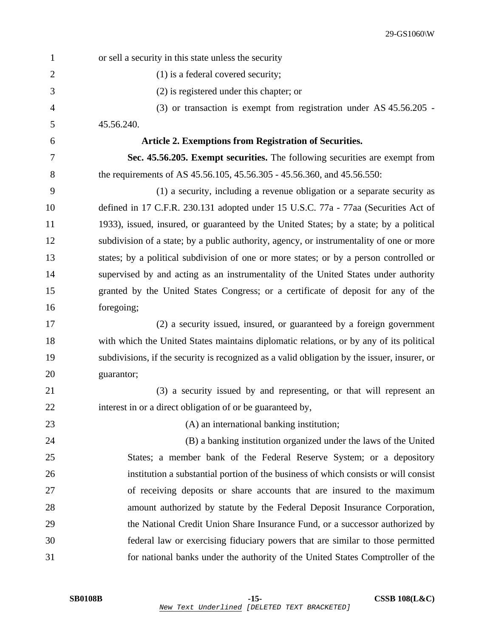| 1              | or sell a security in this state unless the security                                         |
|----------------|----------------------------------------------------------------------------------------------|
| $\overline{2}$ | $(1)$ is a federal covered security;                                                         |
| 3              | (2) is registered under this chapter; or                                                     |
| 4              | (3) or transaction is exempt from registration under AS 45.56.205 -                          |
| 5              | 45.56.240.                                                                                   |
| 6              | Article 2. Exemptions from Registration of Securities.                                       |
| 7              | Sec. 45.56.205. Exempt securities. The following securities are exempt from                  |
| 8              | the requirements of AS 45.56.105, 45.56.305 - 45.56.360, and 45.56.550:                      |
| 9              | (1) a security, including a revenue obligation or a separate security as                     |
| 10             | defined in 17 C.F.R. 230.131 adopted under 15 U.S.C. 77a - 77aa (Securities Act of           |
| 11             | 1933), issued, insured, or guaranteed by the United States; by a state; by a political       |
| 12             | subdivision of a state; by a public authority, agency, or instrumentality of one or more     |
| 13             | states; by a political subdivision of one or more states; or by a person controlled or       |
| 14             | supervised by and acting as an instrumentality of the United States under authority          |
| 15             | granted by the United States Congress; or a certificate of deposit for any of the            |
| 16             | foregoing;                                                                                   |
| 17             | (2) a security issued, insured, or guaranteed by a foreign government                        |
| 18             | with which the United States maintains diplomatic relations, or by any of its political      |
| 19             | subdivisions, if the security is recognized as a valid obligation by the issuer, insurer, or |
| 20             | guarantor;                                                                                   |
| 21             | (3) a security issued by and representing, or that will represent an                         |
| 22             | interest in or a direct obligation of or be guaranteed by,                                   |
| 23             | (A) an international banking institution;                                                    |
| 24             | (B) a banking institution organized under the laws of the United                             |
| 25             | States; a member bank of the Federal Reserve System; or a depository                         |
| 26             | institution a substantial portion of the business of which consists or will consist          |
| 27             | of receiving deposits or share accounts that are insured to the maximum                      |
| 28             | amount authorized by statute by the Federal Deposit Insurance Corporation,                   |
| 29             | the National Credit Union Share Insurance Fund, or a successor authorized by                 |
| 30             | federal law or exercising fiduciary powers that are similar to those permitted               |
| 31             | for national banks under the authority of the United States Comptroller of the               |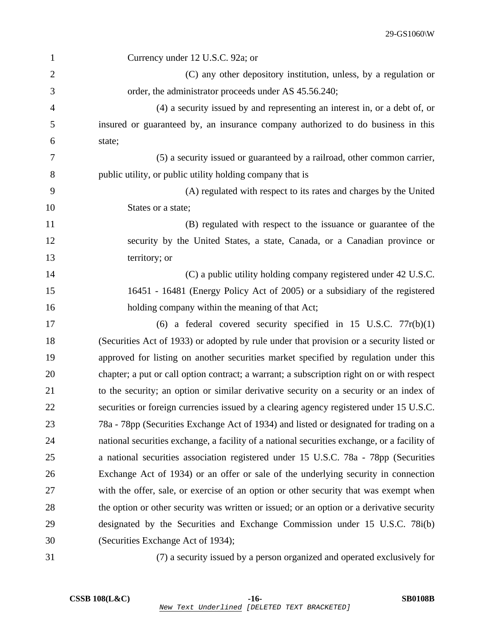| $\mathbf{1}$   | Currency under 12 U.S.C. 92a; or                                                             |
|----------------|----------------------------------------------------------------------------------------------|
| $\overline{2}$ | (C) any other depository institution, unless, by a regulation or                             |
| 3              | order, the administrator proceeds under AS 45.56.240;                                        |
| $\overline{4}$ | (4) a security issued by and representing an interest in, or a debt of, or                   |
| 5              | insured or guaranteed by, an insurance company authorized to do business in this             |
| 6              | state;                                                                                       |
| 7              | (5) a security issued or guaranteed by a railroad, other common carrier,                     |
| 8              | public utility, or public utility holding company that is                                    |
| 9              | (A) regulated with respect to its rates and charges by the United                            |
| 10             | States or a state;                                                                           |
| 11             | (B) regulated with respect to the issuance or guarantee of the                               |
| 12             | security by the United States, a state, Canada, or a Canadian province or                    |
| 13             | territory; or                                                                                |
| 14             | (C) a public utility holding company registered under 42 U.S.C.                              |
| 15             | 16451 - 16481 (Energy Policy Act of 2005) or a subsidiary of the registered                  |
| 16             | holding company within the meaning of that Act;                                              |
| 17             | (6) a federal covered security specified in 15 U.S.C. $77r(b)(1)$                            |
| 18             | (Securities Act of 1933) or adopted by rule under that provision or a security listed or     |
| 19             | approved for listing on another securities market specified by regulation under this         |
| 20             | chapter; a put or call option contract; a warrant; a subscription right on or with respect   |
| 21             | to the security; an option or similar derivative security on a security or an index of       |
| 22             | securities or foreign currencies issued by a clearing agency registered under 15 U.S.C.      |
| 23             | 78a - 78pp (Securities Exchange Act of 1934) and listed or designated for trading on a       |
| 24             | national securities exchange, a facility of a national securities exchange, or a facility of |
| 25             | a national securities association registered under 15 U.S.C. 78a - 78pp (Securities          |
| 26             | Exchange Act of 1934) or an offer or sale of the underlying security in connection           |
| 27             | with the offer, sale, or exercise of an option or other security that was exempt when        |
| 28             | the option or other security was written or issued; or an option or a derivative security    |
| 29             | designated by the Securities and Exchange Commission under 15 U.S.C. 78i(b)                  |
| 30             | (Securities Exchange Act of 1934);                                                           |
| 31             | (7) a security issued by a person organized and operated exclusively for                     |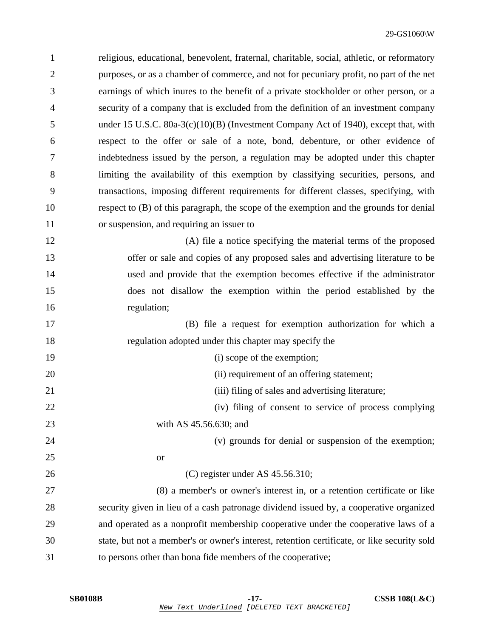| $\mathbf{1}$   | religious, educational, benevolent, fraternal, charitable, social, athletic, or reformatory |
|----------------|---------------------------------------------------------------------------------------------|
| $\overline{2}$ | purposes, or as a chamber of commerce, and not for pecuniary profit, no part of the net     |
| 3              | earnings of which inures to the benefit of a private stockholder or other person, or a      |
| $\overline{4}$ | security of a company that is excluded from the definition of an investment company         |
| 5              | under 15 U.S.C. 80a-3(c)(10)(B) (Investment Company Act of 1940), except that, with         |
| 6              | respect to the offer or sale of a note, bond, debenture, or other evidence of               |
| 7              | indebtedness issued by the person, a regulation may be adopted under this chapter           |
| 8              | limiting the availability of this exemption by classifying securities, persons, and         |
| 9              | transactions, imposing different requirements for different classes, specifying, with       |
| 10             | respect to (B) of this paragraph, the scope of the exemption and the grounds for denial     |
| 11             | or suspension, and requiring an issuer to                                                   |
| 12             | (A) file a notice specifying the material terms of the proposed                             |
| 13             | offer or sale and copies of any proposed sales and advertising literature to be             |
| 14             | used and provide that the exemption becomes effective if the administrator                  |
| 15             | does not disallow the exemption within the period established by the                        |
| 16             | regulation;                                                                                 |
| 17             | (B) file a request for exemption authorization for which a                                  |
| 18             | regulation adopted under this chapter may specify the                                       |
| 19             | (i) scope of the exemption;                                                                 |
| 20             | (ii) requirement of an offering statement;                                                  |
| 21             | (iii) filing of sales and advertising literature;                                           |
| 22             | (iv) filing of consent to service of process complying                                      |
| 23             | with AS 45.56.630; and                                                                      |
| 24             | (v) grounds for denial or suspension of the exemption;                                      |
| 25             | <b>or</b>                                                                                   |
| 26             | $(C)$ register under AS 45.56.310;                                                          |
| 27             | (8) a member's or owner's interest in, or a retention certificate or like                   |
| 28             | security given in lieu of a cash patronage dividend issued by, a cooperative organized      |
| 29             | and operated as a nonprofit membership cooperative under the cooperative laws of a          |
| 30             | state, but not a member's or owner's interest, retention certificate, or like security sold |
| 31             | to persons other than bona fide members of the cooperative;                                 |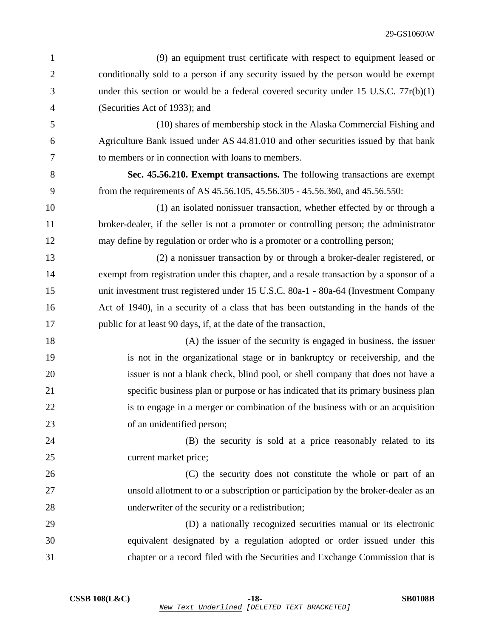| 1              | (9) an equipment trust certificate with respect to equipment leased or                  |
|----------------|-----------------------------------------------------------------------------------------|
| $\overline{2}$ | conditionally sold to a person if any security issued by the person would be exempt     |
| 3              | under this section or would be a federal covered security under 15 U.S.C. $77r(b)(1)$   |
| 4              | (Securities Act of 1933); and                                                           |
| 5              | (10) shares of membership stock in the Alaska Commercial Fishing and                    |
| 6              | Agriculture Bank issued under AS 44.81.010 and other securities issued by that bank     |
| 7              | to members or in connection with loans to members.                                      |
| 8              | Sec. 45.56.210. Exempt transactions. The following transactions are exempt              |
| 9              | from the requirements of AS 45.56.105, 45.56.305 - 45.56.360, and 45.56.550:            |
| 10             | (1) an isolated nonissuer transaction, whether effected by or through a                 |
| 11             | broker-dealer, if the seller is not a promoter or controlling person; the administrator |
| 12             | may define by regulation or order who is a promoter or a controlling person;            |
| 13             | (2) a nonissuer transaction by or through a broker-dealer registered, or                |
| 14             | exempt from registration under this chapter, and a resale transaction by a sponsor of a |
| 15             | unit investment trust registered under 15 U.S.C. 80a-1 - 80a-64 (Investment Company     |
| 16             | Act of 1940), in a security of a class that has been outstanding in the hands of the    |
| 17             | public for at least 90 days, if, at the date of the transaction,                        |
| 18             | (A) the issuer of the security is engaged in business, the issuer                       |
| 19             | is not in the organizational stage or in bankruptcy or receivership, and the            |
| 20             | issuer is not a blank check, blind pool, or shell company that does not have a          |
| 21             | specific business plan or purpose or has indicated that its primary business plan       |
| 22             | is to engage in a merger or combination of the business with or an acquisition          |
| 23             | of an unidentified person;                                                              |
| 24             | (B) the security is sold at a price reasonably related to its                           |
| 25             | current market price;                                                                   |
| 26             | (C) the security does not constitute the whole or part of an                            |
| 27             | unsold allotment to or a subscription or participation by the broker-dealer as an       |
| 28             | underwriter of the security or a redistribution;                                        |
| 29             | (D) a nationally recognized securities manual or its electronic                         |
| 30             | equivalent designated by a regulation adopted or order issued under this                |
| 31             | chapter or a record filed with the Securities and Exchange Commission that is           |
|                |                                                                                         |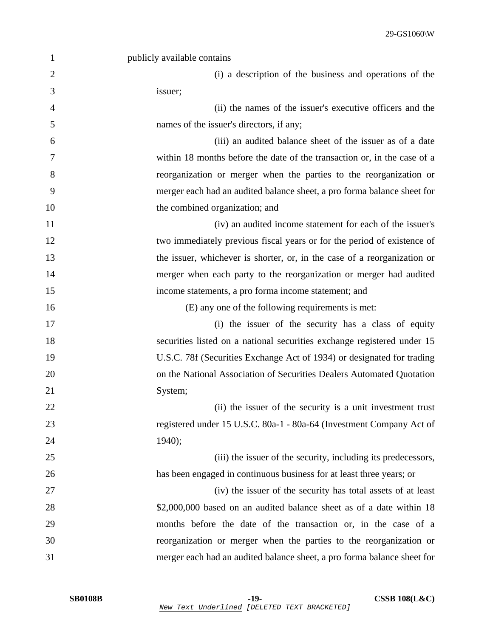| 1              | publicly available contains                                              |
|----------------|--------------------------------------------------------------------------|
| $\overline{2}$ | (i) a description of the business and operations of the                  |
| 3              | issuer;                                                                  |
| 4              | (ii) the names of the issuer's executive officers and the                |
| 5              | names of the issuer's directors, if any;                                 |
| 6              | (iii) an audited balance sheet of the issuer as of a date                |
| 7              | within 18 months before the date of the transaction or, in the case of a |
| 8              | reorganization or merger when the parties to the reorganization or       |
| 9              | merger each had an audited balance sheet, a pro forma balance sheet for  |
| 10             | the combined organization; and                                           |
| 11             | (iv) an audited income statement for each of the issuer's                |
| 12             | two immediately previous fiscal years or for the period of existence of  |
| 13             | the issuer, whichever is shorter, or, in the case of a reorganization or |
| 14             | merger when each party to the reorganization or merger had audited       |
| 15             | income statements, a pro forma income statement; and                     |
| 16             | (E) any one of the following requirements is met:                        |
| 17             | (i) the issuer of the security has a class of equity                     |
| 18             | securities listed on a national securities exchange registered under 15  |
| 19             | U.S.C. 78f (Securities Exchange Act of 1934) or designated for trading   |
| 20             | on the National Association of Securities Dealers Automated Quotation    |
| 21             | System;                                                                  |
| 22             | (ii) the issuer of the security is a unit investment trust               |
| 23             | registered under 15 U.S.C. 80a-1 - 80a-64 (Investment Company Act of     |
| 24             | $1940$ ;                                                                 |
| 25             | (iii) the issuer of the security, including its predecessors,            |
| 26             | has been engaged in continuous business for at least three years; or     |
| 27             | (iv) the issuer of the security has total assets of at least             |
| 28             | \$2,000,000 based on an audited balance sheet as of a date within 18     |
| 29             | months before the date of the transaction or, in the case of a           |
| 30             | reorganization or merger when the parties to the reorganization or       |
| 31             | merger each had an audited balance sheet, a pro forma balance sheet for  |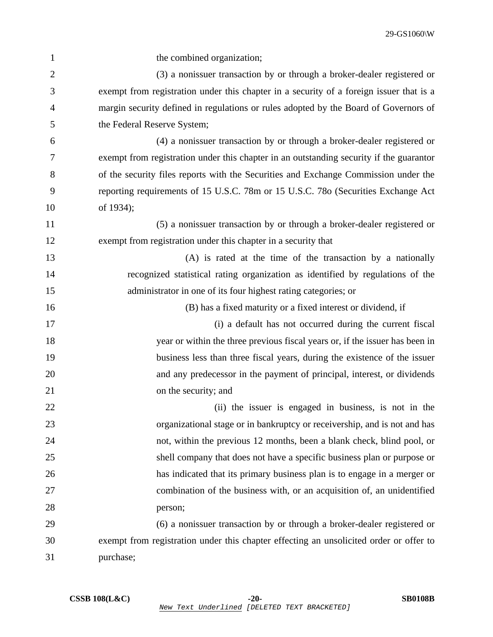| $\mathbf{1}$   | the combined organization;                                                              |
|----------------|-----------------------------------------------------------------------------------------|
| $\overline{2}$ | (3) a nonissuer transaction by or through a broker-dealer registered or                 |
| 3              | exempt from registration under this chapter in a security of a foreign issuer that is a |
| $\overline{4}$ | margin security defined in regulations or rules adopted by the Board of Governors of    |
| 5              | the Federal Reserve System;                                                             |
| 6              | (4) a nonissuer transaction by or through a broker-dealer registered or                 |
| 7              | exempt from registration under this chapter in an outstanding security if the guarantor |
| 8              | of the security files reports with the Securities and Exchange Commission under the     |
| 9              | reporting requirements of 15 U.S.C. 78m or 15 U.S.C. 78o (Securities Exchange Act       |
| 10             | of 1934);                                                                               |
| 11             | (5) a nonissuer transaction by or through a broker-dealer registered or                 |
| 12             | exempt from registration under this chapter in a security that                          |
| 13             | (A) is rated at the time of the transaction by a nationally                             |
| 14             | recognized statistical rating organization as identified by regulations of the          |
| 15             | administrator in one of its four highest rating categories; or                          |
| 16             | (B) has a fixed maturity or a fixed interest or dividend, if                            |
| 17             | (i) a default has not occurred during the current fiscal                                |
| 18             | year or within the three previous fiscal years or, if the issuer has been in            |
| 19             | business less than three fiscal years, during the existence of the issuer               |
| 20             | and any predecessor in the payment of principal, interest, or dividends                 |
| 21             | on the security; and                                                                    |
| 22             | (ii) the issuer is engaged in business, is not in the                                   |
| 23             | organizational stage or in bankruptcy or receivership, and is not and has               |
| 24             | not, within the previous 12 months, been a blank check, blind pool, or                  |
| 25             | shell company that does not have a specific business plan or purpose or                 |
| 26             | has indicated that its primary business plan is to engage in a merger or                |
| 27             | combination of the business with, or an acquisition of, an unidentified                 |
| 28             | person;                                                                                 |
| 29             | (6) a nonissuer transaction by or through a broker-dealer registered or                 |
| 30             | exempt from registration under this chapter effecting an unsolicited order or offer to  |
| 31             | purchase;                                                                               |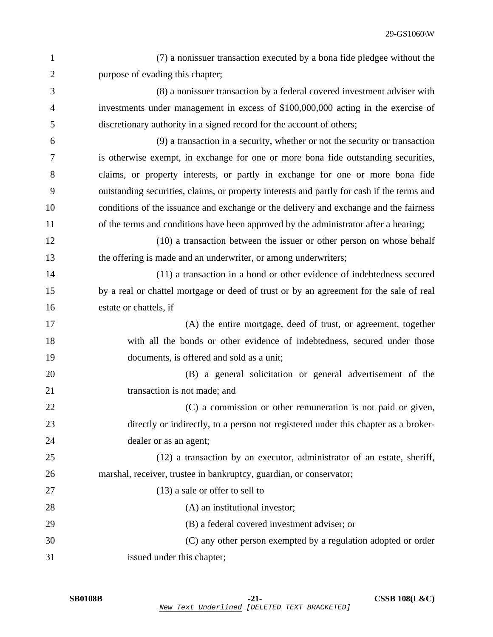| 1              | (7) a nonissuer transaction executed by a bona fide pledgee without the                    |
|----------------|--------------------------------------------------------------------------------------------|
| $\overline{2}$ | purpose of evading this chapter;                                                           |
| 3              | (8) a nonissuer transaction by a federal covered investment adviser with                   |
| 4              | investments under management in excess of \$100,000,000 acting in the exercise of          |
| 5              | discretionary authority in a signed record for the account of others;                      |
| 6              | (9) a transaction in a security, whether or not the security or transaction                |
| 7              | is otherwise exempt, in exchange for one or more bona fide outstanding securities,         |
| 8              | claims, or property interests, or partly in exchange for one or more bona fide             |
| 9              | outstanding securities, claims, or property interests and partly for cash if the terms and |
| 10             | conditions of the issuance and exchange or the delivery and exchange and the fairness      |
| 11             | of the terms and conditions have been approved by the administrator after a hearing;       |
| 12             | (10) a transaction between the issuer or other person on whose behalf                      |
| 13             | the offering is made and an underwriter, or among underwriters;                            |
| 14             | (11) a transaction in a bond or other evidence of indebtedness secured                     |
| 15             | by a real or chattel mortgage or deed of trust or by an agreement for the sale of real     |
| 16             | estate or chattels, if                                                                     |
| 17             | (A) the entire mortgage, deed of trust, or agreement, together                             |
| 18             | with all the bonds or other evidence of indebtedness, secured under those                  |
| 19             | documents, is offered and sold as a unit;                                                  |
| 20             | (B) a general solicitation or general advertisement of the                                 |
| 21             | transaction is not made; and                                                               |
| 22             | (C) a commission or other remuneration is not paid or given,                               |
| 23             | directly or indirectly, to a person not registered under this chapter as a broker-         |
| 24             | dealer or as an agent;                                                                     |
| 25             | (12) a transaction by an executor, administrator of an estate, sheriff,                    |
| 26             | marshal, receiver, trustee in bankruptcy, guardian, or conservator;                        |
| 27             | $(13)$ a sale or offer to sell to                                                          |
| 28             | (A) an institutional investor;                                                             |
| 29             | (B) a federal covered investment adviser; or                                               |
| 30             | (C) any other person exempted by a regulation adopted or order                             |
| 31             | issued under this chapter;                                                                 |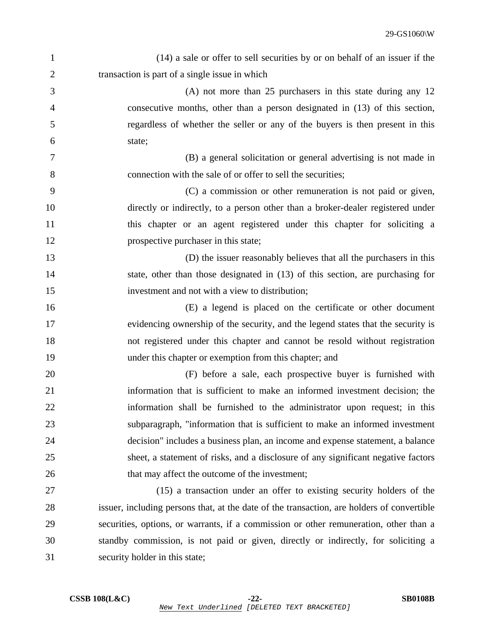| $\mathbf{1}$   | (14) a sale or offer to sell securities by or on behalf of an issuer if the                |
|----------------|--------------------------------------------------------------------------------------------|
| $\overline{2}$ | transaction is part of a single issue in which                                             |
| 3              | (A) not more than 25 purchasers in this state during any 12                                |
| 4              | consecutive months, other than a person designated in (13) of this section,                |
| 5              | regardless of whether the seller or any of the buyers is then present in this              |
| 6              | state;                                                                                     |
| 7              | (B) a general solicitation or general advertising is not made in                           |
| 8              | connection with the sale of or offer to sell the securities;                               |
| 9              | (C) a commission or other remuneration is not paid or given,                               |
| 10             | directly or indirectly, to a person other than a broker-dealer registered under            |
| 11             | this chapter or an agent registered under this chapter for soliciting a                    |
| 12             | prospective purchaser in this state;                                                       |
| 13             | (D) the issuer reasonably believes that all the purchasers in this                         |
| 14             | state, other than those designated in (13) of this section, are purchasing for             |
| 15             | investment and not with a view to distribution;                                            |
| 16             | (E) a legend is placed on the certificate or other document                                |
| 17             | evidencing ownership of the security, and the legend states that the security is           |
| 18             | not registered under this chapter and cannot be resold without registration                |
| 19             | under this chapter or exemption from this chapter; and                                     |
| 20             | (F) before a sale, each prospective buyer is furnished with                                |
| 21             | information that is sufficient to make an informed investment decision; the                |
| 22             | information shall be furnished to the administrator upon request; in this                  |
| 23             | subparagraph, "information that is sufficient to make an informed investment               |
| 24             | decision" includes a business plan, an income and expense statement, a balance             |
| 25             | sheet, a statement of risks, and a disclosure of any significant negative factors          |
| 26             | that may affect the outcome of the investment;                                             |
| 27             | (15) a transaction under an offer to existing security holders of the                      |
| 28             | issuer, including persons that, at the date of the transaction, are holders of convertible |
| 29             | securities, options, or warrants, if a commission or other remuneration, other than a      |
| 30             | standby commission, is not paid or given, directly or indirectly, for soliciting a         |
| 31             | security holder in this state;                                                             |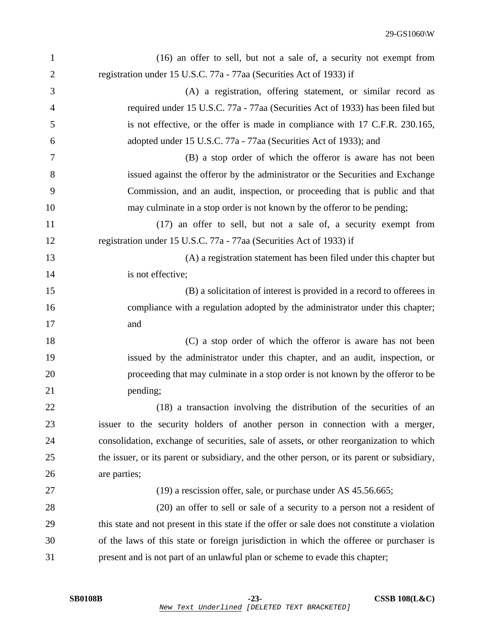| $\mathbf{1}$   | (16) an offer to sell, but not a sale of, a security not exempt from                          |
|----------------|-----------------------------------------------------------------------------------------------|
| $\overline{2}$ | registration under 15 U.S.C. 77a - 77aa (Securities Act of 1933) if                           |
| 3              | (A) a registration, offering statement, or similar record as                                  |
| $\overline{4}$ | required under 15 U.S.C. 77a - 77aa (Securities Act of 1933) has been filed but               |
| 5              | is not effective, or the offer is made in compliance with 17 C.F.R. 230.165,                  |
| 6              | adopted under 15 U.S.C. 77a - 77aa (Securities Act of 1933); and                              |
| 7              | (B) a stop order of which the offeror is aware has not been                                   |
| 8              | issued against the offeror by the administrator or the Securities and Exchange                |
| 9              | Commission, and an audit, inspection, or proceeding that is public and that                   |
| 10             | may culminate in a stop order is not known by the offeror to be pending;                      |
| 11             | (17) an offer to sell, but not a sale of, a security exempt from                              |
| 12             | registration under 15 U.S.C. 77a - 77aa (Securities Act of 1933) if                           |
| 13             | (A) a registration statement has been filed under this chapter but                            |
| 14             | is not effective;                                                                             |
| 15             | (B) a solicitation of interest is provided in a record to offerees in                         |
| 16             | compliance with a regulation adopted by the administrator under this chapter;                 |
| 17             | and                                                                                           |
| 18             | (C) a stop order of which the offeror is aware has not been                                   |
| 19             | issued by the administrator under this chapter, and an audit, inspection, or                  |
| 20             | proceeding that may culminate in a stop order is not known by the offeror to be               |
| 21             | pending;                                                                                      |
| 22             | (18) a transaction involving the distribution of the securities of an                         |
| 23             | issuer to the security holders of another person in connection with a merger,                 |
| 24             | consolidation, exchange of securities, sale of assets, or other reorganization to which       |
| 25             | the issuer, or its parent or subsidiary, and the other person, or its parent or subsidiary,   |
| 26             | are parties;                                                                                  |
| 27             | (19) a rescission offer, sale, or purchase under AS 45.56.665;                                |
| 28             | (20) an offer to sell or sale of a security to a person not a resident of                     |
| 29             | this state and not present in this state if the offer or sale does not constitute a violation |
| 30             | of the laws of this state or foreign jurisdiction in which the offeree or purchaser is        |
| 31             | present and is not part of an unlawful plan or scheme to evade this chapter;                  |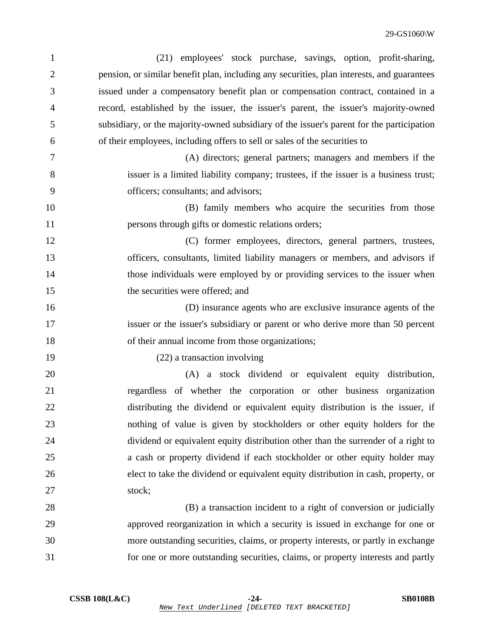1 (21) employees' stock purchase, savings, option, profit-sharing, 2 pension, or similar benefit plan, including any securities, plan interests, and guarantees 3 issued under a compensatory benefit plan or compensation contract, contained in a 4 record, established by the issuer, the issuer's parent, the issuer's majority-owned 5 subsidiary, or the majority-owned subsidiary of the issuer's parent for the participation 6 of their employees, including offers to sell or sales of the securities to 7 (A) directors; general partners; managers and members if the 8 issuer is a limited liability company; trustees, if the issuer is a business trust; 9 officers; consultants; and advisors; 10 (B) family members who acquire the securities from those 11 persons through gifts or domestic relations orders; 12 (C) former employees, directors, general partners, trustees, 13 officers, consultants, limited liability managers or members, and advisors if 14 those individuals were employed by or providing services to the issuer when 15 the securities were offered; and 16 (D) insurance agents who are exclusive insurance agents of the 17 issuer or the issuer's subsidiary or parent or who derive more than 50 percent 18 of their annual income from those organizations; 19 (22) a transaction involving 20 (A) a stock dividend or equivalent equity distribution, 21 regardless of whether the corporation or other business organization 22 distributing the dividend or equivalent equity distribution is the issuer, if 23 nothing of value is given by stockholders or other equity holders for the 24 dividend or equivalent equity distribution other than the surrender of a right to 25 a cash or property dividend if each stockholder or other equity holder may 26 elect to take the dividend or equivalent equity distribution in cash, property, or 27 stock; 28 (B) a transaction incident to a right of conversion or judicially 29 approved reorganization in which a security is issued in exchange for one or 30 more outstanding securities, claims, or property interests, or partly in exchange 31 for one or more outstanding securities, claims, or property interests and partly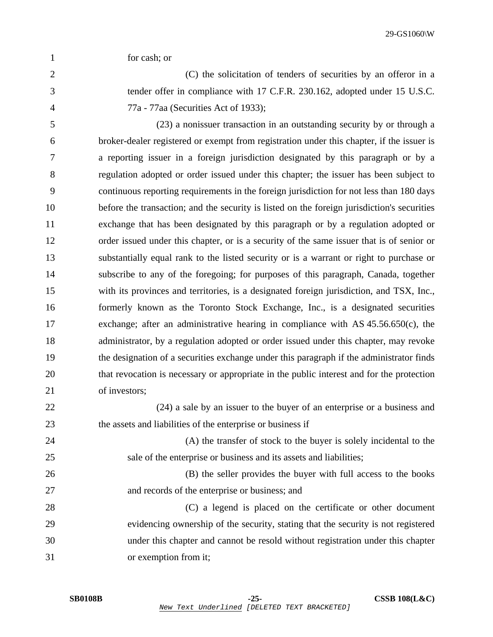1 for cash; or

2 (C) the solicitation of tenders of securities by an offeror in a 3 tender offer in compliance with 17 C.F.R. 230.162, adopted under 15 U.S.C. 4 77a - 77aa (Securities Act of 1933);

5 (23) a nonissuer transaction in an outstanding security by or through a 6 broker-dealer registered or exempt from registration under this chapter, if the issuer is 7 a reporting issuer in a foreign jurisdiction designated by this paragraph or by a 8 regulation adopted or order issued under this chapter; the issuer has been subject to 9 continuous reporting requirements in the foreign jurisdiction for not less than 180 days 10 before the transaction; and the security is listed on the foreign jurisdiction's securities 11 exchange that has been designated by this paragraph or by a regulation adopted or 12 order issued under this chapter, or is a security of the same issuer that is of senior or 13 substantially equal rank to the listed security or is a warrant or right to purchase or 14 subscribe to any of the foregoing; for purposes of this paragraph, Canada, together 15 with its provinces and territories, is a designated foreign jurisdiction, and TSX, Inc., 16 formerly known as the Toronto Stock Exchange, Inc., is a designated securities 17 exchange; after an administrative hearing in compliance with AS 45.56.650(c), the 18 administrator, by a regulation adopted or order issued under this chapter, may revoke 19 the designation of a securities exchange under this paragraph if the administrator finds 20 that revocation is necessary or appropriate in the public interest and for the protection 21 of investors;

22 (24) a sale by an issuer to the buyer of an enterprise or a business and 23 the assets and liabilities of the enterprise or business if

24 (A) the transfer of stock to the buyer is solely incidental to the 25 sale of the enterprise or business and its assets and liabilities;

26 (B) the seller provides the buyer with full access to the books 27 and records of the enterprise or business; and

28 (C) a legend is placed on the certificate or other document 29 evidencing ownership of the security, stating that the security is not registered 30 under this chapter and cannot be resold without registration under this chapter 31 or exemption from it;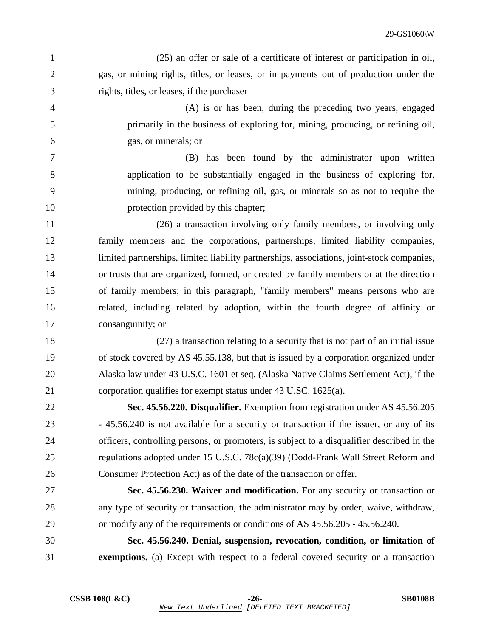1 (25) an offer or sale of a certificate of interest or participation in oil, 2 gas, or mining rights, titles, or leases, or in payments out of production under the 3 rights, titles, or leases, if the purchaser

4 (A) is or has been, during the preceding two years, engaged 5 primarily in the business of exploring for, mining, producing, or refining oil, 6 gas, or minerals; or

7 (B) has been found by the administrator upon written 8 application to be substantially engaged in the business of exploring for, 9 mining, producing, or refining oil, gas, or minerals so as not to require the 10 protection provided by this chapter;

11 (26) a transaction involving only family members, or involving only 12 family members and the corporations, partnerships, limited liability companies, 13 limited partnerships, limited liability partnerships, associations, joint-stock companies, 14 or trusts that are organized, formed, or created by family members or at the direction 15 of family members; in this paragraph, "family members" means persons who are 16 related, including related by adoption, within the fourth degree of affinity or 17 consanguinity; or

18 (27) a transaction relating to a security that is not part of an initial issue 19 of stock covered by AS 45.55.138, but that is issued by a corporation organized under 20 Alaska law under 43 U.S.C. 1601 et seq. (Alaska Native Claims Settlement Act), if the 21 corporation qualifies for exempt status under 43 U.SC. 1625(a).

22 **Sec. 45.56.220. Disqualifier.** Exemption from registration under AS 45.56.205 23 - 45.56.240 is not available for a security or transaction if the issuer, or any of its 24 officers, controlling persons, or promoters, is subject to a disqualifier described in the 25 regulations adopted under 15 U.S.C. 78c(a)(39) (Dodd-Frank Wall Street Reform and 26 Consumer Protection Act) as of the date of the transaction or offer.

27 **Sec. 45.56.230. Waiver and modification.** For any security or transaction or 28 any type of security or transaction, the administrator may by order, waive, withdraw, 29 or modify any of the requirements or conditions of AS 45.56.205 - 45.56.240.

30 **Sec. 45.56.240. Denial, suspension, revocation, condition, or limitation of**  31 **exemptions.** (a) Except with respect to a federal covered security or a transaction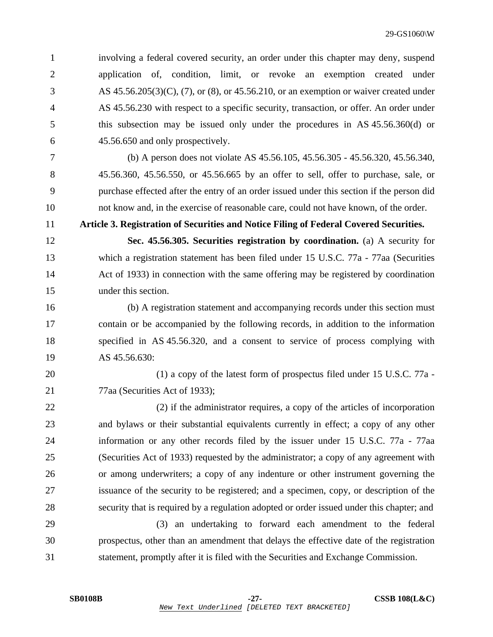1 involving a federal covered security, an order under this chapter may deny, suspend 2 application of, condition, limit, or revoke an exemption created under 3 AS 45.56.205(3)(C), (7), or (8), or 45.56.210, or an exemption or waiver created under 4 AS 45.56.230 with respect to a specific security, transaction, or offer. An order under 5 this subsection may be issued only under the procedures in AS 45.56.360(d) or 6 45.56.650 and only prospectively.

7 (b) A person does not violate AS 45.56.105, 45.56.305 - 45.56.320, 45.56.340, 8 45.56.360, 45.56.550, or 45.56.665 by an offer to sell, offer to purchase, sale, or 9 purchase effected after the entry of an order issued under this section if the person did 10 not know and, in the exercise of reasonable care, could not have known, of the order.

11 **Article 3. Registration of Securities and Notice Filing of Federal Covered Securities.** 

12 **Sec. 45.56.305. Securities registration by coordination.** (a) A security for 13 which a registration statement has been filed under 15 U.S.C. 77a - 77aa (Securities 14 Act of 1933) in connection with the same offering may be registered by coordination 15 under this section.

16 (b) A registration statement and accompanying records under this section must 17 contain or be accompanied by the following records, in addition to the information 18 specified in AS 45.56.320, and a consent to service of process complying with 19 AS 45.56.630:

20 (1) a copy of the latest form of prospectus filed under 15 U.S.C. 77a -21 77aa (Securities Act of 1933);

22 (2) if the administrator requires, a copy of the articles of incorporation 23 and bylaws or their substantial equivalents currently in effect; a copy of any other 24 information or any other records filed by the issuer under 15 U.S.C. 77a - 77aa 25 (Securities Act of 1933) requested by the administrator; a copy of any agreement with 26 or among underwriters; a copy of any indenture or other instrument governing the 27 issuance of the security to be registered; and a specimen, copy, or description of the 28 security that is required by a regulation adopted or order issued under this chapter; and

29 (3) an undertaking to forward each amendment to the federal 30 prospectus, other than an amendment that delays the effective date of the registration 31 statement, promptly after it is filed with the Securities and Exchange Commission.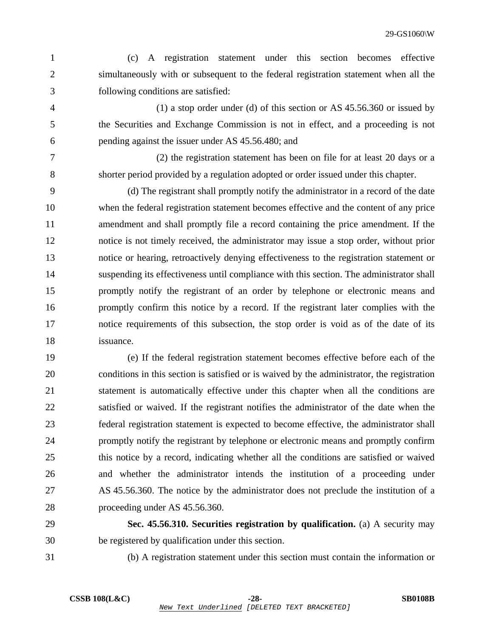1 (c) A registration statement under this section becomes effective 2 simultaneously with or subsequent to the federal registration statement when all the 3 following conditions are satisfied:

4 (1) a stop order under (d) of this section or AS 45.56.360 or issued by 5 the Securities and Exchange Commission is not in effect, and a proceeding is not 6 pending against the issuer under AS 45.56.480; and

7 (2) the registration statement has been on file for at least 20 days or a 8 shorter period provided by a regulation adopted or order issued under this chapter.

9 (d) The registrant shall promptly notify the administrator in a record of the date 10 when the federal registration statement becomes effective and the content of any price 11 amendment and shall promptly file a record containing the price amendment. If the 12 notice is not timely received, the administrator may issue a stop order, without prior 13 notice or hearing, retroactively denying effectiveness to the registration statement or 14 suspending its effectiveness until compliance with this section. The administrator shall 15 promptly notify the registrant of an order by telephone or electronic means and 16 promptly confirm this notice by a record. If the registrant later complies with the 17 notice requirements of this subsection, the stop order is void as of the date of its 18 issuance.

19 (e) If the federal registration statement becomes effective before each of the 20 conditions in this section is satisfied or is waived by the administrator, the registration 21 statement is automatically effective under this chapter when all the conditions are 22 satisfied or waived. If the registrant notifies the administrator of the date when the 23 federal registration statement is expected to become effective, the administrator shall 24 promptly notify the registrant by telephone or electronic means and promptly confirm 25 this notice by a record, indicating whether all the conditions are satisfied or waived 26 and whether the administrator intends the institution of a proceeding under 27 AS 45.56.360. The notice by the administrator does not preclude the institution of a 28 proceeding under AS 45.56.360.

29 **Sec. 45.56.310. Securities registration by qualification.** (a) A security may 30 be registered by qualification under this section.

31 (b) A registration statement under this section must contain the information or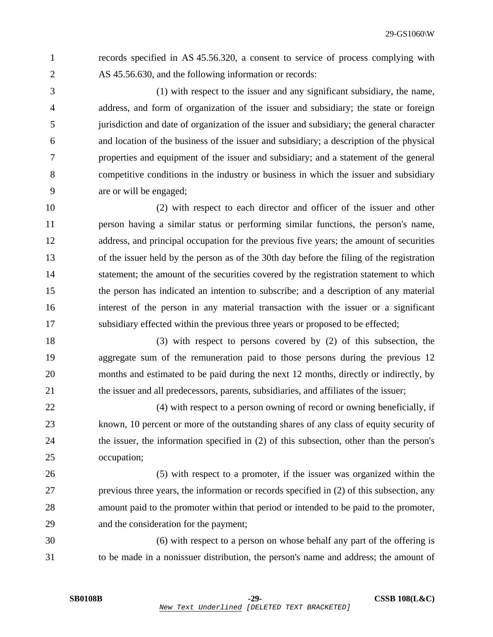1 records specified in AS 45.56.320, a consent to service of process complying with 2 AS 45.56.630, and the following information or records:

3 (1) with respect to the issuer and any significant subsidiary, the name, 4 address, and form of organization of the issuer and subsidiary; the state or foreign 5 jurisdiction and date of organization of the issuer and subsidiary; the general character 6 and location of the business of the issuer and subsidiary; a description of the physical 7 properties and equipment of the issuer and subsidiary; and a statement of the general 8 competitive conditions in the industry or business in which the issuer and subsidiary 9 are or will be engaged;

10 (2) with respect to each director and officer of the issuer and other 11 person having a similar status or performing similar functions, the person's name, 12 address, and principal occupation for the previous five years; the amount of securities 13 of the issuer held by the person as of the 30th day before the filing of the registration 14 statement; the amount of the securities covered by the registration statement to which 15 the person has indicated an intention to subscribe; and a description of any material 16 interest of the person in any material transaction with the issuer or a significant 17 subsidiary effected within the previous three years or proposed to be effected;

18 (3) with respect to persons covered by (2) of this subsection, the 19 aggregate sum of the remuneration paid to those persons during the previous 12 20 months and estimated to be paid during the next 12 months, directly or indirectly, by 21 the issuer and all predecessors, parents, subsidiaries, and affiliates of the issuer;

22 (4) with respect to a person owning of record or owning beneficially, if 23 known, 10 percent or more of the outstanding shares of any class of equity security of 24 the issuer, the information specified in (2) of this subsection, other than the person's 25 occupation;

26 (5) with respect to a promoter, if the issuer was organized within the 27 previous three years, the information or records specified in (2) of this subsection, any 28 amount paid to the promoter within that period or intended to be paid to the promoter, 29 and the consideration for the payment;

30 (6) with respect to a person on whose behalf any part of the offering is 31 to be made in a nonissuer distribution, the person's name and address; the amount of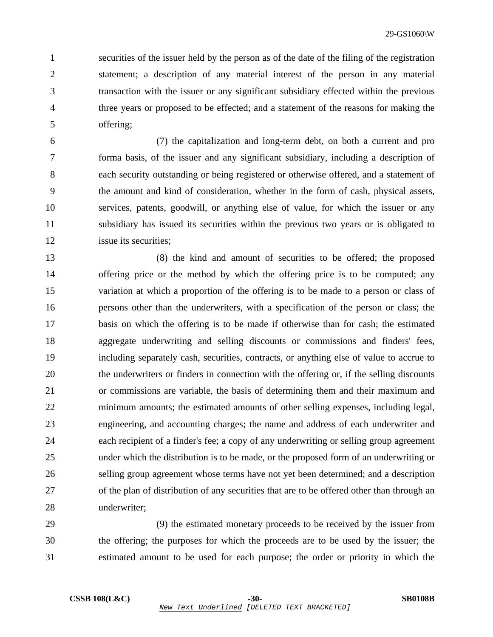1 securities of the issuer held by the person as of the date of the filing of the registration 2 statement; a description of any material interest of the person in any material 3 transaction with the issuer or any significant subsidiary effected within the previous 4 three years or proposed to be effected; and a statement of the reasons for making the 5 offering;

6 (7) the capitalization and long-term debt, on both a current and pro 7 forma basis, of the issuer and any significant subsidiary, including a description of 8 each security outstanding or being registered or otherwise offered, and a statement of 9 the amount and kind of consideration, whether in the form of cash, physical assets, 10 services, patents, goodwill, or anything else of value, for which the issuer or any 11 subsidiary has issued its securities within the previous two years or is obligated to 12 issue its securities;

13 (8) the kind and amount of securities to be offered; the proposed 14 offering price or the method by which the offering price is to be computed; any 15 variation at which a proportion of the offering is to be made to a person or class of 16 persons other than the underwriters, with a specification of the person or class; the 17 basis on which the offering is to be made if otherwise than for cash; the estimated 18 aggregate underwriting and selling discounts or commissions and finders' fees, 19 including separately cash, securities, contracts, or anything else of value to accrue to 20 the underwriters or finders in connection with the offering or, if the selling discounts 21 or commissions are variable, the basis of determining them and their maximum and 22 minimum amounts; the estimated amounts of other selling expenses, including legal, 23 engineering, and accounting charges; the name and address of each underwriter and 24 each recipient of a finder's fee; a copy of any underwriting or selling group agreement 25 under which the distribution is to be made, or the proposed form of an underwriting or 26 selling group agreement whose terms have not yet been determined; and a description 27 of the plan of distribution of any securities that are to be offered other than through an 28 underwriter;

29 (9) the estimated monetary proceeds to be received by the issuer from 30 the offering; the purposes for which the proceeds are to be used by the issuer; the 31 estimated amount to be used for each purpose; the order or priority in which the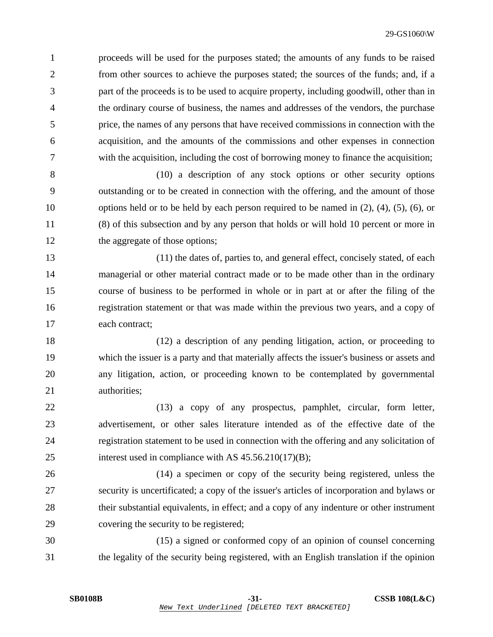1 proceeds will be used for the purposes stated; the amounts of any funds to be raised 2 from other sources to achieve the purposes stated; the sources of the funds; and, if a 3 part of the proceeds is to be used to acquire property, including goodwill, other than in 4 the ordinary course of business, the names and addresses of the vendors, the purchase 5 price, the names of any persons that have received commissions in connection with the 6 acquisition, and the amounts of the commissions and other expenses in connection 7 with the acquisition, including the cost of borrowing money to finance the acquisition;

8 (10) a description of any stock options or other security options 9 outstanding or to be created in connection with the offering, and the amount of those 10 options held or to be held by each person required to be named in (2), (4), (5), (6), or 11 (8) of this subsection and by any person that holds or will hold 10 percent or more in 12 the aggregate of those options;

13 (11) the dates of, parties to, and general effect, concisely stated, of each 14 managerial or other material contract made or to be made other than in the ordinary 15 course of business to be performed in whole or in part at or after the filing of the 16 registration statement or that was made within the previous two years, and a copy of 17 each contract;

18 (12) a description of any pending litigation, action, or proceeding to 19 which the issuer is a party and that materially affects the issuer's business or assets and 20 any litigation, action, or proceeding known to be contemplated by governmental 21 authorities;

22 (13) a copy of any prospectus, pamphlet, circular, form letter, 23 advertisement, or other sales literature intended as of the effective date of the 24 registration statement to be used in connection with the offering and any solicitation of 25 interest used in compliance with AS 45.56.210(17)(B);

26 (14) a specimen or copy of the security being registered, unless the 27 security is uncertificated; a copy of the issuer's articles of incorporation and bylaws or 28 their substantial equivalents, in effect; and a copy of any indenture or other instrument 29 covering the security to be registered;

30 (15) a signed or conformed copy of an opinion of counsel concerning 31 the legality of the security being registered, with an English translation if the opinion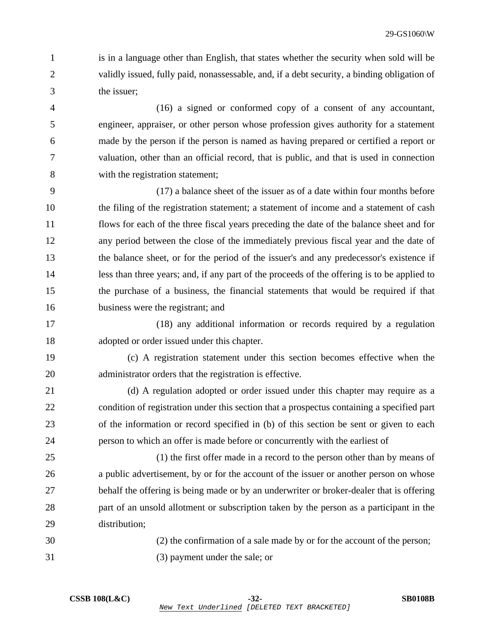1 is in a language other than English, that states whether the security when sold will be 2 validly issued, fully paid, nonassessable, and, if a debt security, a binding obligation of 3 the issuer;

4 (16) a signed or conformed copy of a consent of any accountant, 5 engineer, appraiser, or other person whose profession gives authority for a statement 6 made by the person if the person is named as having prepared or certified a report or 7 valuation, other than an official record, that is public, and that is used in connection 8 with the registration statement;

9 (17) a balance sheet of the issuer as of a date within four months before 10 the filing of the registration statement; a statement of income and a statement of cash 11 flows for each of the three fiscal years preceding the date of the balance sheet and for 12 any period between the close of the immediately previous fiscal year and the date of 13 the balance sheet, or for the period of the issuer's and any predecessor's existence if 14 less than three years; and, if any part of the proceeds of the offering is to be applied to 15 the purchase of a business, the financial statements that would be required if that 16 business were the registrant; and

17 (18) any additional information or records required by a regulation 18 adopted or order issued under this chapter.

19 (c) A registration statement under this section becomes effective when the 20 administrator orders that the registration is effective.

21 (d) A regulation adopted or order issued under this chapter may require as a 22 condition of registration under this section that a prospectus containing a specified part 23 of the information or record specified in (b) of this section be sent or given to each 24 person to which an offer is made before or concurrently with the earliest of

25 (1) the first offer made in a record to the person other than by means of 26 a public advertisement, by or for the account of the issuer or another person on whose 27 behalf the offering is being made or by an underwriter or broker-dealer that is offering 28 part of an unsold allotment or subscription taken by the person as a participant in the 29 distribution;

30 (2) the confirmation of a sale made by or for the account of the person;

31 (3) payment under the sale; or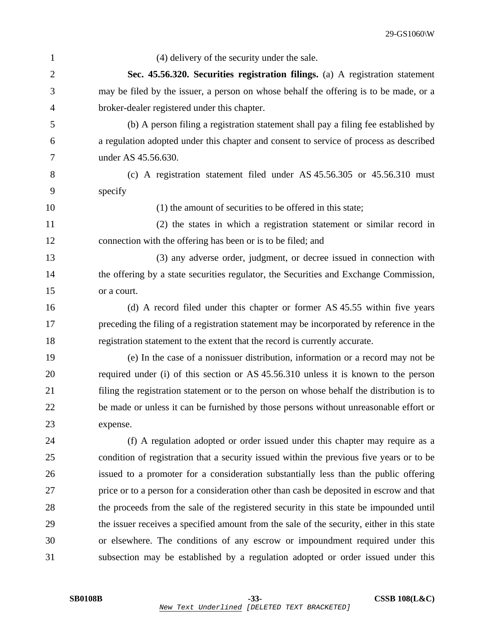| $\mathbf{1}$   | (4) delivery of the security under the sale.                                               |
|----------------|--------------------------------------------------------------------------------------------|
| $\overline{2}$ | Sec. 45.56.320. Securities registration filings. (a) A registration statement              |
| 3              | may be filed by the issuer, a person on whose behalf the offering is to be made, or a      |
| 4              | broker-dealer registered under this chapter.                                               |
| 5              | (b) A person filing a registration statement shall pay a filing fee established by         |
| 6              | a regulation adopted under this chapter and consent to service of process as described     |
| 7              | under AS 45.56.630.                                                                        |
| 8              | (c) A registration statement filed under AS $45.56.305$ or $45.56.310$ must                |
| 9              | specify                                                                                    |
| 10             | (1) the amount of securities to be offered in this state;                                  |
| 11             | (2) the states in which a registration statement or similar record in                      |
| 12             | connection with the offering has been or is to be filed; and                               |
| 13             | (3) any adverse order, judgment, or decree issued in connection with                       |
| 14             | the offering by a state securities regulator, the Securities and Exchange Commission,      |
| 15             | or a court.                                                                                |
| 16             | (d) A record filed under this chapter or former AS 45.55 within five years                 |
| 17             | preceding the filing of a registration statement may be incorporated by reference in the   |
| 18             | registration statement to the extent that the record is currently accurate.                |
| 19             | (e) In the case of a nonissuer distribution, information or a record may not be            |
| 20             | required under (i) of this section or AS 45.56.310 unless it is known to the person        |
| 21             | filing the registration statement or to the person on whose behalf the distribution is to  |
| 22             | be made or unless it can be furnished by those persons without unreasonable effort or      |
| 23             | expense.                                                                                   |
| 24             | (f) A regulation adopted or order issued under this chapter may require as a               |
| 25             | condition of registration that a security issued within the previous five years or to be   |
| 26             | issued to a promoter for a consideration substantially less than the public offering       |
| 27             | price or to a person for a consideration other than cash be deposited in escrow and that   |
| 28             | the proceeds from the sale of the registered security in this state be impounded until     |
| 29             | the issuer receives a specified amount from the sale of the security, either in this state |
| 30             | or elsewhere. The conditions of any escrow or impoundment required under this              |
| 31             | subsection may be established by a regulation adopted or order issued under this           |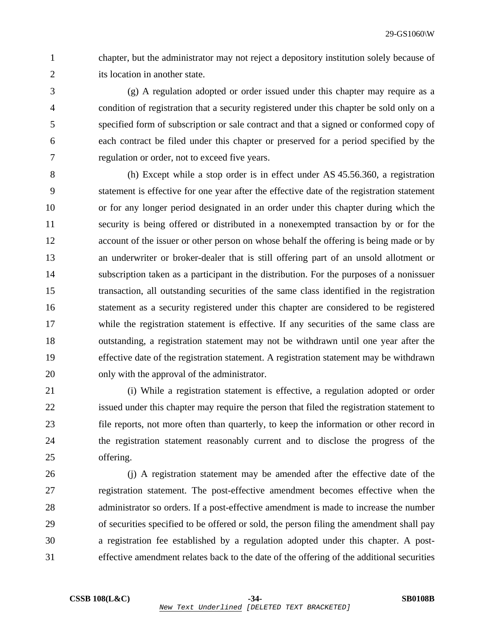1 chapter, but the administrator may not reject a depository institution solely because of 2 its location in another state.

3 (g) A regulation adopted or order issued under this chapter may require as a 4 condition of registration that a security registered under this chapter be sold only on a 5 specified form of subscription or sale contract and that a signed or conformed copy of 6 each contract be filed under this chapter or preserved for a period specified by the 7 regulation or order, not to exceed five years.

8 (h) Except while a stop order is in effect under AS 45.56.360, a registration 9 statement is effective for one year after the effective date of the registration statement 10 or for any longer period designated in an order under this chapter during which the 11 security is being offered or distributed in a nonexempted transaction by or for the 12 account of the issuer or other person on whose behalf the offering is being made or by 13 an underwriter or broker-dealer that is still offering part of an unsold allotment or 14 subscription taken as a participant in the distribution. For the purposes of a nonissuer 15 transaction, all outstanding securities of the same class identified in the registration 16 statement as a security registered under this chapter are considered to be registered 17 while the registration statement is effective. If any securities of the same class are 18 outstanding, a registration statement may not be withdrawn until one year after the 19 effective date of the registration statement. A registration statement may be withdrawn 20 only with the approval of the administrator.

21 (i) While a registration statement is effective, a regulation adopted or order 22 issued under this chapter may require the person that filed the registration statement to 23 file reports, not more often than quarterly, to keep the information or other record in 24 the registration statement reasonably current and to disclose the progress of the 25 offering.

26 (j) A registration statement may be amended after the effective date of the 27 registration statement. The post-effective amendment becomes effective when the 28 administrator so orders. If a post-effective amendment is made to increase the number 29 of securities specified to be offered or sold, the person filing the amendment shall pay 30 a registration fee established by a regulation adopted under this chapter. A post-31 effective amendment relates back to the date of the offering of the additional securities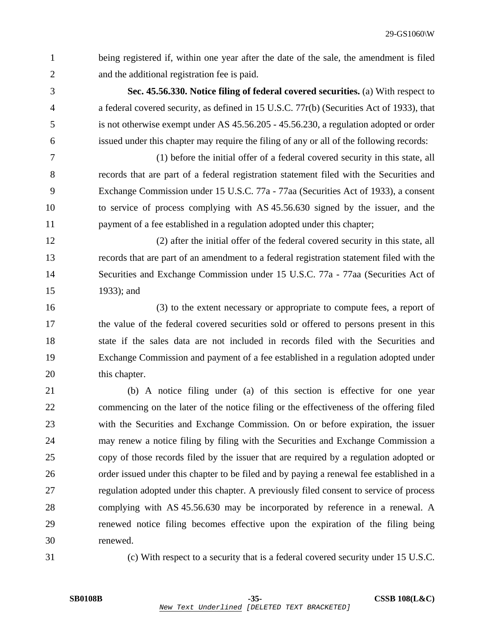1 being registered if, within one year after the date of the sale, the amendment is filed 2 and the additional registration fee is paid.

3 **Sec. 45.56.330. Notice filing of federal covered securities.** (a) With respect to 4 a federal covered security, as defined in 15 U.S.C. 77r(b) (Securities Act of 1933), that 5 is not otherwise exempt under AS 45.56.205 - 45.56.230, a regulation adopted or order 6 issued under this chapter may require the filing of any or all of the following records:

7 (1) before the initial offer of a federal covered security in this state, all 8 records that are part of a federal registration statement filed with the Securities and 9 Exchange Commission under 15 U.S.C. 77a - 77aa (Securities Act of 1933), a consent 10 to service of process complying with AS 45.56.630 signed by the issuer, and the 11 payment of a fee established in a regulation adopted under this chapter;

12 (2) after the initial offer of the federal covered security in this state, all 13 records that are part of an amendment to a federal registration statement filed with the 14 Securities and Exchange Commission under 15 U.S.C. 77a - 77aa (Securities Act of 15 1933); and

16 (3) to the extent necessary or appropriate to compute fees, a report of 17 the value of the federal covered securities sold or offered to persons present in this 18 state if the sales data are not included in records filed with the Securities and 19 Exchange Commission and payment of a fee established in a regulation adopted under 20 this chapter.

21 (b) A notice filing under (a) of this section is effective for one year 22 commencing on the later of the notice filing or the effectiveness of the offering filed 23 with the Securities and Exchange Commission. On or before expiration, the issuer 24 may renew a notice filing by filing with the Securities and Exchange Commission a 25 copy of those records filed by the issuer that are required by a regulation adopted or 26 order issued under this chapter to be filed and by paying a renewal fee established in a 27 regulation adopted under this chapter. A previously filed consent to service of process 28 complying with AS 45.56.630 may be incorporated by reference in a renewal. A 29 renewed notice filing becomes effective upon the expiration of the filing being 30 renewed.

31 (c) With respect to a security that is a federal covered security under 15 U.S.C.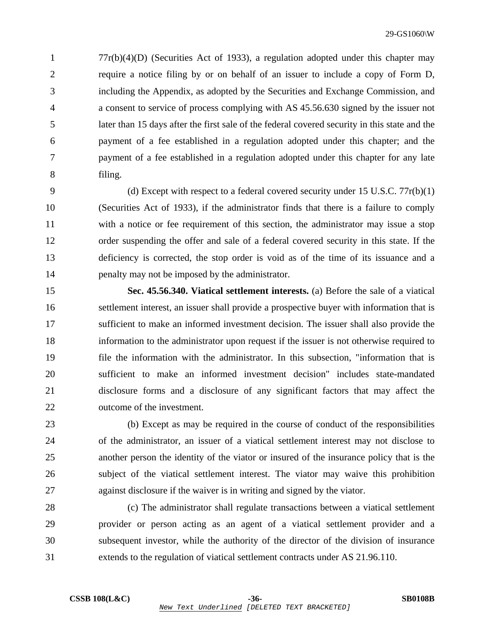1 77r(b)(4)(D) (Securities Act of 1933), a regulation adopted under this chapter may 2 require a notice filing by or on behalf of an issuer to include a copy of Form D, 3 including the Appendix, as adopted by the Securities and Exchange Commission, and 4 a consent to service of process complying with AS 45.56.630 signed by the issuer not 5 later than 15 days after the first sale of the federal covered security in this state and the 6 payment of a fee established in a regulation adopted under this chapter; and the 7 payment of a fee established in a regulation adopted under this chapter for any late 8 filing.

9 (d) Except with respect to a federal covered security under 15 U.S.C. 77r(b)(1) 10 (Securities Act of 1933), if the administrator finds that there is a failure to comply 11 with a notice or fee requirement of this section, the administrator may issue a stop 12 order suspending the offer and sale of a federal covered security in this state. If the 13 deficiency is corrected, the stop order is void as of the time of its issuance and a 14 penalty may not be imposed by the administrator.

15 **Sec. 45.56.340. Viatical settlement interests.** (a) Before the sale of a viatical 16 settlement interest, an issuer shall provide a prospective buyer with information that is 17 sufficient to make an informed investment decision. The issuer shall also provide the 18 information to the administrator upon request if the issuer is not otherwise required to 19 file the information with the administrator. In this subsection, "information that is 20 sufficient to make an informed investment decision" includes state-mandated 21 disclosure forms and a disclosure of any significant factors that may affect the 22 outcome of the investment.

23 (b) Except as may be required in the course of conduct of the responsibilities 24 of the administrator, an issuer of a viatical settlement interest may not disclose to 25 another person the identity of the viator or insured of the insurance policy that is the 26 subject of the viatical settlement interest. The viator may waive this prohibition 27 against disclosure if the waiver is in writing and signed by the viator.

28 (c) The administrator shall regulate transactions between a viatical settlement 29 provider or person acting as an agent of a viatical settlement provider and a 30 subsequent investor, while the authority of the director of the division of insurance 31 extends to the regulation of viatical settlement contracts under AS 21.96.110.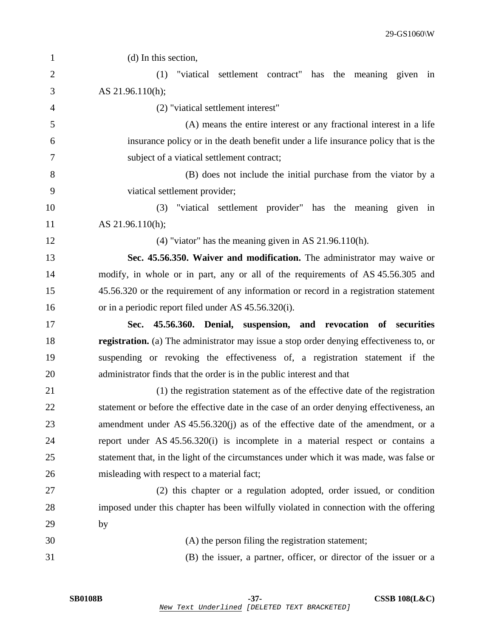| 1              | (d) In this section,                                                                     |
|----------------|------------------------------------------------------------------------------------------|
| $\overline{2}$ | (1)<br>"viatical settlement contract" has the meaning given in                           |
| 3              | AS 21.96.110(h);                                                                         |
| $\overline{4}$ | (2) "viatical settlement interest"                                                       |
| 5              | (A) means the entire interest or any fractional interest in a life                       |
| 6              | insurance policy or in the death benefit under a life insurance policy that is the       |
| 7              | subject of a viatical settlement contract;                                               |
| 8              | (B) does not include the initial purchase from the viator by a                           |
| 9              | viatical settlement provider;                                                            |
| 10             | "viatical settlement provider" has the meaning given in<br>(3)                           |
| 11             | AS 21.96.110(h);                                                                         |
| 12             | $(4)$ "viator" has the meaning given in AS 21.96.110(h).                                 |
| 13             | Sec. 45.56.350. Waiver and modification. The administrator may waive or                  |
| 14             | modify, in whole or in part, any or all of the requirements of AS 45.56.305 and          |
| 15             | 45.56.320 or the requirement of any information or record in a registration statement    |
|                |                                                                                          |
| 16             | or in a periodic report filed under AS 45.56.320(i).                                     |
| 17             | 45.56.360. Denial, suspension, and revocation of securities<br>Sec.                      |
| 18             | registration. (a) The administrator may issue a stop order denying effectiveness to, or  |
| 19             | suspending or revoking the effectiveness of, a registration statement if the             |
| 20             | administrator finds that the order is in the public interest and that                    |
| 21             | (1) the registration statement as of the effective date of the registration              |
| 22             | statement or before the effective date in the case of an order denying effectiveness, an |
| 23             | amendment under AS $45.56.320(i)$ as of the effective date of the amendment, or a        |
| 24             | report under AS 45.56.320(i) is incomplete in a material respect or contains a           |
| 25             | statement that, in the light of the circumstances under which it was made, was false or  |
| 26             | misleading with respect to a material fact;                                              |
| 27             | (2) this chapter or a regulation adopted, order issued, or condition                     |
| 28             | imposed under this chapter has been wilfully violated in connection with the offering    |
| 29             | by                                                                                       |
| 30             | (A) the person filing the registration statement;                                        |
| 31             | (B) the issuer, a partner, officer, or director of the issuer or a                       |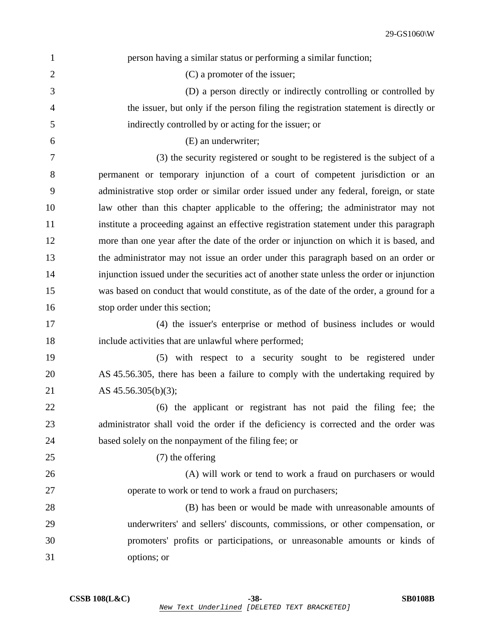| $\mathbf{1}$   | person having a similar status or performing a similar function;                           |
|----------------|--------------------------------------------------------------------------------------------|
| $\overline{2}$ | (C) a promoter of the issuer;                                                              |
| 3              | (D) a person directly or indirectly controlling or controlled by                           |
| $\overline{4}$ | the issuer, but only if the person filing the registration statement is directly or        |
| 5              | indirectly controlled by or acting for the issuer; or                                      |
| 6              | (E) an underwriter;                                                                        |
| 7              | (3) the security registered or sought to be registered is the subject of a                 |
| 8              | permanent or temporary injunction of a court of competent jurisdiction or an               |
| 9              | administrative stop order or similar order issued under any federal, foreign, or state     |
| 10             | law other than this chapter applicable to the offering; the administrator may not          |
| 11             | institute a proceeding against an effective registration statement under this paragraph    |
| 12             | more than one year after the date of the order or injunction on which it is based, and     |
| 13             | the administrator may not issue an order under this paragraph based on an order or         |
| 14             | injunction issued under the securities act of another state unless the order or injunction |
| 15             | was based on conduct that would constitute, as of the date of the order, a ground for a    |
| 16             | stop order under this section;                                                             |
| 17             | (4) the issuer's enterprise or method of business includes or would                        |
| 18             | include activities that are unlawful where performed;                                      |
| 19             | (5) with respect to a security sought to be registered under                               |
| 20             | AS 45.56.305, there has been a failure to comply with the undertaking required by          |
| 21             | AS $45.56.305(b)(3)$ ;                                                                     |
| 22             | (6) the applicant or registrant has not paid the filing fee; the                           |
| 23             | administrator shall void the order if the deficiency is corrected and the order was        |
| 24             | based solely on the nonpayment of the filing fee; or                                       |
| 25             | (7) the offering                                                                           |
| 26             | (A) will work or tend to work a fraud on purchasers or would                               |
| $27\,$         | operate to work or tend to work a fraud on purchasers;                                     |
| 28             | (B) has been or would be made with unreasonable amounts of                                 |
| 29             | underwriters' and sellers' discounts, commissions, or other compensation, or               |
| 30             | promoters' profits or participations, or unreasonable amounts or kinds of                  |
| 31             | options; or                                                                                |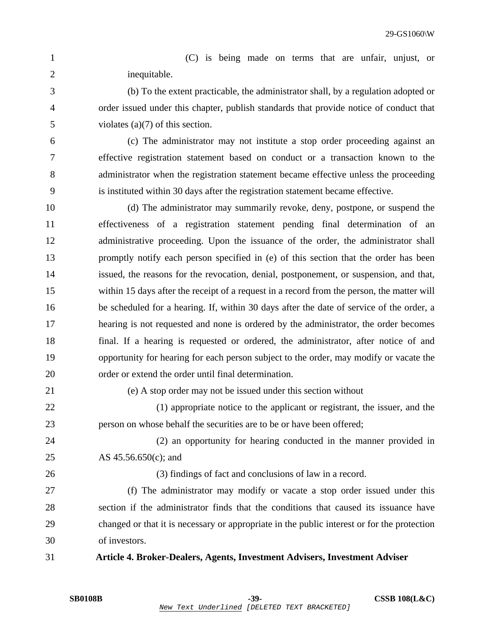1 (C) is being made on terms that are unfair, unjust, or 2 inequitable.

3 (b) To the extent practicable, the administrator shall, by a regulation adopted or 4 order issued under this chapter, publish standards that provide notice of conduct that 5 violates (a)(7) of this section.

6 (c) The administrator may not institute a stop order proceeding against an 7 effective registration statement based on conduct or a transaction known to the 8 administrator when the registration statement became effective unless the proceeding 9 is instituted within 30 days after the registration statement became effective.

10 (d) The administrator may summarily revoke, deny, postpone, or suspend the 11 effectiveness of a registration statement pending final determination of an 12 administrative proceeding. Upon the issuance of the order, the administrator shall 13 promptly notify each person specified in (e) of this section that the order has been 14 issued, the reasons for the revocation, denial, postponement, or suspension, and that, 15 within 15 days after the receipt of a request in a record from the person, the matter will 16 be scheduled for a hearing. If, within 30 days after the date of service of the order, a 17 hearing is not requested and none is ordered by the administrator, the order becomes 18 final. If a hearing is requested or ordered, the administrator, after notice of and 19 opportunity for hearing for each person subject to the order, may modify or vacate the 20 order or extend the order until final determination.

21 (e) A stop order may not be issued under this section without

22 (1) appropriate notice to the applicant or registrant, the issuer, and the 23 person on whose behalf the securities are to be or have been offered;

24 (2) an opportunity for hearing conducted in the manner provided in 25 AS 45.56.650(c); and

26 (3) findings of fact and conclusions of law in a record.

27 (f) The administrator may modify or vacate a stop order issued under this 28 section if the administrator finds that the conditions that caused its issuance have 29 changed or that it is necessary or appropriate in the public interest or for the protection 30 of investors.

## 31 **Article 4. Broker-Dealers, Agents, Investment Advisers, Investment Adviser**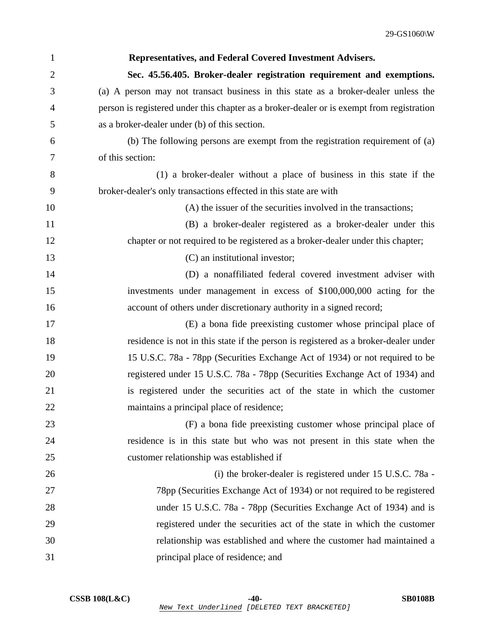| 1              | Representatives, and Federal Covered Investment Advisers.                                 |
|----------------|-------------------------------------------------------------------------------------------|
| $\overline{2}$ | Sec. 45.56.405. Broker-dealer registration requirement and exemptions.                    |
| 3              | (a) A person may not transact business in this state as a broker-dealer unless the        |
| $\overline{4}$ | person is registered under this chapter as a broker-dealer or is exempt from registration |
| 5              | as a broker-dealer under (b) of this section.                                             |
| 6              | (b) The following persons are exempt from the registration requirement of (a)             |
| 7              | of this section:                                                                          |
| 8              | (1) a broker-dealer without a place of business in this state if the                      |
| 9              | broker-dealer's only transactions effected in this state are with                         |
| 10             | (A) the issuer of the securities involved in the transactions;                            |
| 11             | (B) a broker-dealer registered as a broker-dealer under this                              |
| 12             | chapter or not required to be registered as a broker-dealer under this chapter;           |
| 13             | (C) an institutional investor;                                                            |
| 14             | (D) a nonaffiliated federal covered investment adviser with                               |
| 15             | investments under management in excess of \$100,000,000 acting for the                    |
| 16             | account of others under discretionary authority in a signed record;                       |
| 17             | (E) a bona fide preexisting customer whose principal place of                             |
| 18             | residence is not in this state if the person is registered as a broker-dealer under       |
| 19             | 15 U.S.C. 78a - 78pp (Securities Exchange Act of 1934) or not required to be              |
| 20             | registered under 15 U.S.C. 78a - 78pp (Securities Exchange Act of 1934) and               |
| 21             | is registered under the securities act of the state in which the customer                 |
| 22             | maintains a principal place of residence;                                                 |
| 23             | (F) a bona fide preexisting customer whose principal place of                             |
| 24             | residence is in this state but who was not present in this state when the                 |
| 25             | customer relationship was established if                                                  |
| 26             | (i) the broker-dealer is registered under 15 U.S.C. 78a -                                 |
| 27             | 78pp (Securities Exchange Act of 1934) or not required to be registered                   |
| 28             | under 15 U.S.C. 78a - 78pp (Securities Exchange Act of 1934) and is                       |
| 29             | registered under the securities act of the state in which the customer                    |
| 30             | relationship was established and where the customer had maintained a                      |
| 31             | principal place of residence; and                                                         |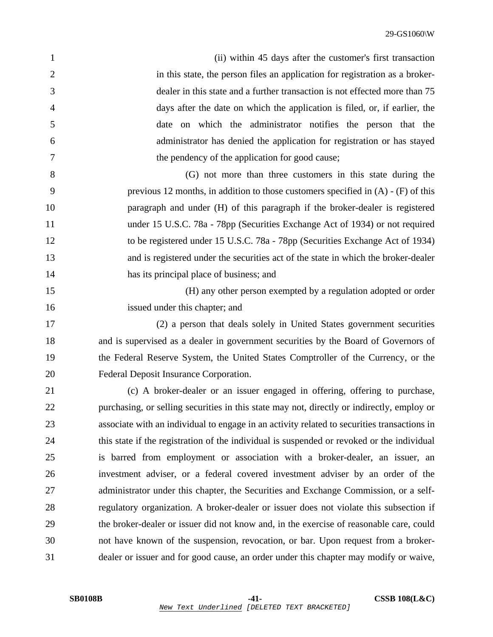1 (ii) within 45 days after the customer's first transaction 2 in this state, the person files an application for registration as a broker-3 dealer in this state and a further transaction is not effected more than 75 4 days after the date on which the application is filed, or, if earlier, the 5 date on which the administrator notifies the person that the 6 administrator has denied the application for registration or has stayed 7 the pendency of the application for good cause; 8 (G) not more than three customers in this state during the 9 previous 12 months, in addition to those customers specified in (A) - (F) of this 10 paragraph and under (H) of this paragraph if the broker-dealer is registered 11 under 15 U.S.C. 78a - 78pp (Securities Exchange Act of 1934) or not required 12 to be registered under 15 U.S.C. 78a - 78pp (Securities Exchange Act of 1934) 13 and is registered under the securities act of the state in which the broker-dealer 14 has its principal place of business; and 15 (H) any other person exempted by a regulation adopted or order 16 issued under this chapter; and 17 (2) a person that deals solely in United States government securities 18 and is supervised as a dealer in government securities by the Board of Governors of 19 the Federal Reserve System, the United States Comptroller of the Currency, or the 20 Federal Deposit Insurance Corporation. 21 (c) A broker-dealer or an issuer engaged in offering, offering to purchase, 22 purchasing, or selling securities in this state may not, directly or indirectly, employ or 23 associate with an individual to engage in an activity related to securities transactions in 24 this state if the registration of the individual is suspended or revoked or the individual 25 is barred from employment or association with a broker-dealer, an issuer, an 26 investment adviser, or a federal covered investment adviser by an order of the 27 administrator under this chapter, the Securities and Exchange Commission, or a self-28 regulatory organization. A broker-dealer or issuer does not violate this subsection if 29 the broker-dealer or issuer did not know and, in the exercise of reasonable care, could 30 not have known of the suspension, revocation, or bar. Upon request from a broker-31 dealer or issuer and for good cause, an order under this chapter may modify or waive,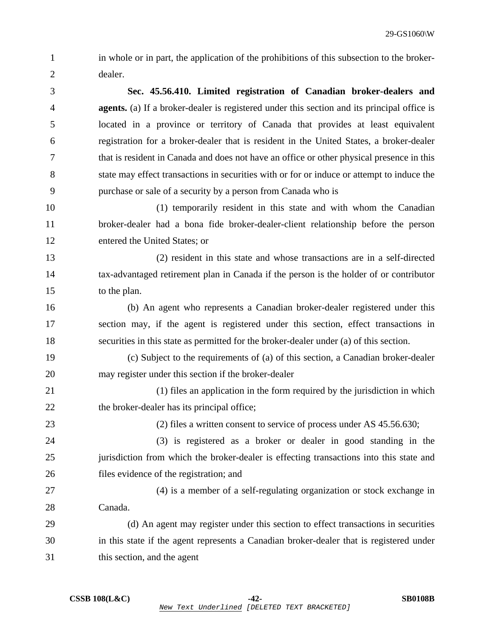1 in whole or in part, the application of the prohibitions of this subsection to the broker-2 dealer.

3 **Sec. 45.56.410. Limited registration of Canadian broker-dealers and**  4 **agents.** (a) If a broker-dealer is registered under this section and its principal office is 5 located in a province or territory of Canada that provides at least equivalent 6 registration for a broker-dealer that is resident in the United States, a broker-dealer 7 that is resident in Canada and does not have an office or other physical presence in this 8 state may effect transactions in securities with or for or induce or attempt to induce the 9 purchase or sale of a security by a person from Canada who is

10 (1) temporarily resident in this state and with whom the Canadian 11 broker-dealer had a bona fide broker-dealer-client relationship before the person 12 entered the United States; or

13 (2) resident in this state and whose transactions are in a self-directed 14 tax-advantaged retirement plan in Canada if the person is the holder of or contributor 15 to the plan.

16 (b) An agent who represents a Canadian broker-dealer registered under this 17 section may, if the agent is registered under this section, effect transactions in 18 securities in this state as permitted for the broker-dealer under (a) of this section.

19 (c) Subject to the requirements of (a) of this section, a Canadian broker-dealer 20 may register under this section if the broker-dealer

21 (1) files an application in the form required by the jurisdiction in which 22 the broker-dealer has its principal office;

23 (2) files a written consent to service of process under AS 45.56.630;

24 (3) is registered as a broker or dealer in good standing in the 25 jurisdiction from which the broker-dealer is effecting transactions into this state and 26 files evidence of the registration; and

27 (4) is a member of a self-regulating organization or stock exchange in 28 Canada.

29 (d) An agent may register under this section to effect transactions in securities 30 in this state if the agent represents a Canadian broker-dealer that is registered under 31 this section, and the agent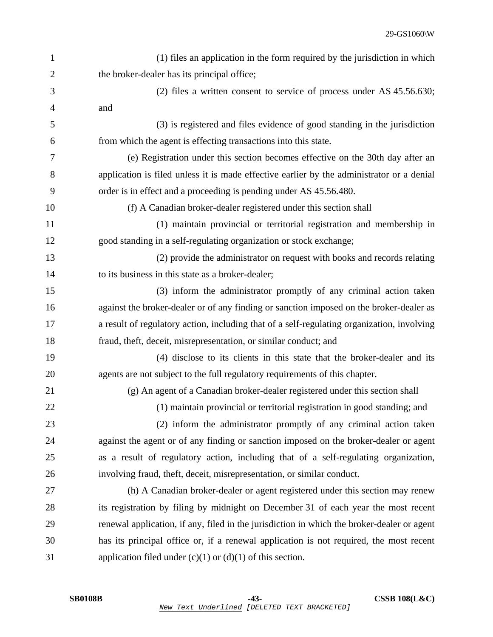| $\mathbf{1}$   | (1) files an application in the form required by the jurisdiction in which                 |
|----------------|--------------------------------------------------------------------------------------------|
| $\overline{2}$ | the broker-dealer has its principal office;                                                |
| 3              | (2) files a written consent to service of process under AS 45.56.630;                      |
| $\overline{4}$ | and                                                                                        |
| 5              | (3) is registered and files evidence of good standing in the jurisdiction                  |
| 6              | from which the agent is effecting transactions into this state.                            |
| 7              | (e) Registration under this section becomes effective on the 30th day after an             |
| 8              | application is filed unless it is made effective earlier by the administrator or a denial  |
| 9              | order is in effect and a proceeding is pending under AS 45.56.480.                         |
| 10             | (f) A Canadian broker-dealer registered under this section shall                           |
| 11             | (1) maintain provincial or territorial registration and membership in                      |
| 12             | good standing in a self-regulating organization or stock exchange;                         |
| 13             | (2) provide the administrator on request with books and records relating                   |
| 14             | to its business in this state as a broker-dealer;                                          |
| 15             | (3) inform the administrator promptly of any criminal action taken                         |
| 16             | against the broker-dealer or of any finding or sanction imposed on the broker-dealer as    |
| 17             | a result of regulatory action, including that of a self-regulating organization, involving |
| 18             | fraud, theft, deceit, misrepresentation, or similar conduct; and                           |
| 19             | (4) disclose to its clients in this state that the broker-dealer and its                   |
| 20             | agents are not subject to the full regulatory requirements of this chapter.                |
| 21             | (g) An agent of a Canadian broker-dealer registered under this section shall               |
| 22             | (1) maintain provincial or territorial registration in good standing; and                  |
| 23             | (2) inform the administrator promptly of any criminal action taken                         |
| 24             | against the agent or of any finding or sanction imposed on the broker-dealer or agent      |
| 25             | as a result of regulatory action, including that of a self-regulating organization,        |
| 26             | involving fraud, theft, deceit, misrepresentation, or similar conduct.                     |
| 27             | (h) A Canadian broker-dealer or agent registered under this section may renew              |
| 28             | its registration by filing by midnight on December 31 of each year the most recent         |
| 29             | renewal application, if any, filed in the jurisdiction in which the broker-dealer or agent |
| 30             | has its principal office or, if a renewal application is not required, the most recent     |
| 31             | application filed under $(c)(1)$ or $(d)(1)$ of this section.                              |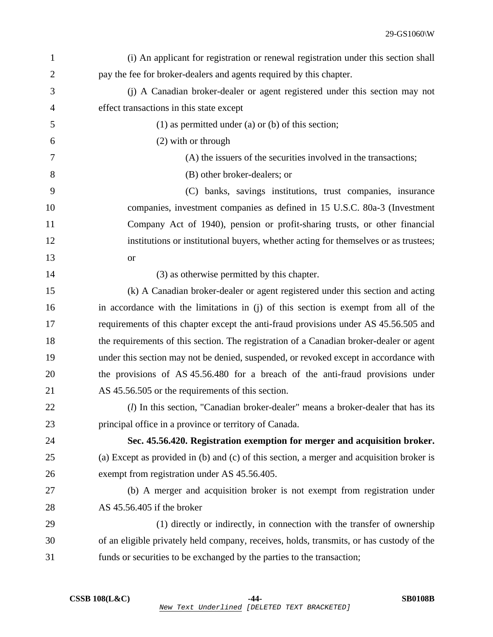| $\mathbf{1}$   | (i) An applicant for registration or renewal registration under this section shall        |
|----------------|-------------------------------------------------------------------------------------------|
| $\overline{2}$ | pay the fee for broker-dealers and agents required by this chapter.                       |
| 3              | (j) A Canadian broker-dealer or agent registered under this section may not               |
| $\overline{4}$ | effect transactions in this state except                                                  |
| 5              | $(1)$ as permitted under $(a)$ or $(b)$ of this section;                                  |
| 6              | (2) with or through                                                                       |
| 7              | (A) the issuers of the securities involved in the transactions;                           |
| 8              | (B) other broker-dealers; or                                                              |
| 9              | (C) banks, savings institutions, trust companies, insurance                               |
| 10             | companies, investment companies as defined in 15 U.S.C. 80a-3 (Investment                 |
| 11             | Company Act of 1940), pension or profit-sharing trusts, or other financial                |
| 12             | institutions or institutional buyers, whether acting for themselves or as trustees;       |
| 13             | <b>or</b>                                                                                 |
| 14             | (3) as otherwise permitted by this chapter.                                               |
| 15             | (k) A Canadian broker-dealer or agent registered under this section and acting            |
| 16             | in accordance with the limitations in (j) of this section is exempt from all of the       |
| 17             | requirements of this chapter except the anti-fraud provisions under AS 45.56.505 and      |
| 18             | the requirements of this section. The registration of a Canadian broker-dealer or agent   |
| 19             | under this section may not be denied, suspended, or revoked except in accordance with     |
| 20             | the provisions of AS 45.56.480 for a breach of the anti-fraud provisions under            |
| 21             | AS 45.56.505 or the requirements of this section.                                         |
| 22             | ( <i>l</i> ) In this section, "Canadian broker-dealer" means a broker-dealer that has its |
| 23             | principal office in a province or territory of Canada.                                    |
| 24             | Sec. 45.56.420. Registration exemption for merger and acquisition broker.                 |
| 25             | (a) Except as provided in (b) and (c) of this section, a merger and acquisition broker is |
| 26             | exempt from registration under AS 45.56.405.                                              |
| 27             | (b) A merger and acquisition broker is not exempt from registration under                 |
| 28             | AS 45.56.405 if the broker                                                                |
| 29             | (1) directly or indirectly, in connection with the transfer of ownership                  |
| 30             | of an eligible privately held company, receives, holds, transmits, or has custody of the  |
| 31             | funds or securities to be exchanged by the parties to the transaction;                    |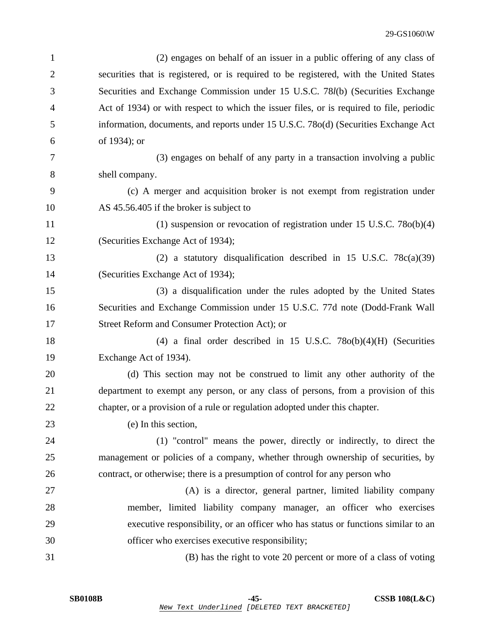| $\mathbf{1}$   | (2) engages on behalf of an issuer in a public offering of any class of                  |
|----------------|------------------------------------------------------------------------------------------|
| $\overline{2}$ | securities that is registered, or is required to be registered, with the United States   |
| 3              | Securities and Exchange Commission under 15 U.S.C. 78l(b) (Securities Exchange           |
| 4              | Act of 1934) or with respect to which the issuer files, or is required to file, periodic |
| 5              | information, documents, and reports under 15 U.S.C. 78o(d) (Securities Exchange Act      |
| 6              | of 1934); or                                                                             |
| 7              | (3) engages on behalf of any party in a transaction involving a public                   |
| 8              | shell company.                                                                           |
| 9              | (c) A merger and acquisition broker is not exempt from registration under                |
| 10             | AS 45.56.405 if the broker is subject to                                                 |
| 11             | (1) suspension or revocation of registration under 15 U.S.C. $78o(b)(4)$                 |
| 12             | (Securities Exchange Act of 1934);                                                       |
| 13             | (2) a statutory disqualification described in 15 U.S.C. $78c(a)(39)$                     |
| 14             | (Securities Exchange Act of 1934);                                                       |
| 15             | (3) a disqualification under the rules adopted by the United States                      |
| 16             | Securities and Exchange Commission under 15 U.S.C. 77d note (Dodd-Frank Wall             |
| 17             | Street Reform and Consumer Protection Act); or                                           |
| 18             | (4) a final order described in 15 U.S.C. $78o(b)(4)(H)$ (Securities                      |
| 19             | Exchange Act of 1934).                                                                   |
| 20             | (d) This section may not be construed to limit any other authority of the                |
| 21             | department to exempt any person, or any class of persons, from a provision of this       |
| 22             | chapter, or a provision of a rule or regulation adopted under this chapter.              |
| 23             | (e) In this section,                                                                     |
| 24             | (1) "control" means the power, directly or indirectly, to direct the                     |
| 25             | management or policies of a company, whether through ownership of securities, by         |
| 26             | contract, or otherwise; there is a presumption of control for any person who             |
| 27             | (A) is a director, general partner, limited liability company                            |
| 28             | member, limited liability company manager, an officer who exercises                      |
| 29             | executive responsibility, or an officer who has status or functions similar to an        |
| 30             | officer who exercises executive responsibility;                                          |
| 31             | (B) has the right to vote 20 percent or more of a class of voting                        |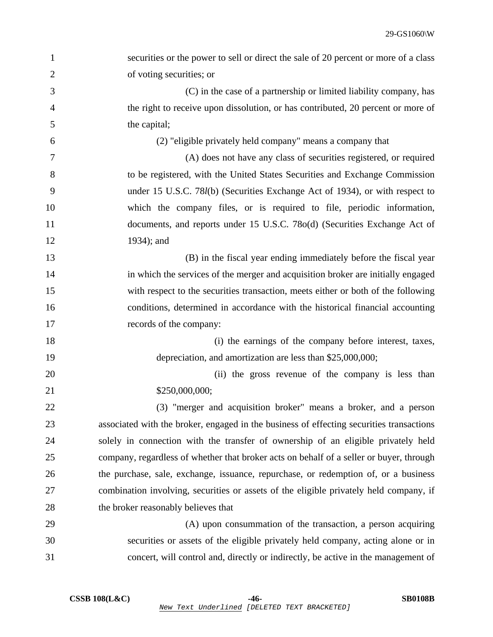| 1              | securities or the power to sell or direct the sale of 20 percent or more of a class      |
|----------------|------------------------------------------------------------------------------------------|
| $\overline{2}$ | of voting securities; or                                                                 |
| 3              | (C) in the case of a partnership or limited liability company, has                       |
| 4              | the right to receive upon dissolution, or has contributed, 20 percent or more of         |
| 5              | the capital;                                                                             |
| 6              | (2) "eligible privately held company" means a company that                               |
| 7              | (A) does not have any class of securities registered, or required                        |
| 8              | to be registered, with the United States Securities and Exchange Commission              |
| 9              | under 15 U.S.C. 78l(b) (Securities Exchange Act of 1934), or with respect to             |
| 10             | which the company files, or is required to file, periodic information,                   |
| 11             | documents, and reports under 15 U.S.C. 78o(d) (Securities Exchange Act of                |
| 12             | 1934); and                                                                               |
| 13             | (B) in the fiscal year ending immediately before the fiscal year                         |
| 14             | in which the services of the merger and acquisition broker are initially engaged         |
| 15             | with respect to the securities transaction, meets either or both of the following        |
| 16             | conditions, determined in accordance with the historical financial accounting            |
| 17             | records of the company:                                                                  |
| 18             | (i) the earnings of the company before interest, taxes,                                  |
| 19             | depreciation, and amortization are less than \$25,000,000;                               |
| 20             | (ii) the gross revenue of the company is less than                                       |
| 21             | \$250,000,000;                                                                           |
| 22             | (3) "merger and acquisition broker" means a broker, and a person                         |
| 23             | associated with the broker, engaged in the business of effecting securities transactions |
| 24             | solely in connection with the transfer of ownership of an eligible privately held        |
| 25             | company, regardless of whether that broker acts on behalf of a seller or buyer, through  |
| 26             | the purchase, sale, exchange, issuance, repurchase, or redemption of, or a business      |
| 27             | combination involving, securities or assets of the eligible privately held company, if   |
| 28             | the broker reasonably believes that                                                      |
| 29             | (A) upon consummation of the transaction, a person acquiring                             |
| 30             | securities or assets of the eligible privately held company, acting alone or in          |
| 31             | concert, will control and, directly or indirectly, be active in the management of        |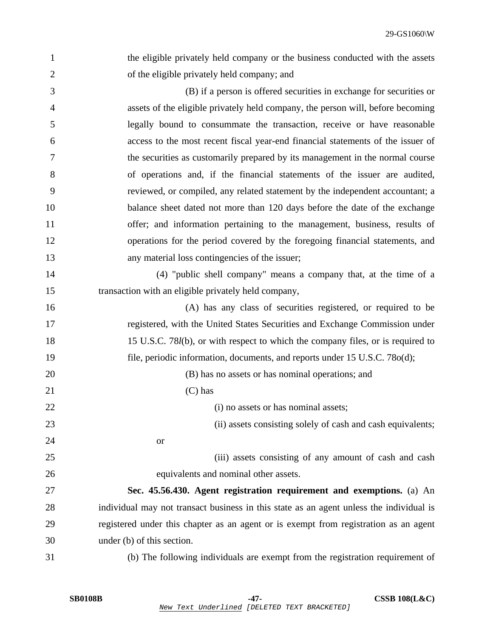| $\mathbf{1}$   | the eligible privately held company or the business conducted with the assets           |
|----------------|-----------------------------------------------------------------------------------------|
| $\overline{2}$ | of the eligible privately held company; and                                             |
| 3              | (B) if a person is offered securities in exchange for securities or                     |
| $\overline{4}$ | assets of the eligible privately held company, the person will, before becoming         |
| 5              | legally bound to consummate the transaction, receive or have reasonable                 |
| 6              | access to the most recent fiscal year-end financial statements of the issuer of         |
| 7              | the securities as customarily prepared by its management in the normal course           |
| 8              | of operations and, if the financial statements of the issuer are audited,               |
| 9              | reviewed, or compiled, any related statement by the independent accountant; a           |
| 10             | balance sheet dated not more than 120 days before the date of the exchange              |
| 11             | offer; and information pertaining to the management, business, results of               |
| 12             | operations for the period covered by the foregoing financial statements, and            |
| 13             | any material loss contingencies of the issuer;                                          |
| 14             | (4) "public shell company" means a company that, at the time of a                       |
| 15             | transaction with an eligible privately held company,                                    |
| 16             | (A) has any class of securities registered, or required to be                           |
| 17             | registered, with the United States Securities and Exchange Commission under             |
| 18             | 15 U.S.C. 78l(b), or with respect to which the company files, or is required to         |
| 19             | file, periodic information, documents, and reports under 15 U.S.C. 78o(d);              |
| 20             | (B) has no assets or has nominal operations; and                                        |
| 21             | $(C)$ has                                                                               |
| 22             | (i) no assets or has nominal assets;                                                    |
| 23             | (ii) assets consisting solely of cash and cash equivalents;                             |
| 24             | <b>or</b>                                                                               |
| 25             | (iii) assets consisting of any amount of cash and cash                                  |
| 26             | equivalents and nominal other assets.                                                   |
| 27             | Sec. 45.56.430. Agent registration requirement and exemptions. (a) An                   |
| 28             | individual may not transact business in this state as an agent unless the individual is |
| 29             | registered under this chapter as an agent or is exempt from registration as an agent    |
| 30             | under (b) of this section.                                                              |
| 31             | (b) The following individuals are exempt from the registration requirement of           |
|                |                                                                                         |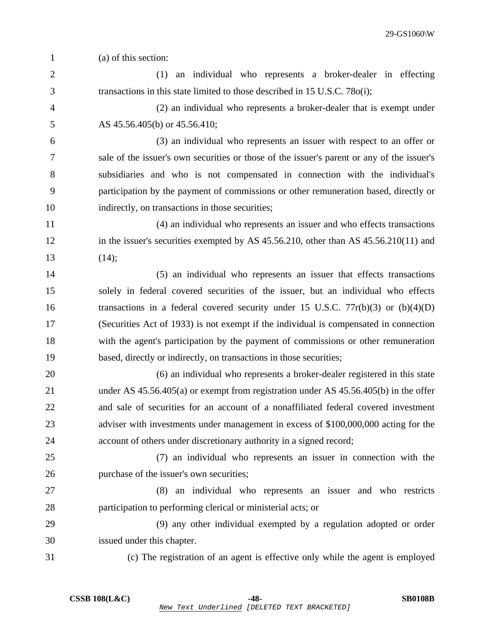29-GS1060\W

1 (a) of this section: 2 (1) an individual who represents a broker-dealer in effecting 3 transactions in this state limited to those described in 15 U.S.C. 78o(i); 4 (2) an individual who represents a broker-dealer that is exempt under 5 AS 45.56.405(b) or 45.56.410; 6 (3) an individual who represents an issuer with respect to an offer or 7 sale of the issuer's own securities or those of the issuer's parent or any of the issuer's 8 subsidiaries and who is not compensated in connection with the individual's 9 participation by the payment of commissions or other remuneration based, directly or 10 indirectly, on transactions in those securities; 11 (4) an individual who represents an issuer and who effects transactions 12 in the issuer's securities exempted by AS 45.56.210, other than AS 45.56.210(11) and 13 (14); 14 (5) an individual who represents an issuer that effects transactions 15 solely in federal covered securities of the issuer, but an individual who effects 16 transactions in a federal covered security under 15 U.S.C. 77r(b)(3) or (b)(4)(D) 17 (Securities Act of 1933) is not exempt if the individual is compensated in connection 18 with the agent's participation by the payment of commissions or other remuneration 19 based, directly or indirectly, on transactions in those securities; 20 (6) an individual who represents a broker-dealer registered in this state 21 under AS 45.56.405(a) or exempt from registration under AS 45.56.405(b) in the offer 22 and sale of securities for an account of a nonaffiliated federal covered investment 23 adviser with investments under management in excess of \$100,000,000 acting for the 24 account of others under discretionary authority in a signed record; 25 (7) an individual who represents an issuer in connection with the 26 purchase of the issuer's own securities; 27 (8) an individual who represents an issuer and who restricts 28 participation to performing clerical or ministerial acts; or 29 (9) any other individual exempted by a regulation adopted or order 30 issued under this chapter. 31 (c) The registration of an agent is effective only while the agent is employed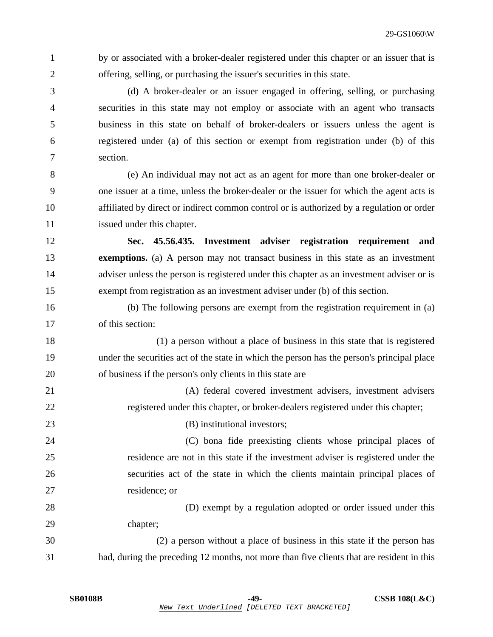1 by or associated with a broker-dealer registered under this chapter or an issuer that is 2 offering, selling, or purchasing the issuer's securities in this state.

3 (d) A broker-dealer or an issuer engaged in offering, selling, or purchasing 4 securities in this state may not employ or associate with an agent who transacts 5 business in this state on behalf of broker-dealers or issuers unless the agent is 6 registered under (a) of this section or exempt from registration under (b) of this 7 section.

8 (e) An individual may not act as an agent for more than one broker-dealer or 9 one issuer at a time, unless the broker-dealer or the issuer for which the agent acts is 10 affiliated by direct or indirect common control or is authorized by a regulation or order 11 issued under this chapter.

12 **Sec. 45.56.435. Investment adviser registration requirement and**  13 **exemptions.** (a) A person may not transact business in this state as an investment 14 adviser unless the person is registered under this chapter as an investment adviser or is 15 exempt from registration as an investment adviser under (b) of this section.

16 (b) The following persons are exempt from the registration requirement in (a) 17 of this section:

18 (1) a person without a place of business in this state that is registered 19 under the securities act of the state in which the person has the person's principal place 20 of business if the person's only clients in this state are

21 (A) federal covered investment advisers, investment advisers 22 registered under this chapter, or broker-dealers registered under this chapter;

23 (B) institutional investors;

24 (C) bona fide preexisting clients whose principal places of 25 residence are not in this state if the investment adviser is registered under the 26 securities act of the state in which the clients maintain principal places of 27 residence; or

28 (D) exempt by a regulation adopted or order issued under this 29 chapter;

30 (2) a person without a place of business in this state if the person has 31 had, during the preceding 12 months, not more than five clients that are resident in this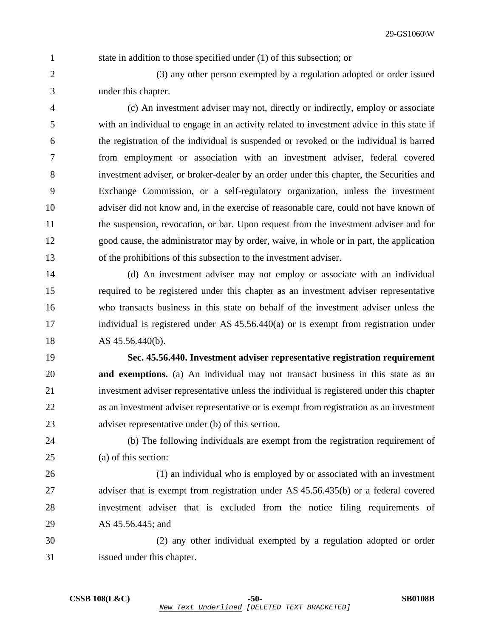29-GS1060\W

1 state in addition to those specified under (1) of this subsection; or

2 (3) any other person exempted by a regulation adopted or order issued 3 under this chapter.

4 (c) An investment adviser may not, directly or indirectly, employ or associate 5 with an individual to engage in an activity related to investment advice in this state if 6 the registration of the individual is suspended or revoked or the individual is barred 7 from employment or association with an investment adviser, federal covered 8 investment adviser, or broker-dealer by an order under this chapter, the Securities and 9 Exchange Commission, or a self-regulatory organization, unless the investment 10 adviser did not know and, in the exercise of reasonable care, could not have known of 11 the suspension, revocation, or bar. Upon request from the investment adviser and for 12 good cause, the administrator may by order, waive, in whole or in part, the application 13 of the prohibitions of this subsection to the investment adviser.

14 (d) An investment adviser may not employ or associate with an individual 15 required to be registered under this chapter as an investment adviser representative 16 who transacts business in this state on behalf of the investment adviser unless the 17 individual is registered under AS 45.56.440(a) or is exempt from registration under 18 AS 45.56.440(b).

19 **Sec. 45.56.440. Investment adviser representative registration requirement**  20 **and exemptions.** (a) An individual may not transact business in this state as an 21 investment adviser representative unless the individual is registered under this chapter 22 as an investment adviser representative or is exempt from registration as an investment 23 adviser representative under (b) of this section.

24 (b) The following individuals are exempt from the registration requirement of 25 (a) of this section:

26 (1) an individual who is employed by or associated with an investment 27 adviser that is exempt from registration under AS 45.56.435(b) or a federal covered 28 investment adviser that is excluded from the notice filing requirements of 29 AS 45.56.445; and

30 (2) any other individual exempted by a regulation adopted or order 31 issued under this chapter.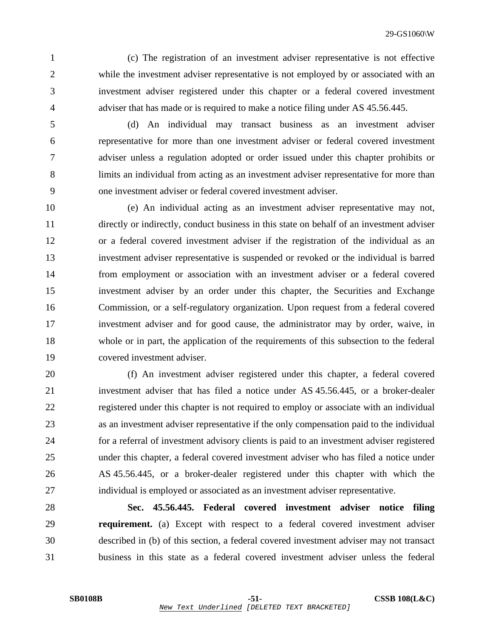1 (c) The registration of an investment adviser representative is not effective 2 while the investment adviser representative is not employed by or associated with an 3 investment adviser registered under this chapter or a federal covered investment 4 adviser that has made or is required to make a notice filing under AS 45.56.445.

5 (d) An individual may transact business as an investment adviser 6 representative for more than one investment adviser or federal covered investment 7 adviser unless a regulation adopted or order issued under this chapter prohibits or 8 limits an individual from acting as an investment adviser representative for more than 9 one investment adviser or federal covered investment adviser.

10 (e) An individual acting as an investment adviser representative may not, 11 directly or indirectly, conduct business in this state on behalf of an investment adviser 12 or a federal covered investment adviser if the registration of the individual as an 13 investment adviser representative is suspended or revoked or the individual is barred 14 from employment or association with an investment adviser or a federal covered 15 investment adviser by an order under this chapter, the Securities and Exchange 16 Commission, or a self-regulatory organization. Upon request from a federal covered 17 investment adviser and for good cause, the administrator may by order, waive, in 18 whole or in part, the application of the requirements of this subsection to the federal 19 covered investment adviser.

20 (f) An investment adviser registered under this chapter, a federal covered 21 investment adviser that has filed a notice under AS 45.56.445, or a broker-dealer 22 registered under this chapter is not required to employ or associate with an individual 23 as an investment adviser representative if the only compensation paid to the individual 24 for a referral of investment advisory clients is paid to an investment adviser registered 25 under this chapter, a federal covered investment adviser who has filed a notice under 26 AS 45.56.445, or a broker-dealer registered under this chapter with which the 27 individual is employed or associated as an investment adviser representative.

28 **Sec. 45.56.445. Federal covered investment adviser notice filing**  29 **requirement.** (a) Except with respect to a federal covered investment adviser 30 described in (b) of this section, a federal covered investment adviser may not transact 31 business in this state as a federal covered investment adviser unless the federal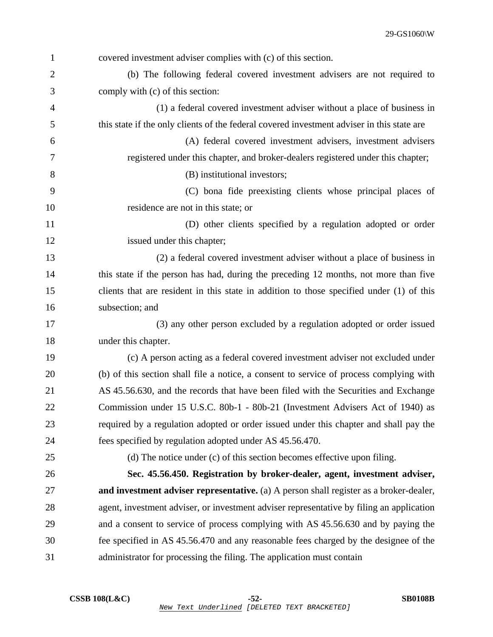| 1              | covered investment adviser complies with (c) of this section.                              |
|----------------|--------------------------------------------------------------------------------------------|
| $\overline{2}$ | (b) The following federal covered investment advisers are not required to                  |
| 3              | comply with (c) of this section:                                                           |
| $\overline{4}$ | (1) a federal covered investment adviser without a place of business in                    |
| 5              | this state if the only clients of the federal covered investment adviser in this state are |
| 6              | (A) federal covered investment advisers, investment advisers                               |
| 7              | registered under this chapter, and broker-dealers registered under this chapter;           |
| 8              | (B) institutional investors;                                                               |
| 9              | (C) bona fide preexisting clients whose principal places of                                |
| 10             | residence are not in this state; or                                                        |
| 11             | (D) other clients specified by a regulation adopted or order                               |
| 12             | issued under this chapter;                                                                 |
| 13             | (2) a federal covered investment adviser without a place of business in                    |
| 14             | this state if the person has had, during the preceding 12 months, not more than five       |
| 15             | clients that are resident in this state in addition to those specified under (1) of this   |
| 16             | subsection; and                                                                            |
| 17             | (3) any other person excluded by a regulation adopted or order issued                      |
| 18             | under this chapter.                                                                        |
| 19             | (c) A person acting as a federal covered investment adviser not excluded under             |
| 20             | (b) of this section shall file a notice, a consent to service of process complying with    |
| 21             | AS 45.56.630, and the records that have been filed with the Securities and Exchange        |
| 22             | Commission under 15 U.S.C. 80b-1 - 80b-21 (Investment Advisers Act of 1940) as             |
| 23             | required by a regulation adopted or order issued under this chapter and shall pay the      |
| 24             | fees specified by regulation adopted under AS 45.56.470.                                   |
| 25             | (d) The notice under (c) of this section becomes effective upon filing.                    |
| 26             | Sec. 45.56.450. Registration by broker-dealer, agent, investment adviser,                  |
| 27             | and investment adviser representative. (a) A person shall register as a broker-dealer,     |
| 28             | agent, investment adviser, or investment adviser representative by filing an application   |
| 29             | and a consent to service of process complying with AS 45.56.630 and by paying the          |
| 30             | fee specified in AS 45.56.470 and any reasonable fees charged by the designee of the       |
| 31             | administrator for processing the filing. The application must contain                      |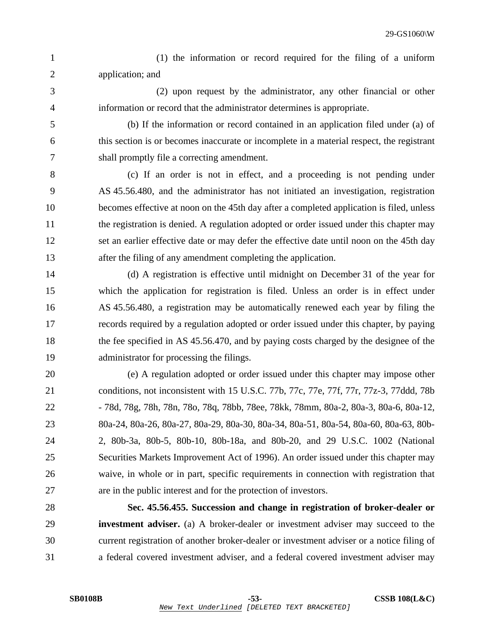1 (1) the information or record required for the filing of a uniform 2 application; and

3 (2) upon request by the administrator, any other financial or other 4 information or record that the administrator determines is appropriate.

5 (b) If the information or record contained in an application filed under (a) of 6 this section is or becomes inaccurate or incomplete in a material respect, the registrant 7 shall promptly file a correcting amendment.

8 (c) If an order is not in effect, and a proceeding is not pending under 9 AS 45.56.480, and the administrator has not initiated an investigation, registration 10 becomes effective at noon on the 45th day after a completed application is filed, unless 11 the registration is denied. A regulation adopted or order issued under this chapter may 12 set an earlier effective date or may defer the effective date until noon on the 45th day 13 after the filing of any amendment completing the application.

14 (d) A registration is effective until midnight on December 31 of the year for 15 which the application for registration is filed. Unless an order is in effect under 16 AS 45.56.480, a registration may be automatically renewed each year by filing the 17 records required by a regulation adopted or order issued under this chapter, by paying 18 the fee specified in AS 45.56.470, and by paying costs charged by the designee of the 19 administrator for processing the filings.

20 (e) A regulation adopted or order issued under this chapter may impose other 21 conditions, not inconsistent with 15 U.S.C. 77b, 77c, 77e, 77f, 77r, 77z-3, 77ddd, 78b 22 - 78d, 78g, 78h, 78n, 78o, 78q, 78bb, 78ee, 78kk, 78mm, 80a-2, 80a-3, 80a-6, 80a-12, 23 80a-24, 80a-26, 80a-27, 80a-29, 80a-30, 80a-34, 80a-51, 80a-54, 80a-60, 80a-63, 80b-24 2, 80b-3a, 80b-5, 80b-10, 80b-18a, and 80b-20, and 29 U.S.C. 1002 (National 25 Securities Markets Improvement Act of 1996). An order issued under this chapter may 26 waive, in whole or in part, specific requirements in connection with registration that 27 are in the public interest and for the protection of investors.

28 **Sec. 45.56.455. Succession and change in registration of broker-dealer or**  29 **investment adviser.** (a) A broker-dealer or investment adviser may succeed to the 30 current registration of another broker-dealer or investment adviser or a notice filing of 31 a federal covered investment adviser, and a federal covered investment adviser may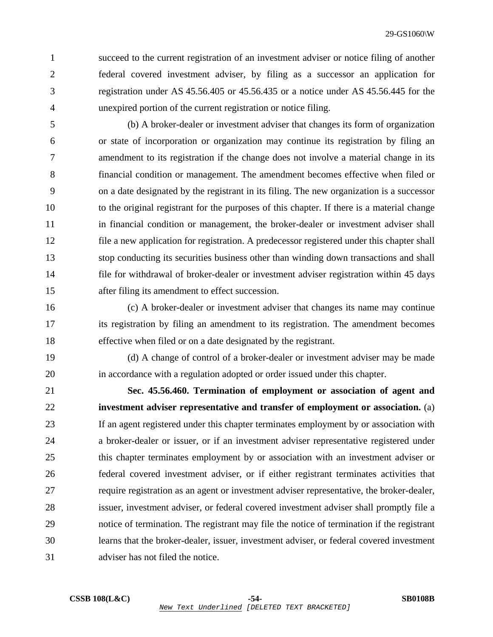1 succeed to the current registration of an investment adviser or notice filing of another 2 federal covered investment adviser, by filing as a successor an application for 3 registration under AS 45.56.405 or 45.56.435 or a notice under AS 45.56.445 for the 4 unexpired portion of the current registration or notice filing.

5 (b) A broker-dealer or investment adviser that changes its form of organization 6 or state of incorporation or organization may continue its registration by filing an 7 amendment to its registration if the change does not involve a material change in its 8 financial condition or management. The amendment becomes effective when filed or 9 on a date designated by the registrant in its filing. The new organization is a successor 10 to the original registrant for the purposes of this chapter. If there is a material change 11 in financial condition or management, the broker-dealer or investment adviser shall 12 file a new application for registration. A predecessor registered under this chapter shall 13 stop conducting its securities business other than winding down transactions and shall 14 file for withdrawal of broker-dealer or investment adviser registration within 45 days 15 after filing its amendment to effect succession.

16 (c) A broker-dealer or investment adviser that changes its name may continue 17 its registration by filing an amendment to its registration. The amendment becomes 18 effective when filed or on a date designated by the registrant.

19 (d) A change of control of a broker-dealer or investment adviser may be made 20 in accordance with a regulation adopted or order issued under this chapter.

21 **Sec. 45.56.460. Termination of employment or association of agent and**  22 **investment adviser representative and transfer of employment or association.** (a) 23 If an agent registered under this chapter terminates employment by or association with 24 a broker-dealer or issuer, or if an investment adviser representative registered under 25 this chapter terminates employment by or association with an investment adviser or 26 federal covered investment adviser, or if either registrant terminates activities that 27 require registration as an agent or investment adviser representative, the broker-dealer, 28 issuer, investment adviser, or federal covered investment adviser shall promptly file a 29 notice of termination. The registrant may file the notice of termination if the registrant 30 learns that the broker-dealer, issuer, investment adviser, or federal covered investment 31 adviser has not filed the notice.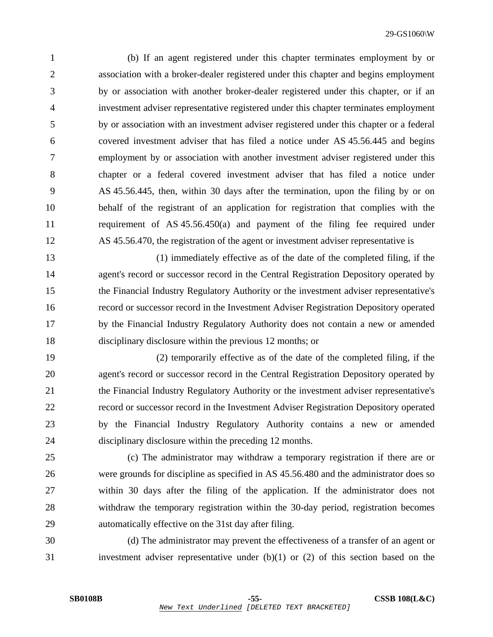1 (b) If an agent registered under this chapter terminates employment by or 2 association with a broker-dealer registered under this chapter and begins employment 3 by or association with another broker-dealer registered under this chapter, or if an 4 investment adviser representative registered under this chapter terminates employment 5 by or association with an investment adviser registered under this chapter or a federal 6 covered investment adviser that has filed a notice under AS 45.56.445 and begins 7 employment by or association with another investment adviser registered under this 8 chapter or a federal covered investment adviser that has filed a notice under 9 AS 45.56.445, then, within 30 days after the termination, upon the filing by or on 10 behalf of the registrant of an application for registration that complies with the 11 requirement of AS 45.56.450(a) and payment of the filing fee required under 12 AS 45.56.470, the registration of the agent or investment adviser representative is

13 (1) immediately effective as of the date of the completed filing, if the 14 agent's record or successor record in the Central Registration Depository operated by 15 the Financial Industry Regulatory Authority or the investment adviser representative's 16 record or successor record in the Investment Adviser Registration Depository operated 17 by the Financial Industry Regulatory Authority does not contain a new or amended 18 disciplinary disclosure within the previous 12 months; or

19 (2) temporarily effective as of the date of the completed filing, if the 20 agent's record or successor record in the Central Registration Depository operated by 21 the Financial Industry Regulatory Authority or the investment adviser representative's 22 record or successor record in the Investment Adviser Registration Depository operated 23 by the Financial Industry Regulatory Authority contains a new or amended 24 disciplinary disclosure within the preceding 12 months.

25 (c) The administrator may withdraw a temporary registration if there are or 26 were grounds for discipline as specified in AS 45.56.480 and the administrator does so 27 within 30 days after the filing of the application. If the administrator does not 28 withdraw the temporary registration within the 30-day period, registration becomes 29 automatically effective on the 31st day after filing.

30 (d) The administrator may prevent the effectiveness of a transfer of an agent or 31 investment adviser representative under (b)(1) or (2) of this section based on the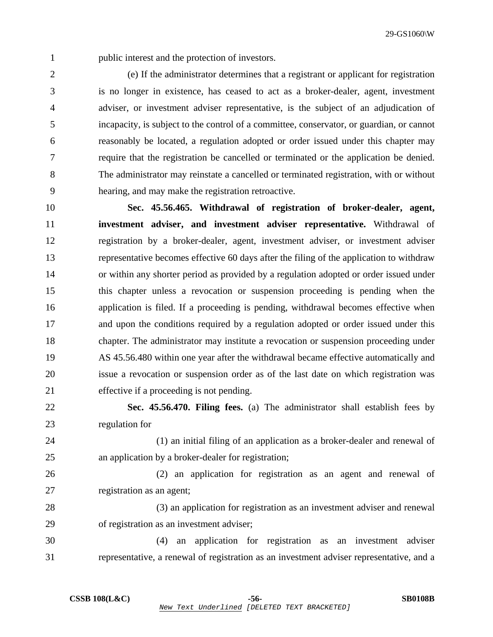1 public interest and the protection of investors.

2 (e) If the administrator determines that a registrant or applicant for registration 3 is no longer in existence, has ceased to act as a broker-dealer, agent, investment 4 adviser, or investment adviser representative, is the subject of an adjudication of 5 incapacity, is subject to the control of a committee, conservator, or guardian, or cannot 6 reasonably be located, a regulation adopted or order issued under this chapter may 7 require that the registration be cancelled or terminated or the application be denied. 8 The administrator may reinstate a cancelled or terminated registration, with or without 9 hearing, and may make the registration retroactive.

10 **Sec. 45.56.465. Withdrawal of registration of broker-dealer, agent,**  11 **investment adviser, and investment adviser representative.** Withdrawal of 12 registration by a broker-dealer, agent, investment adviser, or investment adviser 13 representative becomes effective 60 days after the filing of the application to withdraw 14 or within any shorter period as provided by a regulation adopted or order issued under 15 this chapter unless a revocation or suspension proceeding is pending when the 16 application is filed. If a proceeding is pending, withdrawal becomes effective when 17 and upon the conditions required by a regulation adopted or order issued under this 18 chapter. The administrator may institute a revocation or suspension proceeding under 19 AS 45.56.480 within one year after the withdrawal became effective automatically and 20 issue a revocation or suspension order as of the last date on which registration was 21 effective if a proceeding is not pending.

22 **Sec. 45.56.470. Filing fees.** (a) The administrator shall establish fees by 23 regulation for

24 (1) an initial filing of an application as a broker-dealer and renewal of 25 an application by a broker-dealer for registration;

26 (2) an application for registration as an agent and renewal of 27 registration as an agent;

28 (3) an application for registration as an investment adviser and renewal 29 of registration as an investment adviser;

30 (4) an application for registration as an investment adviser 31 representative, a renewal of registration as an investment adviser representative, and a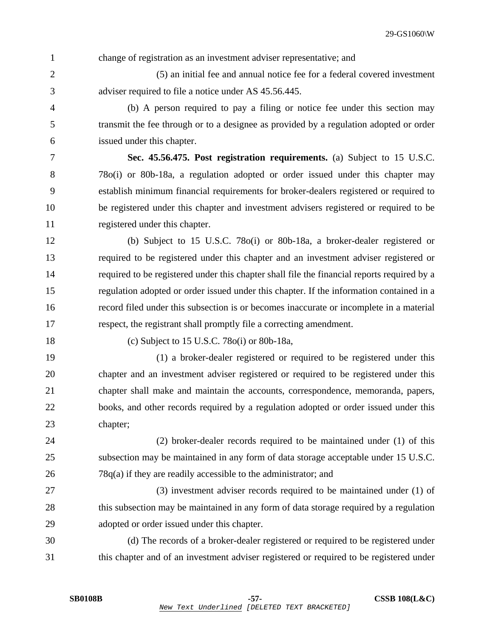1 change of registration as an investment adviser representative; and 2 (5) an initial fee and annual notice fee for a federal covered investment 3 adviser required to file a notice under AS 45.56.445. 4 (b) A person required to pay a filing or notice fee under this section may 5 transmit the fee through or to a designee as provided by a regulation adopted or order 6 issued under this chapter. 7 **Sec. 45.56.475. Post registration requirements.** (a) Subject to 15 U.S.C. 8 78o(i) or 80b-18a, a regulation adopted or order issued under this chapter may 9 establish minimum financial requirements for broker-dealers registered or required to 10 be registered under this chapter and investment advisers registered or required to be 11 registered under this chapter. 12 (b) Subject to 15 U.S.C. 78o(i) or 80b-18a, a broker-dealer registered or 13 required to be registered under this chapter and an investment adviser registered or 14 required to be registered under this chapter shall file the financial reports required by a 15 regulation adopted or order issued under this chapter. If the information contained in a 16 record filed under this subsection is or becomes inaccurate or incomplete in a material 17 respect, the registrant shall promptly file a correcting amendment. 18 (c) Subject to 15 U.S.C. 78o(i) or 80b-18a, 19 (1) a broker-dealer registered or required to be registered under this 20 chapter and an investment adviser registered or required to be registered under this 21 chapter shall make and maintain the accounts, correspondence, memoranda, papers, 22 books, and other records required by a regulation adopted or order issued under this 23 chapter; 24 (2) broker-dealer records required to be maintained under (1) of this 25 subsection may be maintained in any form of data storage acceptable under 15 U.S.C.  $26$  78 $q(a)$  if they are readily accessible to the administrator; and 27 (3) investment adviser records required to be maintained under (1) of 28 this subsection may be maintained in any form of data storage required by a regulation 29 adopted or order issued under this chapter. 30 (d) The records of a broker-dealer registered or required to be registered under 31 this chapter and of an investment adviser registered or required to be registered under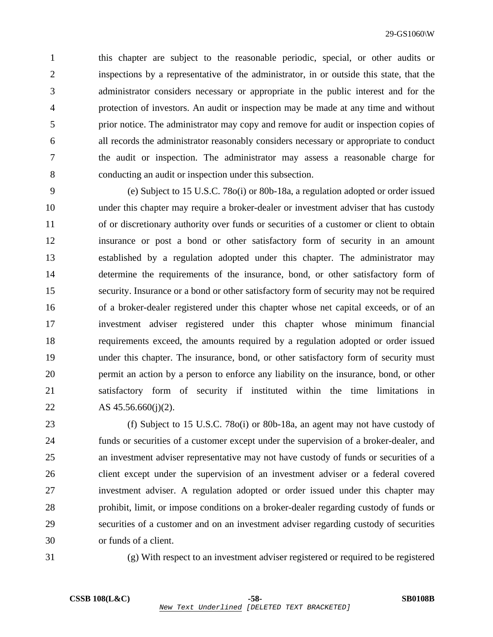1 this chapter are subject to the reasonable periodic, special, or other audits or 2 inspections by a representative of the administrator, in or outside this state, that the 3 administrator considers necessary or appropriate in the public interest and for the 4 protection of investors. An audit or inspection may be made at any time and without 5 prior notice. The administrator may copy and remove for audit or inspection copies of 6 all records the administrator reasonably considers necessary or appropriate to conduct 7 the audit or inspection. The administrator may assess a reasonable charge for 8 conducting an audit or inspection under this subsection.

9 (e) Subject to 15 U.S.C. 78o(i) or 80b-18a, a regulation adopted or order issued 10 under this chapter may require a broker-dealer or investment adviser that has custody 11 of or discretionary authority over funds or securities of a customer or client to obtain 12 insurance or post a bond or other satisfactory form of security in an amount 13 established by a regulation adopted under this chapter. The administrator may 14 determine the requirements of the insurance, bond, or other satisfactory form of 15 security. Insurance or a bond or other satisfactory form of security may not be required 16 of a broker-dealer registered under this chapter whose net capital exceeds, or of an 17 investment adviser registered under this chapter whose minimum financial 18 requirements exceed, the amounts required by a regulation adopted or order issued 19 under this chapter. The insurance, bond, or other satisfactory form of security must 20 permit an action by a person to enforce any liability on the insurance, bond, or other 21 satisfactory form of security if instituted within the time limitations in 22 AS 45.56.660(j)(2).

23 (f) Subject to 15 U.S.C. 78o(i) or 80b-18a, an agent may not have custody of 24 funds or securities of a customer except under the supervision of a broker-dealer, and 25 an investment adviser representative may not have custody of funds or securities of a 26 client except under the supervision of an investment adviser or a federal covered 27 investment adviser. A regulation adopted or order issued under this chapter may 28 prohibit, limit, or impose conditions on a broker-dealer regarding custody of funds or 29 securities of a customer and on an investment adviser regarding custody of securities 30 or funds of a client.

31 (g) With respect to an investment adviser registered or required to be registered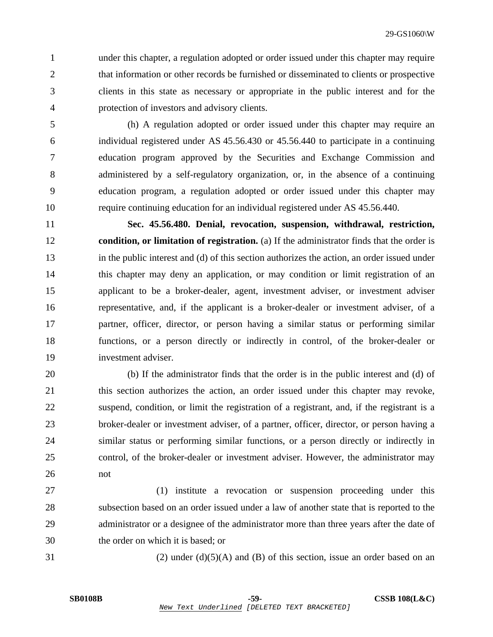1 under this chapter, a regulation adopted or order issued under this chapter may require 2 that information or other records be furnished or disseminated to clients or prospective 3 clients in this state as necessary or appropriate in the public interest and for the 4 protection of investors and advisory clients.

5 (h) A regulation adopted or order issued under this chapter may require an 6 individual registered under AS 45.56.430 or 45.56.440 to participate in a continuing 7 education program approved by the Securities and Exchange Commission and 8 administered by a self-regulatory organization, or, in the absence of a continuing 9 education program, a regulation adopted or order issued under this chapter may 10 require continuing education for an individual registered under AS 45.56.440.

11 **Sec. 45.56.480. Denial, revocation, suspension, withdrawal, restriction,**  12 **condition, or limitation of registration.** (a) If the administrator finds that the order is 13 in the public interest and (d) of this section authorizes the action, an order issued under 14 this chapter may deny an application, or may condition or limit registration of an 15 applicant to be a broker-dealer, agent, investment adviser, or investment adviser 16 representative, and, if the applicant is a broker-dealer or investment adviser, of a 17 partner, officer, director, or person having a similar status or performing similar 18 functions, or a person directly or indirectly in control, of the broker-dealer or 19 investment adviser.

20 (b) If the administrator finds that the order is in the public interest and (d) of 21 this section authorizes the action, an order issued under this chapter may revoke, 22 suspend, condition, or limit the registration of a registrant, and, if the registrant is a 23 broker-dealer or investment adviser, of a partner, officer, director, or person having a 24 similar status or performing similar functions, or a person directly or indirectly in 25 control, of the broker-dealer or investment adviser. However, the administrator may 26 not

27 (1) institute a revocation or suspension proceeding under this 28 subsection based on an order issued under a law of another state that is reported to the 29 administrator or a designee of the administrator more than three years after the date of 30 the order on which it is based; or

31 (2) under  $(d)(5)(A)$  and  $(B)$  of this section, issue an order based on an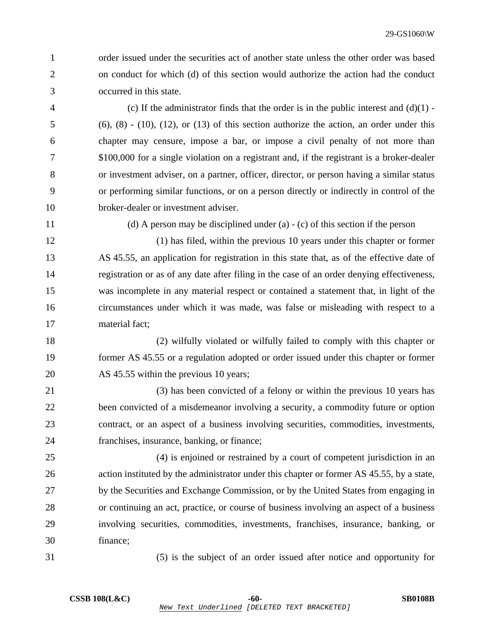1 order issued under the securities act of another state unless the other order was based 2 on conduct for which (d) of this section would authorize the action had the conduct 3 occurred in this state.

4 (c) If the administrator finds that the order is in the public interest and  $(d)(1)$ .  $5$  (6),  $(8)$  -  $(10)$ ,  $(12)$ , or  $(13)$  of this section authorize the action, an order under this 6 chapter may censure, impose a bar, or impose a civil penalty of not more than 7 \$100,000 for a single violation on a registrant and, if the registrant is a broker-dealer 8 or investment adviser, on a partner, officer, director, or person having a similar status 9 or performing similar functions, or on a person directly or indirectly in control of the 10 broker-dealer or investment adviser.

11 (d) A person may be disciplined under (a) - (c) of this section if the person

12 (1) has filed, within the previous 10 years under this chapter or former 13 AS 45.55, an application for registration in this state that, as of the effective date of 14 registration or as of any date after filing in the case of an order denying effectiveness, 15 was incomplete in any material respect or contained a statement that, in light of the 16 circumstances under which it was made, was false or misleading with respect to a 17 material fact;

18 (2) wilfully violated or wilfully failed to comply with this chapter or 19 former AS 45.55 or a regulation adopted or order issued under this chapter or former 20 AS 45.55 within the previous 10 years;

21 (3) has been convicted of a felony or within the previous 10 years has 22 been convicted of a misdemeanor involving a security, a commodity future or option 23 contract, or an aspect of a business involving securities, commodities, investments, 24 franchises, insurance, banking, or finance;

25 (4) is enjoined or restrained by a court of competent jurisdiction in an 26 action instituted by the administrator under this chapter or former AS 45.55, by a state, 27 by the Securities and Exchange Commission, or by the United States from engaging in 28 or continuing an act, practice, or course of business involving an aspect of a business 29 involving securities, commodities, investments, franchises, insurance, banking, or 30 finance;

31 (5) is the subject of an order issued after notice and opportunity for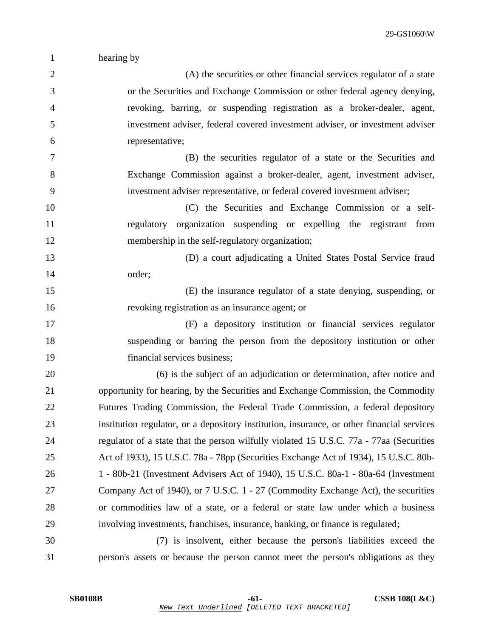| $\mathbf{1}$   | hearing by                                                                                 |
|----------------|--------------------------------------------------------------------------------------------|
| $\overline{2}$ | (A) the securities or other financial services regulator of a state                        |
| 3              | or the Securities and Exchange Commission or other federal agency denying,                 |
| 4              | revoking, barring, or suspending registration as a broker-dealer, agent,                   |
| 5              | investment adviser, federal covered investment adviser, or investment adviser              |
| 6              | representative;                                                                            |
| 7              | (B) the securities regulator of a state or the Securities and                              |
| 8              | Exchange Commission against a broker-dealer, agent, investment adviser,                    |
| 9              | investment adviser representative, or federal covered investment adviser;                  |
| 10             | (C) the Securities and Exchange Commission or a self-                                      |
| 11             | regulatory organization suspending or expelling the registrant from                        |
| 12             | membership in the self-regulatory organization;                                            |
| 13             | (D) a court adjudicating a United States Postal Service fraud                              |
| 14             | order;                                                                                     |
| 15             | (E) the insurance regulator of a state denying, suspending, or                             |
| 16             | revoking registration as an insurance agent; or                                            |
| 17             | (F) a depository institution or financial services regulator                               |
| 18             | suspending or barring the person from the depository institution or other                  |
| 19             | financial services business;                                                               |
| 20             | (6) is the subject of an adjudication or determination, after notice and                   |
| 21             | opportunity for hearing, by the Securities and Exchange Commission, the Commodity          |
| 22             | Futures Trading Commission, the Federal Trade Commission, a federal depository             |
| 23             | institution regulator, or a depository institution, insurance, or other financial services |
| 24             | regulator of a state that the person wilfully violated 15 U.S.C. 77a - 77aa (Securities    |
| 25             | Act of 1933), 15 U.S.C. 78a - 78pp (Securities Exchange Act of 1934), 15 U.S.C. 80b-       |
| 26             | 1 - 80b-21 (Investment Advisers Act of 1940), 15 U.S.C. 80a-1 - 80a-64 (Investment         |
| 27             | Company Act of 1940), or 7 U.S.C. 1 - 27 (Commodity Exchange Act), the securities          |
| 28             | or commodities law of a state, or a federal or state law under which a business            |
| 29             | involving investments, franchises, insurance, banking, or finance is regulated;            |
| 30             | (7) is insolvent, either because the person's liabilities exceed the                       |
| 31             | person's assets or because the person cannot meet the person's obligations as they         |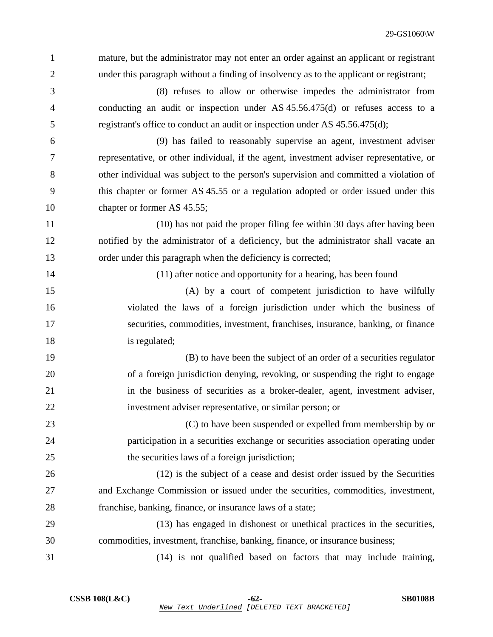1 mature, but the administrator may not enter an order against an applicant or registrant 2 under this paragraph without a finding of insolvency as to the applicant or registrant; 3 (8) refuses to allow or otherwise impedes the administrator from 4 conducting an audit or inspection under AS 45.56.475(d) or refuses access to a 5 registrant's office to conduct an audit or inspection under AS 45.56.475(d); 6 (9) has failed to reasonably supervise an agent, investment adviser 7 representative, or other individual, if the agent, investment adviser representative, or 8 other individual was subject to the person's supervision and committed a violation of 9 this chapter or former AS 45.55 or a regulation adopted or order issued under this 10 chapter or former AS 45.55; 11 (10) has not paid the proper filing fee within 30 days after having been 12 notified by the administrator of a deficiency, but the administrator shall vacate an 13 order under this paragraph when the deficiency is corrected; 14 (11) after notice and opportunity for a hearing, has been found 15 (A) by a court of competent jurisdiction to have wilfully 16 violated the laws of a foreign jurisdiction under which the business of 17 securities, commodities, investment, franchises, insurance, banking, or finance 18 is regulated; 19 (B) to have been the subject of an order of a securities regulator 20 of a foreign jurisdiction denying, revoking, or suspending the right to engage 21 in the business of securities as a broker-dealer, agent, investment adviser, 22 investment adviser representative, or similar person; or 23 (C) to have been suspended or expelled from membership by or 24 participation in a securities exchange or securities association operating under 25 the securities laws of a foreign jurisdiction; 26 (12) is the subject of a cease and desist order issued by the Securities 27 and Exchange Commission or issued under the securities, commodities, investment, 28 franchise, banking, finance, or insurance laws of a state; 29 (13) has engaged in dishonest or unethical practices in the securities, 30 commodities, investment, franchise, banking, finance, or insurance business; 31 (14) is not qualified based on factors that may include training,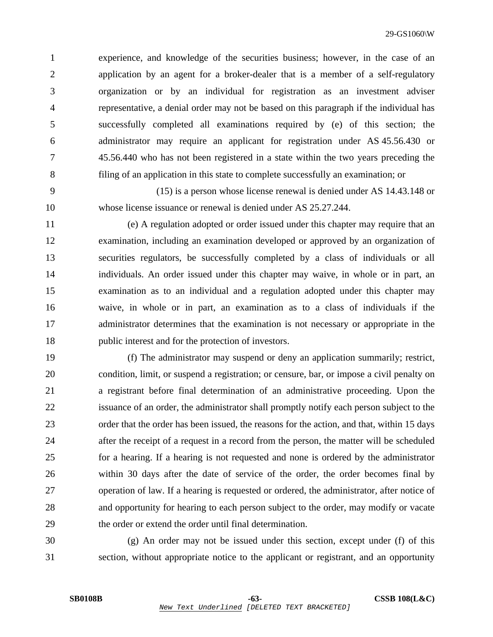1 experience, and knowledge of the securities business; however, in the case of an 2 application by an agent for a broker-dealer that is a member of a self-regulatory 3 organization or by an individual for registration as an investment adviser 4 representative, a denial order may not be based on this paragraph if the individual has 5 successfully completed all examinations required by (e) of this section; the 6 administrator may require an applicant for registration under AS 45.56.430 or 7 45.56.440 who has not been registered in a state within the two years preceding the 8 filing of an application in this state to complete successfully an examination; or

9 (15) is a person whose license renewal is denied under AS 14.43.148 or 10 whose license issuance or renewal is denied under AS 25.27.244.

11 (e) A regulation adopted or order issued under this chapter may require that an 12 examination, including an examination developed or approved by an organization of 13 securities regulators, be successfully completed by a class of individuals or all 14 individuals. An order issued under this chapter may waive, in whole or in part, an 15 examination as to an individual and a regulation adopted under this chapter may 16 waive, in whole or in part, an examination as to a class of individuals if the 17 administrator determines that the examination is not necessary or appropriate in the 18 public interest and for the protection of investors.

19 (f) The administrator may suspend or deny an application summarily; restrict, 20 condition, limit, or suspend a registration; or censure, bar, or impose a civil penalty on 21 a registrant before final determination of an administrative proceeding. Upon the 22 issuance of an order, the administrator shall promptly notify each person subject to the 23 order that the order has been issued, the reasons for the action, and that, within 15 days 24 after the receipt of a request in a record from the person, the matter will be scheduled 25 for a hearing. If a hearing is not requested and none is ordered by the administrator 26 within 30 days after the date of service of the order, the order becomes final by 27 operation of law. If a hearing is requested or ordered, the administrator, after notice of 28 and opportunity for hearing to each person subject to the order, may modify or vacate 29 the order or extend the order until final determination.

30 (g) An order may not be issued under this section, except under (f) of this 31 section, without appropriate notice to the applicant or registrant, and an opportunity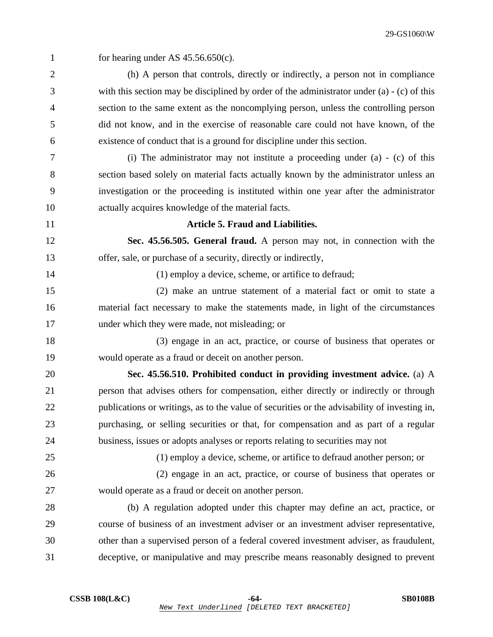1 for hearing under AS  $45.56.650(c)$ . 2 (h) A person that controls, directly or indirectly, a person not in compliance 3 with this section may be disciplined by order of the administrator under (a) - (c) of this 4 section to the same extent as the noncomplying person, unless the controlling person 5 did not know, and in the exercise of reasonable care could not have known, of the 6 existence of conduct that is a ground for discipline under this section. 7 (i) The administrator may not institute a proceeding under (a) - (c) of this 8 section based solely on material facts actually known by the administrator unless an 9 investigation or the proceeding is instituted within one year after the administrator 10 actually acquires knowledge of the material facts. 11 **Article 5. Fraud and Liabilities.**  12 **Sec. 45.56.505. General fraud.** A person may not, in connection with the 13 offer, sale, or purchase of a security, directly or indirectly, 14 (1) employ a device, scheme, or artifice to defraud; 15 (2) make an untrue statement of a material fact or omit to state a 16 material fact necessary to make the statements made, in light of the circumstances 17 under which they were made, not misleading; or 18 (3) engage in an act, practice, or course of business that operates or 19 would operate as a fraud or deceit on another person. 20 **Sec. 45.56.510. Prohibited conduct in providing investment advice.** (a) A 21 person that advises others for compensation, either directly or indirectly or through 22 publications or writings, as to the value of securities or the advisability of investing in, 23 purchasing, or selling securities or that, for compensation and as part of a regular 24 business, issues or adopts analyses or reports relating to securities may not 25 (1) employ a device, scheme, or artifice to defraud another person; or 26 (2) engage in an act, practice, or course of business that operates or 27 would operate as a fraud or deceit on another person. 28 (b) A regulation adopted under this chapter may define an act, practice, or 29 course of business of an investment adviser or an investment adviser representative, 30 other than a supervised person of a federal covered investment adviser, as fraudulent, 31 deceptive, or manipulative and may prescribe means reasonably designed to prevent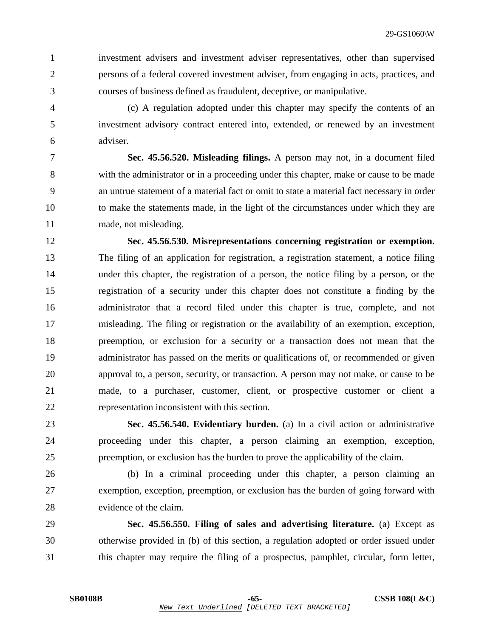- 1 investment advisers and investment adviser representatives, other than supervised 2 persons of a federal covered investment adviser, from engaging in acts, practices, and 3 courses of business defined as fraudulent, deceptive, or manipulative.
- 4 (c) A regulation adopted under this chapter may specify the contents of an 5 investment advisory contract entered into, extended, or renewed by an investment 6 adviser.
- 7 **Sec. 45.56.520. Misleading filings.** A person may not, in a document filed 8 with the administrator or in a proceeding under this chapter, make or cause to be made 9 an untrue statement of a material fact or omit to state a material fact necessary in order 10 to make the statements made, in the light of the circumstances under which they are 11 made, not misleading.
- 12 **Sec. 45.56.530. Misrepresentations concerning registration or exemption.**  13 The filing of an application for registration, a registration statement, a notice filing 14 under this chapter, the registration of a person, the notice filing by a person, or the 15 registration of a security under this chapter does not constitute a finding by the 16 administrator that a record filed under this chapter is true, complete, and not 17 misleading. The filing or registration or the availability of an exemption, exception, 18 preemption, or exclusion for a security or a transaction does not mean that the 19 administrator has passed on the merits or qualifications of, or recommended or given 20 approval to, a person, security, or transaction. A person may not make, or cause to be 21 made, to a purchaser, customer, client, or prospective customer or client a 22 representation inconsistent with this section.
- 23 **Sec. 45.56.540. Evidentiary burden.** (a) In a civil action or administrative 24 proceeding under this chapter, a person claiming an exemption, exception, 25 preemption, or exclusion has the burden to prove the applicability of the claim.
- 26 (b) In a criminal proceeding under this chapter, a person claiming an 27 exemption, exception, preemption, or exclusion has the burden of going forward with 28 evidence of the claim.
- 29 **Sec. 45.56.550. Filing of sales and advertising literature.** (a) Except as 30 otherwise provided in (b) of this section, a regulation adopted or order issued under 31 this chapter may require the filing of a prospectus, pamphlet, circular, form letter,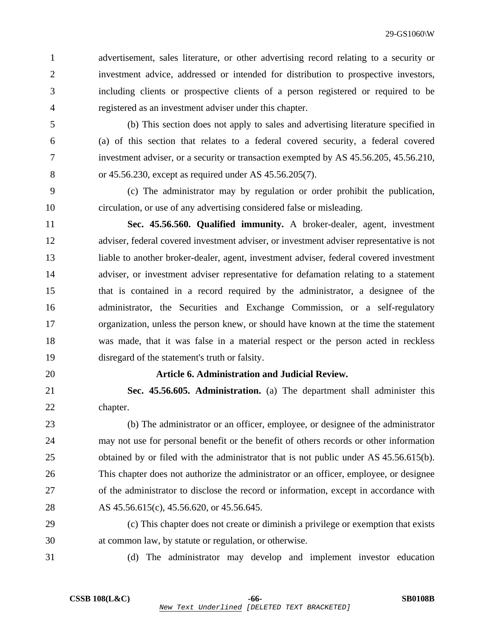1 advertisement, sales literature, or other advertising record relating to a security or 2 investment advice, addressed or intended for distribution to prospective investors, 3 including clients or prospective clients of a person registered or required to be 4 registered as an investment adviser under this chapter.

5 (b) This section does not apply to sales and advertising literature specified in 6 (a) of this section that relates to a federal covered security, a federal covered 7 investment adviser, or a security or transaction exempted by AS 45.56.205, 45.56.210, 8 or 45.56.230, except as required under AS 45.56.205(7).

9 (c) The administrator may by regulation or order prohibit the publication, 10 circulation, or use of any advertising considered false or misleading.

11 **Sec. 45.56.560. Qualified immunity.** A broker-dealer, agent, investment 12 adviser, federal covered investment adviser, or investment adviser representative is not 13 liable to another broker-dealer, agent, investment adviser, federal covered investment 14 adviser, or investment adviser representative for defamation relating to a statement 15 that is contained in a record required by the administrator, a designee of the 16 administrator, the Securities and Exchange Commission, or a self-regulatory 17 organization, unless the person knew, or should have known at the time the statement 18 was made, that it was false in a material respect or the person acted in reckless 19 disregard of the statement's truth or falsity.

## 20 **Article 6. Administration and Judicial Review.**

21 **Sec. 45.56.605. Administration.** (a) The department shall administer this 22 chapter.

23 (b) The administrator or an officer, employee, or designee of the administrator 24 may not use for personal benefit or the benefit of others records or other information 25 obtained by or filed with the administrator that is not public under AS 45.56.615(b). 26 This chapter does not authorize the administrator or an officer, employee, or designee 27 of the administrator to disclose the record or information, except in accordance with 28 AS 45.56.615(c), 45.56.620, or 45.56.645.

- 29 (c) This chapter does not create or diminish a privilege or exemption that exists 30 at common law, by statute or regulation, or otherwise.
- 

31 (d) The administrator may develop and implement investor education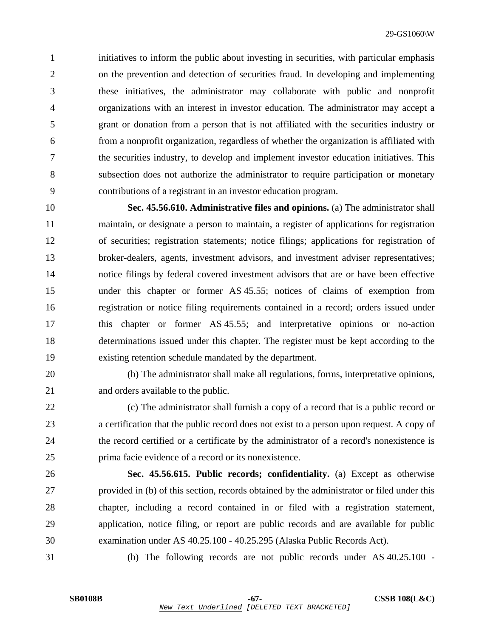1 initiatives to inform the public about investing in securities, with particular emphasis 2 on the prevention and detection of securities fraud. In developing and implementing 3 these initiatives, the administrator may collaborate with public and nonprofit 4 organizations with an interest in investor education. The administrator may accept a 5 grant or donation from a person that is not affiliated with the securities industry or 6 from a nonprofit organization, regardless of whether the organization is affiliated with 7 the securities industry, to develop and implement investor education initiatives. This 8 subsection does not authorize the administrator to require participation or monetary 9 contributions of a registrant in an investor education program.

10 **Sec. 45.56.610. Administrative files and opinions.** (a) The administrator shall 11 maintain, or designate a person to maintain, a register of applications for registration 12 of securities; registration statements; notice filings; applications for registration of 13 broker-dealers, agents, investment advisors, and investment adviser representatives; 14 notice filings by federal covered investment advisors that are or have been effective 15 under this chapter or former AS 45.55; notices of claims of exemption from 16 registration or notice filing requirements contained in a record; orders issued under 17 this chapter or former AS 45.55; and interpretative opinions or no-action 18 determinations issued under this chapter. The register must be kept according to the 19 existing retention schedule mandated by the department.

20 (b) The administrator shall make all regulations, forms, interpretative opinions, 21 and orders available to the public.

22 (c) The administrator shall furnish a copy of a record that is a public record or 23 a certification that the public record does not exist to a person upon request. A copy of 24 the record certified or a certificate by the administrator of a record's nonexistence is 25 prima facie evidence of a record or its nonexistence.

26 **Sec. 45.56.615. Public records; confidentiality.** (a) Except as otherwise 27 provided in (b) of this section, records obtained by the administrator or filed under this 28 chapter, including a record contained in or filed with a registration statement, 29 application, notice filing, or report are public records and are available for public 30 examination under AS 40.25.100 - 40.25.295 (Alaska Public Records Act).

31 (b) The following records are not public records under AS 40.25.100 -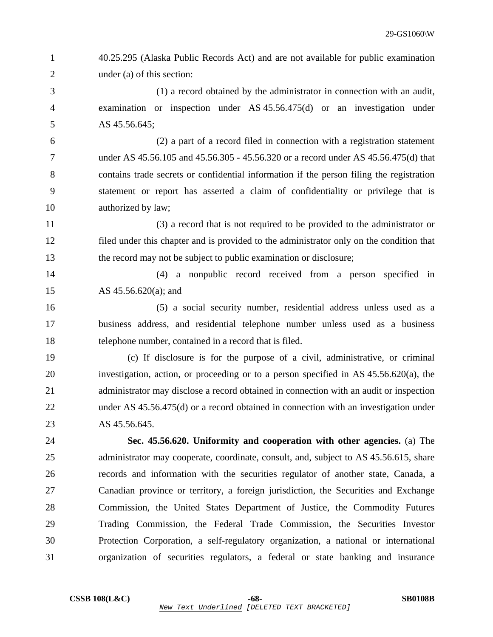1 40.25.295 (Alaska Public Records Act) and are not available for public examination 2 under (a) of this section:

3 (1) a record obtained by the administrator in connection with an audit, 4 examination or inspection under AS 45.56.475(d) or an investigation under 5 AS 45.56.645;

6 (2) a part of a record filed in connection with a registration statement 7 under AS 45.56.105 and 45.56.305 - 45.56.320 or a record under AS 45.56.475(d) that 8 contains trade secrets or confidential information if the person filing the registration 9 statement or report has asserted a claim of confidentiality or privilege that is 10 authorized by law;

11 (3) a record that is not required to be provided to the administrator or 12 filed under this chapter and is provided to the administrator only on the condition that 13 the record may not be subject to public examination or disclosure;

14 (4) a nonpublic record received from a person specified in 15 AS 45.56.620(a); and

16 (5) a social security number, residential address unless used as a 17 business address, and residential telephone number unless used as a business 18 telephone number, contained in a record that is filed.

19 (c) If disclosure is for the purpose of a civil, administrative, or criminal 20 investigation, action, or proceeding or to a person specified in AS 45.56.620(a), the 21 administrator may disclose a record obtained in connection with an audit or inspection 22 under AS 45.56.475(d) or a record obtained in connection with an investigation under 23 AS 45.56.645.

24 **Sec. 45.56.620. Uniformity and cooperation with other agencies.** (a) The 25 administrator may cooperate, coordinate, consult, and, subject to AS 45.56.615, share 26 records and information with the securities regulator of another state, Canada, a 27 Canadian province or territory, a foreign jurisdiction, the Securities and Exchange 28 Commission, the United States Department of Justice, the Commodity Futures 29 Trading Commission, the Federal Trade Commission, the Securities Investor 30 Protection Corporation, a self-regulatory organization, a national or international 31 organization of securities regulators, a federal or state banking and insurance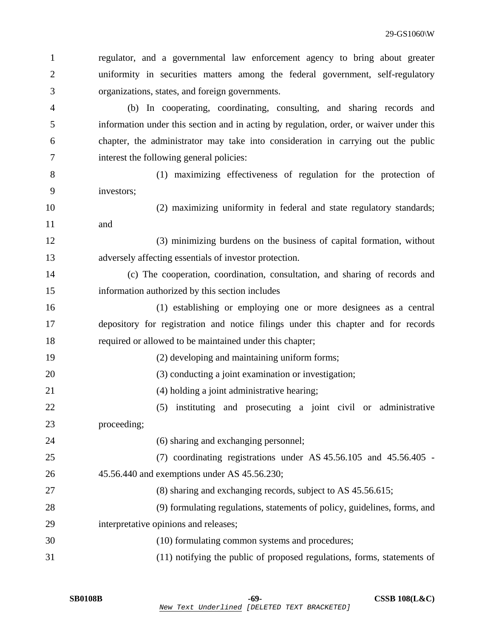1 regulator, and a governmental law enforcement agency to bring about greater 2 uniformity in securities matters among the federal government, self-regulatory 3 organizations, states, and foreign governments.

4 (b) In cooperating, coordinating, consulting, and sharing records and 5 information under this section and in acting by regulation, order, or waiver under this 6 chapter, the administrator may take into consideration in carrying out the public 7 interest the following general policies:

8 (1) maximizing effectiveness of regulation for the protection of 9 investors;

10 (2) maximizing uniformity in federal and state regulatory standards; 11 and

12 (3) minimizing burdens on the business of capital formation, without 13 adversely affecting essentials of investor protection.

14 (c) The cooperation, coordination, consultation, and sharing of records and 15 information authorized by this section includes

16 (1) establishing or employing one or more designees as a central 17 depository for registration and notice filings under this chapter and for records 18 required or allowed to be maintained under this chapter;

| 19 | (2) developing and maintaining uniform forms;                             |
|----|---------------------------------------------------------------------------|
| 20 | (3) conducting a joint examination or investigation;                      |
| 21 | (4) holding a joint administrative hearing;                               |
| 22 | instituting and prosecuting a joint civil or administrative<br>(5)        |
| 23 | proceeding;                                                               |
| 24 | (6) sharing and exchanging personnel;                                     |
| 25 | $(7)$ coordinating registrations under AS 45.56.105 and 45.56.405 -       |
| 26 | 45.56.440 and exemptions under AS 45.56.230;                              |
| 27 | (8) sharing and exchanging records, subject to AS 45.56.615;              |
| 28 | (9) formulating regulations, statements of policy, guidelines, forms, and |
| 29 | interpretative opinions and releases;                                     |
| 30 | (10) formulating common systems and procedures;                           |

31 (11) notifying the public of proposed regulations, forms, statements of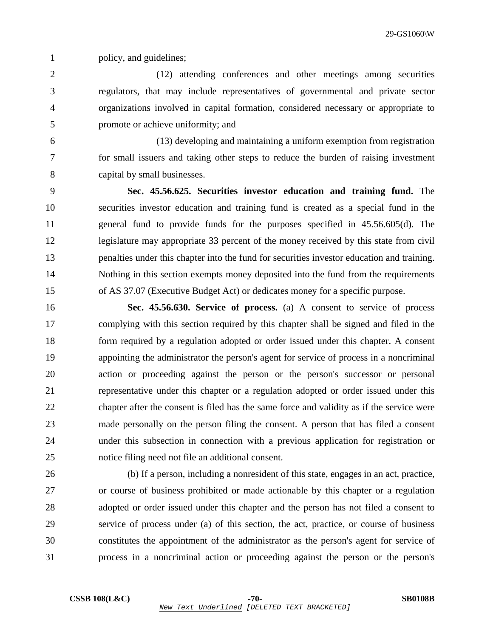29-GS1060\W

1 policy, and guidelines;

2 (12) attending conferences and other meetings among securities 3 regulators, that may include representatives of governmental and private sector 4 organizations involved in capital formation, considered necessary or appropriate to 5 promote or achieve uniformity; and

6 (13) developing and maintaining a uniform exemption from registration 7 for small issuers and taking other steps to reduce the burden of raising investment 8 capital by small businesses.

9 **Sec. 45.56.625. Securities investor education and training fund.** The 10 securities investor education and training fund is created as a special fund in the 11 general fund to provide funds for the purposes specified in 45.56.605(d). The 12 legislature may appropriate 33 percent of the money received by this state from civil 13 penalties under this chapter into the fund for securities investor education and training. 14 Nothing in this section exempts money deposited into the fund from the requirements 15 of AS 37.07 (Executive Budget Act) or dedicates money for a specific purpose.

16 **Sec. 45.56.630. Service of process.** (a) A consent to service of process 17 complying with this section required by this chapter shall be signed and filed in the 18 form required by a regulation adopted or order issued under this chapter. A consent 19 appointing the administrator the person's agent for service of process in a noncriminal 20 action or proceeding against the person or the person's successor or personal 21 representative under this chapter or a regulation adopted or order issued under this 22 chapter after the consent is filed has the same force and validity as if the service were 23 made personally on the person filing the consent. A person that has filed a consent 24 under this subsection in connection with a previous application for registration or 25 notice filing need not file an additional consent.

26 (b) If a person, including a nonresident of this state, engages in an act, practice, 27 or course of business prohibited or made actionable by this chapter or a regulation 28 adopted or order issued under this chapter and the person has not filed a consent to 29 service of process under (a) of this section, the act, practice, or course of business 30 constitutes the appointment of the administrator as the person's agent for service of 31 process in a noncriminal action or proceeding against the person or the person's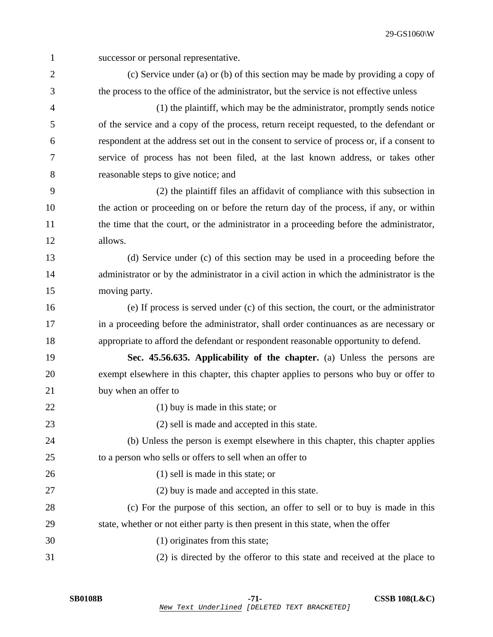| $\mathbf{1}$   | successor or personal representative.                                                      |
|----------------|--------------------------------------------------------------------------------------------|
| $\overline{2}$ | (c) Service under (a) or (b) of this section may be made by providing a copy of            |
| 3              | the process to the office of the administrator, but the service is not effective unless    |
| $\overline{4}$ | (1) the plaintiff, which may be the administrator, promptly sends notice                   |
| 5              | of the service and a copy of the process, return receipt requested, to the defendant or    |
| 6              | respondent at the address set out in the consent to service of process or, if a consent to |
| 7              | service of process has not been filed, at the last known address, or takes other           |
| 8              | reasonable steps to give notice; and                                                       |
| 9              | (2) the plaintiff files an affidavit of compliance with this subsection in                 |
| 10             | the action or proceeding on or before the return day of the process, if any, or within     |
| 11             | the time that the court, or the administrator in a proceeding before the administrator,    |
| 12             | allows.                                                                                    |
| 13             | (d) Service under (c) of this section may be used in a proceeding before the               |
| 14             | administrator or by the administrator in a civil action in which the administrator is the  |
| 15             | moving party.                                                                              |
| 16             | (e) If process is served under (c) of this section, the court, or the administrator        |
| 17             | in a proceeding before the administrator, shall order continuances as are necessary or     |
| 18             | appropriate to afford the defendant or respondent reasonable opportunity to defend.        |
| 19             | Sec. 45.56.635. Applicability of the chapter. (a) Unless the persons are                   |
| 20             | exempt elsewhere in this chapter, this chapter applies to persons who buy or offer to      |
| 21             | buy when an offer to                                                                       |
| 22             | $(1)$ buy is made in this state; or                                                        |
| 23             | (2) sell is made and accepted in this state.                                               |
| 24             | (b) Unless the person is exempt elsewhere in this chapter, this chapter applies            |
| 25             | to a person who sells or offers to sell when an offer to                                   |
| 26             | $(1)$ sell is made in this state; or                                                       |
| 27             | (2) buy is made and accepted in this state.                                                |
| 28             | (c) For the purpose of this section, an offer to sell or to buy is made in this            |
| 29             | state, whether or not either party is then present in this state, when the offer           |
| 30             | (1) originates from this state;                                                            |
| 31             | (2) is directed by the offeror to this state and received at the place to                  |
|                |                                                                                            |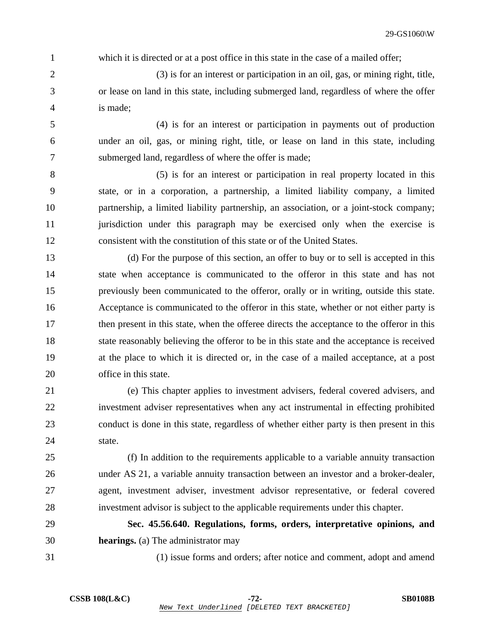1 which it is directed or at a post office in this state in the case of a mailed offer;

2 (3) is for an interest or participation in an oil, gas, or mining right, title, 3 or lease on land in this state, including submerged land, regardless of where the offer 4 is made;

5 (4) is for an interest or participation in payments out of production 6 under an oil, gas, or mining right, title, or lease on land in this state, including 7 submerged land, regardless of where the offer is made;

8 (5) is for an interest or participation in real property located in this 9 state, or in a corporation, a partnership, a limited liability company, a limited 10 partnership, a limited liability partnership, an association, or a joint-stock company; 11 jurisdiction under this paragraph may be exercised only when the exercise is 12 consistent with the constitution of this state or of the United States.

13 (d) For the purpose of this section, an offer to buy or to sell is accepted in this 14 state when acceptance is communicated to the offeror in this state and has not 15 previously been communicated to the offeror, orally or in writing, outside this state. 16 Acceptance is communicated to the offeror in this state, whether or not either party is 17 then present in this state, when the offeree directs the acceptance to the offeror in this 18 state reasonably believing the offeror to be in this state and the acceptance is received 19 at the place to which it is directed or, in the case of a mailed acceptance, at a post 20 office in this state.

21 (e) This chapter applies to investment advisers, federal covered advisers, and 22 investment adviser representatives when any act instrumental in effecting prohibited 23 conduct is done in this state, regardless of whether either party is then present in this 24 state.

25 (f) In addition to the requirements applicable to a variable annuity transaction 26 under AS 21, a variable annuity transaction between an investor and a broker-dealer, 27 agent, investment adviser, investment advisor representative, or federal covered 28 investment advisor is subject to the applicable requirements under this chapter.

29 **Sec. 45.56.640. Regulations, forms, orders, interpretative opinions, and**  30 **hearings.** (a) The administrator may

31 (1) issue forms and orders; after notice and comment, adopt and amend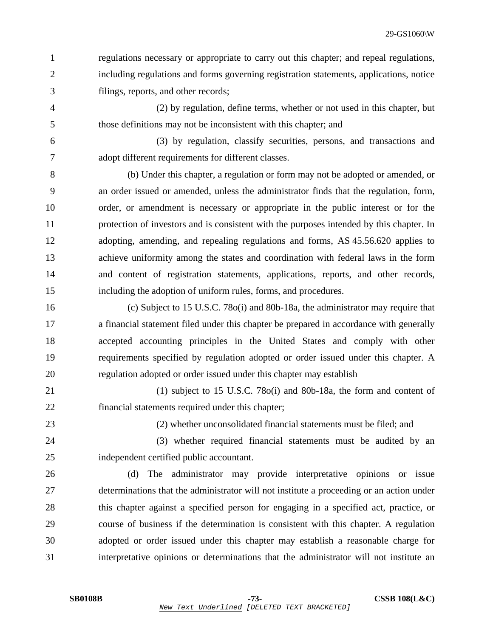1 regulations necessary or appropriate to carry out this chapter; and repeal regulations, 2 including regulations and forms governing registration statements, applications, notice 3 filings, reports, and other records;

4 (2) by regulation, define terms, whether or not used in this chapter, but 5 those definitions may not be inconsistent with this chapter; and

6 (3) by regulation, classify securities, persons, and transactions and 7 adopt different requirements for different classes.

8 (b) Under this chapter, a regulation or form may not be adopted or amended, or 9 an order issued or amended, unless the administrator finds that the regulation, form, 10 order, or amendment is necessary or appropriate in the public interest or for the 11 protection of investors and is consistent with the purposes intended by this chapter. In 12 adopting, amending, and repealing regulations and forms, AS 45.56.620 applies to 13 achieve uniformity among the states and coordination with federal laws in the form 14 and content of registration statements, applications, reports, and other records, 15 including the adoption of uniform rules, forms, and procedures.

16 (c) Subject to 15 U.S.C. 78o(i) and 80b-18a, the administrator may require that 17 a financial statement filed under this chapter be prepared in accordance with generally 18 accepted accounting principles in the United States and comply with other 19 requirements specified by regulation adopted or order issued under this chapter. A 20 regulation adopted or order issued under this chapter may establish

21 (1) subject to 15 U.S.C. 78o(i) and 80b-18a, the form and content of 22 financial statements required under this chapter;

23 (2) whether unconsolidated financial statements must be filed; and

24 (3) whether required financial statements must be audited by an 25 independent certified public accountant.

26 (d) The administrator may provide interpretative opinions or issue 27 determinations that the administrator will not institute a proceeding or an action under 28 this chapter against a specified person for engaging in a specified act, practice, or 29 course of business if the determination is consistent with this chapter. A regulation 30 adopted or order issued under this chapter may establish a reasonable charge for 31 interpretative opinions or determinations that the administrator will not institute an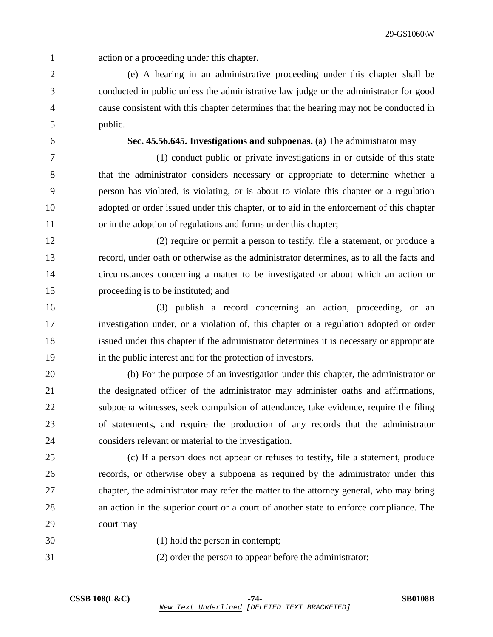1 action or a proceeding under this chapter.

2 (e) A hearing in an administrative proceeding under this chapter shall be 3 conducted in public unless the administrative law judge or the administrator for good 4 cause consistent with this chapter determines that the hearing may not be conducted in 5 public.

6 **Sec. 45.56.645. Investigations and subpoenas.** (a) The administrator may

7 (1) conduct public or private investigations in or outside of this state 8 that the administrator considers necessary or appropriate to determine whether a 9 person has violated, is violating, or is about to violate this chapter or a regulation 10 adopted or order issued under this chapter, or to aid in the enforcement of this chapter 11 or in the adoption of regulations and forms under this chapter;

12 (2) require or permit a person to testify, file a statement, or produce a 13 record, under oath or otherwise as the administrator determines, as to all the facts and 14 circumstances concerning a matter to be investigated or about which an action or 15 proceeding is to be instituted; and

16 (3) publish a record concerning an action, proceeding, or an 17 investigation under, or a violation of, this chapter or a regulation adopted or order 18 issued under this chapter if the administrator determines it is necessary or appropriate 19 in the public interest and for the protection of investors.

20 (b) For the purpose of an investigation under this chapter, the administrator or 21 the designated officer of the administrator may administer oaths and affirmations, 22 subpoena witnesses, seek compulsion of attendance, take evidence, require the filing 23 of statements, and require the production of any records that the administrator 24 considers relevant or material to the investigation.

25 (c) If a person does not appear or refuses to testify, file a statement, produce 26 records, or otherwise obey a subpoena as required by the administrator under this 27 chapter, the administrator may refer the matter to the attorney general, who may bring 28 an action in the superior court or a court of another state to enforce compliance. The 29 court may

30 (1) hold the person in contempt;

31 (2) order the person to appear before the administrator;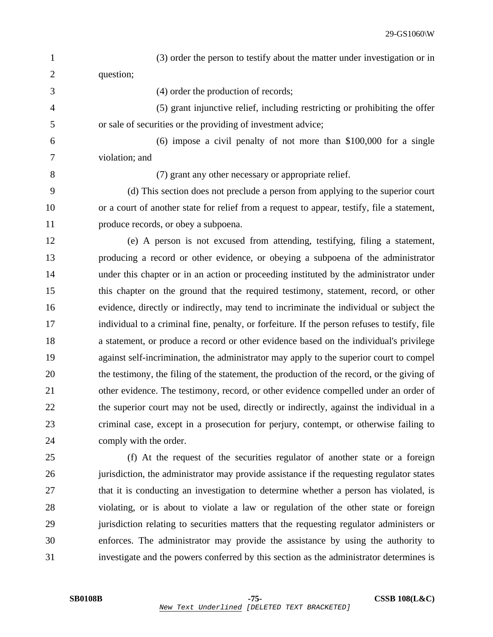1 (3) order the person to testify about the matter under investigation or in 2 question; 3 (4) order the production of records; 4 (5) grant injunctive relief, including restricting or prohibiting the offer 5 or sale of securities or the providing of investment advice; 6 (6) impose a civil penalty of not more than \$100,000 for a single 7 violation; and 8 (7) grant any other necessary or appropriate relief. 9 (d) This section does not preclude a person from applying to the superior court 10 or a court of another state for relief from a request to appear, testify, file a statement, 11 produce records, or obey a subpoena. 12 (e) A person is not excused from attending, testifying, filing a statement, 13 producing a record or other evidence, or obeying a subpoena of the administrator 14 under this chapter or in an action or proceeding instituted by the administrator under 15 this chapter on the ground that the required testimony, statement, record, or other 16 evidence, directly or indirectly, may tend to incriminate the individual or subject the 17 individual to a criminal fine, penalty, or forfeiture. If the person refuses to testify, file 18 a statement, or produce a record or other evidence based on the individual's privilege 19 against self-incrimination, the administrator may apply to the superior court to compel 20 the testimony, the filing of the statement, the production of the record, or the giving of 21 other evidence. The testimony, record, or other evidence compelled under an order of 22 the superior court may not be used, directly or indirectly, against the individual in a 23 criminal case, except in a prosecution for perjury, contempt, or otherwise failing to 24 comply with the order. 25 (f) At the request of the securities regulator of another state or a foreign 26 jurisdiction, the administrator may provide assistance if the requesting regulator states 27 that it is conducting an investigation to determine whether a person has violated, is

28 violating, or is about to violate a law or regulation of the other state or foreign 29 jurisdiction relating to securities matters that the requesting regulator administers or 30 enforces. The administrator may provide the assistance by using the authority to 31 investigate and the powers conferred by this section as the administrator determines is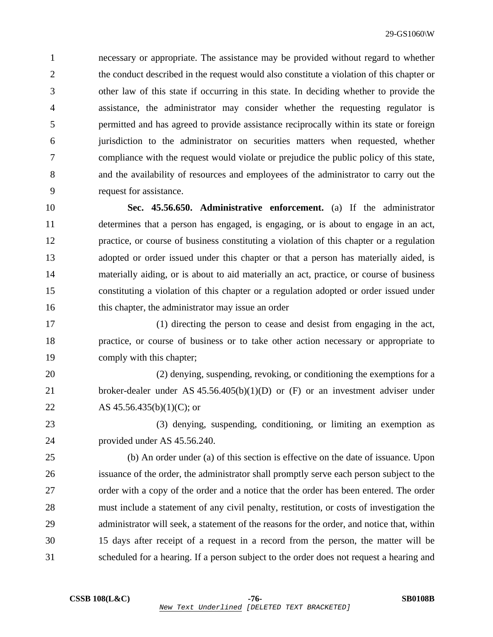1 necessary or appropriate. The assistance may be provided without regard to whether 2 the conduct described in the request would also constitute a violation of this chapter or 3 other law of this state if occurring in this state. In deciding whether to provide the 4 assistance, the administrator may consider whether the requesting regulator is 5 permitted and has agreed to provide assistance reciprocally within its state or foreign 6 jurisdiction to the administrator on securities matters when requested, whether 7 compliance with the request would violate or prejudice the public policy of this state, 8 and the availability of resources and employees of the administrator to carry out the 9 request for assistance.

10 **Sec. 45.56.650. Administrative enforcement.** (a) If the administrator 11 determines that a person has engaged, is engaging, or is about to engage in an act, 12 practice, or course of business constituting a violation of this chapter or a regulation 13 adopted or order issued under this chapter or that a person has materially aided, is 14 materially aiding, or is about to aid materially an act, practice, or course of business 15 constituting a violation of this chapter or a regulation adopted or order issued under 16 this chapter, the administrator may issue an order

17 (1) directing the person to cease and desist from engaging in the act, 18 practice, or course of business or to take other action necessary or appropriate to 19 comply with this chapter;

20 (2) denying, suspending, revoking, or conditioning the exemptions for a 21 broker-dealer under AS 45.56.405(b)(1)(D) or (F) or an investment adviser under 22 AS 45.56.435(b)(1)(C); or

23 (3) denying, suspending, conditioning, or limiting an exemption as 24 provided under AS 45.56.240.

25 (b) An order under (a) of this section is effective on the date of issuance. Upon 26 issuance of the order, the administrator shall promptly serve each person subject to the 27 order with a copy of the order and a notice that the order has been entered. The order 28 must include a statement of any civil penalty, restitution, or costs of investigation the 29 administrator will seek, a statement of the reasons for the order, and notice that, within 30 15 days after receipt of a request in a record from the person, the matter will be 31 scheduled for a hearing. If a person subject to the order does not request a hearing and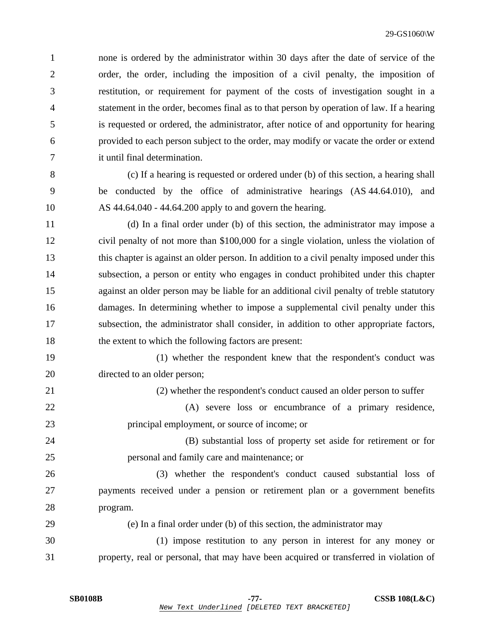1 none is ordered by the administrator within 30 days after the date of service of the 2 order, the order, including the imposition of a civil penalty, the imposition of 3 restitution, or requirement for payment of the costs of investigation sought in a 4 statement in the order, becomes final as to that person by operation of law. If a hearing 5 is requested or ordered, the administrator, after notice of and opportunity for hearing 6 provided to each person subject to the order, may modify or vacate the order or extend 7 it until final determination.

8 (c) If a hearing is requested or ordered under (b) of this section, a hearing shall 9 be conducted by the office of administrative hearings (AS 44.64.010), and 10 AS 44.64.040 - 44.64.200 apply to and govern the hearing.

11 (d) In a final order under (b) of this section, the administrator may impose a 12 civil penalty of not more than \$100,000 for a single violation, unless the violation of 13 this chapter is against an older person. In addition to a civil penalty imposed under this 14 subsection, a person or entity who engages in conduct prohibited under this chapter 15 against an older person may be liable for an additional civil penalty of treble statutory 16 damages. In determining whether to impose a supplemental civil penalty under this 17 subsection, the administrator shall consider, in addition to other appropriate factors, 18 the extent to which the following factors are present:

19 (1) whether the respondent knew that the respondent's conduct was 20 directed to an older person;

21 (2) whether the respondent's conduct caused an older person to suffer

22 (A) severe loss or encumbrance of a primary residence, 23 principal employment, or source of income; or

24 (B) substantial loss of property set aside for retirement or for 25 personal and family care and maintenance; or

26 (3) whether the respondent's conduct caused substantial loss of 27 payments received under a pension or retirement plan or a government benefits 28 program.

29 (e) In a final order under (b) of this section, the administrator may 30 (1) impose restitution to any person in interest for any money or

31 property, real or personal, that may have been acquired or transferred in violation of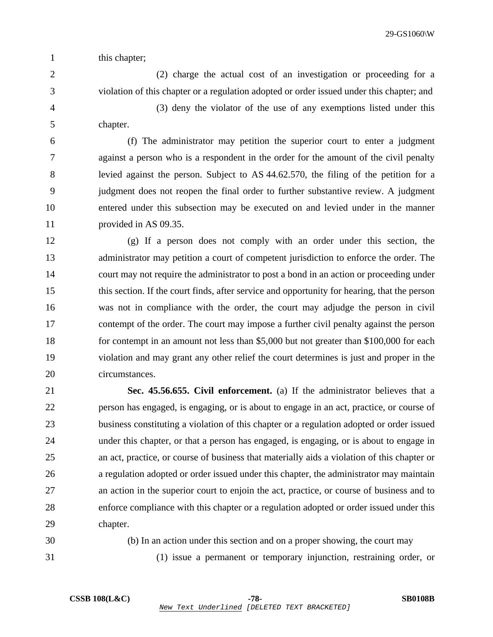- 1 this chapter;
- 

2 (2) charge the actual cost of an investigation or proceeding for a 3 violation of this chapter or a regulation adopted or order issued under this chapter; and

4 (3) deny the violator of the use of any exemptions listed under this 5 chapter.

6 (f) The administrator may petition the superior court to enter a judgment 7 against a person who is a respondent in the order for the amount of the civil penalty 8 levied against the person. Subject to AS 44.62.570, the filing of the petition for a 9 judgment does not reopen the final order to further substantive review. A judgment 10 entered under this subsection may be executed on and levied under in the manner 11 provided in AS 09.35.

12 (g) If a person does not comply with an order under this section, the 13 administrator may petition a court of competent jurisdiction to enforce the order. The 14 court may not require the administrator to post a bond in an action or proceeding under 15 this section. If the court finds, after service and opportunity for hearing, that the person 16 was not in compliance with the order, the court may adjudge the person in civil 17 contempt of the order. The court may impose a further civil penalty against the person 18 for contempt in an amount not less than \$5,000 but not greater than \$100,000 for each 19 violation and may grant any other relief the court determines is just and proper in the 20 circumstances.

21 **Sec. 45.56.655. Civil enforcement.** (a) If the administrator believes that a 22 person has engaged, is engaging, or is about to engage in an act, practice, or course of 23 business constituting a violation of this chapter or a regulation adopted or order issued 24 under this chapter, or that a person has engaged, is engaging, or is about to engage in 25 an act, practice, or course of business that materially aids a violation of this chapter or 26 a regulation adopted or order issued under this chapter, the administrator may maintain 27 an action in the superior court to enjoin the act, practice, or course of business and to 28 enforce compliance with this chapter or a regulation adopted or order issued under this 29 chapter.

30 (b) In an action under this section and on a proper showing, the court may

31 (1) issue a permanent or temporary injunction, restraining order, or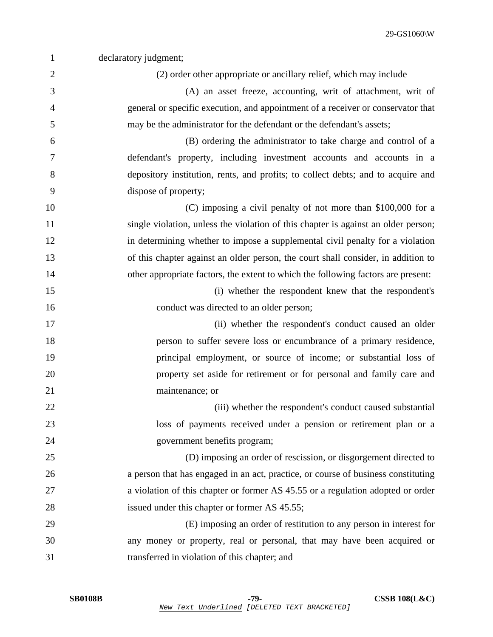| $\mathbf{1}$   | declaratory judgment;                                                              |
|----------------|------------------------------------------------------------------------------------|
| $\overline{2}$ | (2) order other appropriate or ancillary relief, which may include                 |
| 3              | (A) an asset freeze, accounting, writ of attachment, writ of                       |
| 4              | general or specific execution, and appointment of a receiver or conservator that   |
| 5              | may be the administrator for the defendant or the defendant's assets;              |
| 6              | (B) ordering the administrator to take charge and control of a                     |
| 7              | defendant's property, including investment accounts and accounts in a              |
| 8              | depository institution, rents, and profits; to collect debts; and to acquire and   |
| 9              | dispose of property;                                                               |
| 10             | (C) imposing a civil penalty of not more than \$100,000 for a                      |
| 11             | single violation, unless the violation of this chapter is against an older person; |
| 12             | in determining whether to impose a supplemental civil penalty for a violation      |
| 13             | of this chapter against an older person, the court shall consider, in addition to  |
| 14             | other appropriate factors, the extent to which the following factors are present:  |
| 15             | (i) whether the respondent knew that the respondent's                              |
| 16             | conduct was directed to an older person;                                           |
| 17             | (ii) whether the respondent's conduct caused an older                              |
| 18             | person to suffer severe loss or encumbrance of a primary residence,                |
| 19             | principal employment, or source of income; or substantial loss of                  |
| 20             | property set aside for retirement or for personal and family care and              |
| 21             | maintenance; or                                                                    |
| 22             | (iii) whether the respondent's conduct caused substantial                          |
| 23             | loss of payments received under a pension or retirement plan or a                  |
| 24             | government benefits program;                                                       |
| 25             | (D) imposing an order of rescission, or disgorgement directed to                   |
| 26             | a person that has engaged in an act, practice, or course of business constituting  |
| 27             | a violation of this chapter or former AS 45.55 or a regulation adopted or order    |
| 28             | issued under this chapter or former AS 45.55;                                      |
| 29             | (E) imposing an order of restitution to any person in interest for                 |
| 30             | any money or property, real or personal, that may have been acquired or            |
| 31             | transferred in violation of this chapter; and                                      |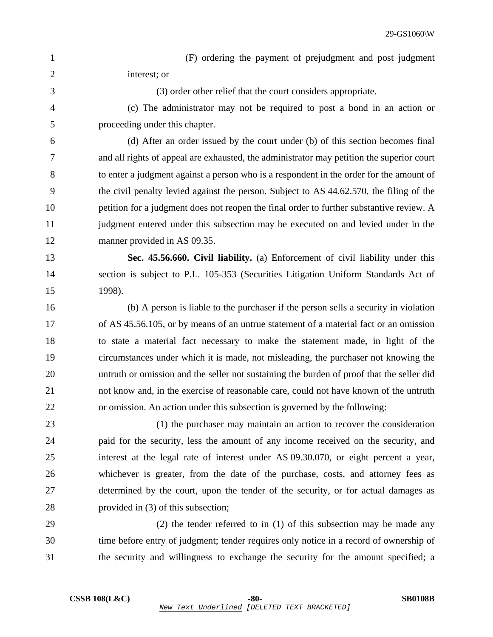1 (F) ordering the payment of prejudgment and post judgment 2 interest; or 3 (3) order other relief that the court considers appropriate. 4 (c) The administrator may not be required to post a bond in an action or 5 proceeding under this chapter. 6 (d) After an order issued by the court under (b) of this section becomes final 7 and all rights of appeal are exhausted, the administrator may petition the superior court 8 to enter a judgment against a person who is a respondent in the order for the amount of 9 the civil penalty levied against the person. Subject to AS 44.62.570, the filing of the 10 petition for a judgment does not reopen the final order to further substantive review. A 11 judgment entered under this subsection may be executed on and levied under in the 12 manner provided in AS 09.35. 13 **Sec. 45.56.660. Civil liability.** (a) Enforcement of civil liability under this 14 section is subject to P.L. 105-353 (Securities Litigation Uniform Standards Act of 15 1998). 16 (b) A person is liable to the purchaser if the person sells a security in violation 17 of AS 45.56.105, or by means of an untrue statement of a material fact or an omission 18 to state a material fact necessary to make the statement made, in light of the 19 circumstances under which it is made, not misleading, the purchaser not knowing the 20 untruth or omission and the seller not sustaining the burden of proof that the seller did 21 not know and, in the exercise of reasonable care, could not have known of the untruth 22 or omission. An action under this subsection is governed by the following: 23 (1) the purchaser may maintain an action to recover the consideration 24 paid for the security, less the amount of any income received on the security, and 25 interest at the legal rate of interest under AS 09.30.070, or eight percent a year, 26 whichever is greater, from the date of the purchase, costs, and attorney fees as 27 determined by the court, upon the tender of the security, or for actual damages as 28 provided in (3) of this subsection; 29 (2) the tender referred to in (1) of this subsection may be made any 30 time before entry of judgment; tender requires only notice in a record of ownership of 31 the security and willingness to exchange the security for the amount specified; a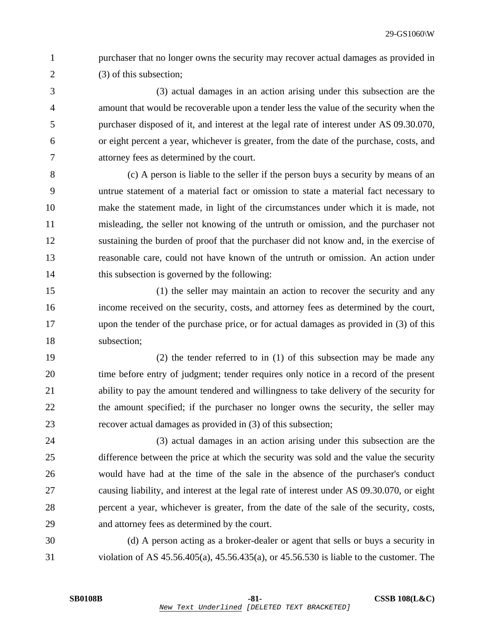1 purchaser that no longer owns the security may recover actual damages as provided in 2 (3) of this subsection;

3 (3) actual damages in an action arising under this subsection are the 4 amount that would be recoverable upon a tender less the value of the security when the 5 purchaser disposed of it, and interest at the legal rate of interest under AS 09.30.070, 6 or eight percent a year, whichever is greater, from the date of the purchase, costs, and 7 attorney fees as determined by the court.

8 (c) A person is liable to the seller if the person buys a security by means of an 9 untrue statement of a material fact or omission to state a material fact necessary to 10 make the statement made, in light of the circumstances under which it is made, not 11 misleading, the seller not knowing of the untruth or omission, and the purchaser not 12 sustaining the burden of proof that the purchaser did not know and, in the exercise of 13 reasonable care, could not have known of the untruth or omission. An action under 14 this subsection is governed by the following:

15 (1) the seller may maintain an action to recover the security and any 16 income received on the security, costs, and attorney fees as determined by the court, 17 upon the tender of the purchase price, or for actual damages as provided in (3) of this 18 subsection;

19 (2) the tender referred to in (1) of this subsection may be made any 20 time before entry of judgment; tender requires only notice in a record of the present 21 ability to pay the amount tendered and willingness to take delivery of the security for 22 the amount specified; if the purchaser no longer owns the security, the seller may 23 recover actual damages as provided in (3) of this subsection;

24 (3) actual damages in an action arising under this subsection are the 25 difference between the price at which the security was sold and the value the security 26 would have had at the time of the sale in the absence of the purchaser's conduct 27 causing liability, and interest at the legal rate of interest under AS 09.30.070, or eight 28 percent a year, whichever is greater, from the date of the sale of the security, costs, 29 and attorney fees as determined by the court.

30 (d) A person acting as a broker-dealer or agent that sells or buys a security in 31 violation of AS 45.56.405(a), 45.56.435(a), or 45.56.530 is liable to the customer. The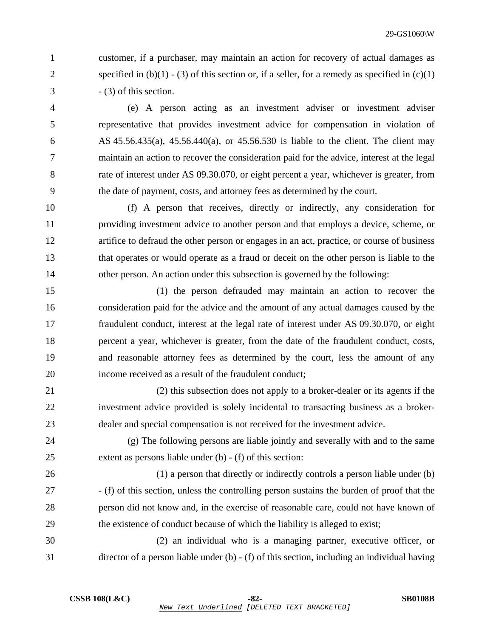1 customer, if a purchaser, may maintain an action for recovery of actual damages as 2 specified in  $(b)(1) - (3)$  of this section or, if a seller, for a remedy as specified in  $(c)(1)$  $3 \cdot (3)$  of this section.

4 (e) A person acting as an investment adviser or investment adviser 5 representative that provides investment advice for compensation in violation of 6 AS 45.56.435(a), 45.56.440(a), or 45.56.530 is liable to the client. The client may 7 maintain an action to recover the consideration paid for the advice, interest at the legal 8 rate of interest under AS 09.30.070, or eight percent a year, whichever is greater, from 9 the date of payment, costs, and attorney fees as determined by the court.

10 (f) A person that receives, directly or indirectly, any consideration for 11 providing investment advice to another person and that employs a device, scheme, or 12 artifice to defraud the other person or engages in an act, practice, or course of business 13 that operates or would operate as a fraud or deceit on the other person is liable to the 14 other person. An action under this subsection is governed by the following:

15 (1) the person defrauded may maintain an action to recover the 16 consideration paid for the advice and the amount of any actual damages caused by the 17 fraudulent conduct, interest at the legal rate of interest under AS 09.30.070, or eight 18 percent a year, whichever is greater, from the date of the fraudulent conduct, costs, 19 and reasonable attorney fees as determined by the court, less the amount of any 20 income received as a result of the fraudulent conduct;

21 (2) this subsection does not apply to a broker-dealer or its agents if the 22 investment advice provided is solely incidental to transacting business as a broker-23 dealer and special compensation is not received for the investment advice.

24 (g) The following persons are liable jointly and severally with and to the same 25 extent as persons liable under (b) - (f) of this section:

26 (1) a person that directly or indirectly controls a person liable under (b) 27 - (f) of this section, unless the controlling person sustains the burden of proof that the 28 person did not know and, in the exercise of reasonable care, could not have known of 29 the existence of conduct because of which the liability is alleged to exist;

30 (2) an individual who is a managing partner, executive officer, or 31 director of a person liable under (b) - (f) of this section, including an individual having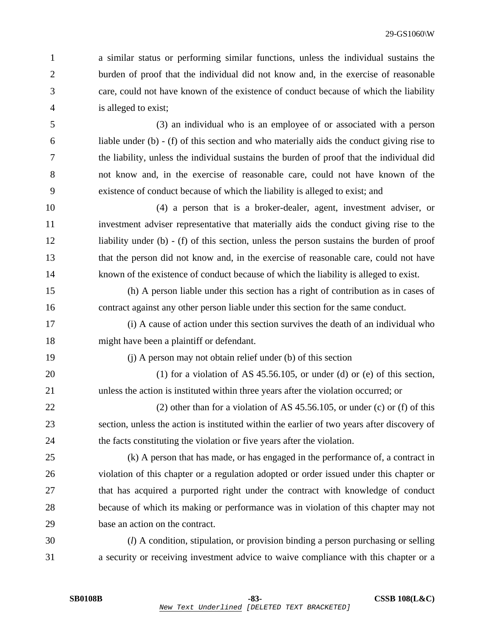1 a similar status or performing similar functions, unless the individual sustains the 2 burden of proof that the individual did not know and, in the exercise of reasonable 3 care, could not have known of the existence of conduct because of which the liability 4 is alleged to exist;

5 (3) an individual who is an employee of or associated with a person 6 liable under (b) - (f) of this section and who materially aids the conduct giving rise to 7 the liability, unless the individual sustains the burden of proof that the individual did 8 not know and, in the exercise of reasonable care, could not have known of the 9 existence of conduct because of which the liability is alleged to exist; and

10 (4) a person that is a broker-dealer, agent, investment adviser, or 11 investment adviser representative that materially aids the conduct giving rise to the 12 liability under (b) - (f) of this section, unless the person sustains the burden of proof 13 that the person did not know and, in the exercise of reasonable care, could not have 14 known of the existence of conduct because of which the liability is alleged to exist.

15 (h) A person liable under this section has a right of contribution as in cases of 16 contract against any other person liable under this section for the same conduct.

17 (i) A cause of action under this section survives the death of an individual who 18 might have been a plaintiff or defendant.

19 (j) A person may not obtain relief under (b) of this section

20 (1) for a violation of AS 45.56.105, or under (d) or (e) of this section, 21 unless the action is instituted within three years after the violation occurred; or

22 (2) other than for a violation of AS 45.56.105, or under (c) or (f) of this 23 section, unless the action is instituted within the earlier of two years after discovery of 24 the facts constituting the violation or five years after the violation.

25 (k) A person that has made, or has engaged in the performance of, a contract in 26 violation of this chapter or a regulation adopted or order issued under this chapter or 27 that has acquired a purported right under the contract with knowledge of conduct 28 because of which its making or performance was in violation of this chapter may not 29 base an action on the contract.

30 (*l*) A condition, stipulation, or provision binding a person purchasing or selling 31 a security or receiving investment advice to waive compliance with this chapter or a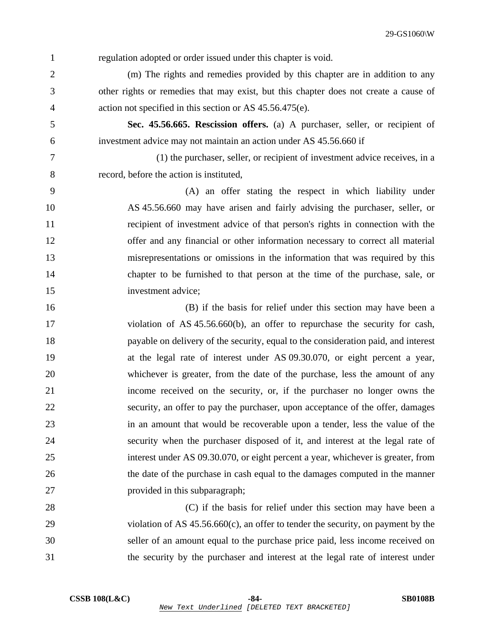1 regulation adopted or order issued under this chapter is void.

2 (m) The rights and remedies provided by this chapter are in addition to any 3 other rights or remedies that may exist, but this chapter does not create a cause of 4 action not specified in this section or AS 45.56.475(e).

5 **Sec. 45.56.665. Rescission offers.** (a) A purchaser, seller, or recipient of 6 investment advice may not maintain an action under AS 45.56.660 if

7 (1) the purchaser, seller, or recipient of investment advice receives, in a 8 record, before the action is instituted,

9 (A) an offer stating the respect in which liability under 10 AS 45.56.660 may have arisen and fairly advising the purchaser, seller, or 11 recipient of investment advice of that person's rights in connection with the 12 offer and any financial or other information necessary to correct all material 13 misrepresentations or omissions in the information that was required by this 14 chapter to be furnished to that person at the time of the purchase, sale, or 15 investment advice;

16 (B) if the basis for relief under this section may have been a 17 violation of AS 45.56.660(b), an offer to repurchase the security for cash, 18 payable on delivery of the security, equal to the consideration paid, and interest 19 at the legal rate of interest under AS 09.30.070, or eight percent a year, 20 whichever is greater, from the date of the purchase, less the amount of any 21 income received on the security, or, if the purchaser no longer owns the 22 security, an offer to pay the purchaser, upon acceptance of the offer, damages 23 in an amount that would be recoverable upon a tender, less the value of the 24 security when the purchaser disposed of it, and interest at the legal rate of 25 interest under AS 09.30.070, or eight percent a year, whichever is greater, from 26 the date of the purchase in cash equal to the damages computed in the manner 27 provided in this subparagraph;

28 (C) if the basis for relief under this section may have been a 29 violation of AS  $45.56.660(c)$ , an offer to tender the security, on payment by the 30 seller of an amount equal to the purchase price paid, less income received on 31 the security by the purchaser and interest at the legal rate of interest under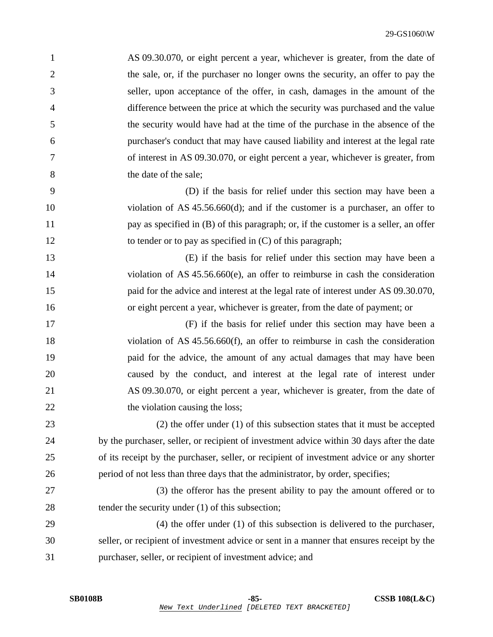| $\mathbf{1}$   | AS 09.30.070, or eight percent a year, whichever is greater, from the date of             |
|----------------|-------------------------------------------------------------------------------------------|
| $\overline{2}$ | the sale, or, if the purchaser no longer owns the security, an offer to pay the           |
| 3              | seller, upon acceptance of the offer, in cash, damages in the amount of the               |
| $\overline{4}$ | difference between the price at which the security was purchased and the value            |
| 5              | the security would have had at the time of the purchase in the absence of the             |
| 6              | purchaser's conduct that may have caused liability and interest at the legal rate         |
| 7              | of interest in AS 09.30.070, or eight percent a year, whichever is greater, from          |
| 8              | the date of the sale;                                                                     |
| 9              | (D) if the basis for relief under this section may have been a                            |
| 10             | violation of AS $45.56.660(d)$ ; and if the customer is a purchaser, an offer to          |
| 11             | pay as specified in (B) of this paragraph; or, if the customer is a seller, an offer      |
| 12             | to tender or to pay as specified in $(C)$ of this paragraph;                              |
| 13             | (E) if the basis for relief under this section may have been a                            |
| 14             | violation of AS $45.56.660(e)$ , an offer to reimburse in cash the consideration          |
| 15             | paid for the advice and interest at the legal rate of interest under AS 09.30.070,        |
| 16             | or eight percent a year, whichever is greater, from the date of payment; or               |
| 17             | (F) if the basis for relief under this section may have been a                            |
| 18             | violation of AS $45.56.660(f)$ , an offer to reimburse in cash the consideration          |
| 19             | paid for the advice, the amount of any actual damages that may have been                  |
| 20             | caused by the conduct, and interest at the legal rate of interest under                   |
| 21             | AS 09.30.070, or eight percent a year, whichever is greater, from the date of             |
| 22             | the violation causing the loss;                                                           |
| 23             | $(2)$ the offer under $(1)$ of this subsection states that it must be accepted            |
| 24             | by the purchaser, seller, or recipient of investment advice within 30 days after the date |
| 25             | of its receipt by the purchaser, seller, or recipient of investment advice or any shorter |
| 26             | period of not less than three days that the administrator, by order, specifies;           |
| 27             | (3) the offeror has the present ability to pay the amount offered or to                   |
| 28             | tender the security under (1) of this subsection;                                         |
| 29             | $(4)$ the offer under $(1)$ of this subsection is delivered to the purchaser,             |
| 30             | seller, or recipient of investment advice or sent in a manner that ensures receipt by the |
| 31             | purchaser, seller, or recipient of investment advice; and                                 |
|                |                                                                                           |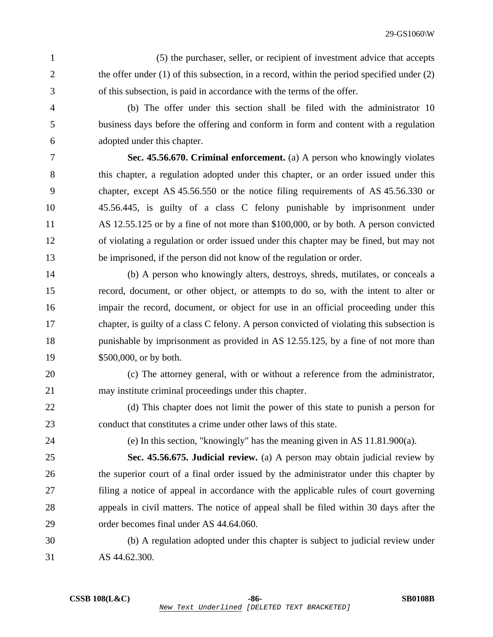1 (5) the purchaser, seller, or recipient of investment advice that accepts 2 the offer under (1) of this subsection, in a record, within the period specified under (2) 3 of this subsection, is paid in accordance with the terms of the offer.

4 (b) The offer under this section shall be filed with the administrator 10 5 business days before the offering and conform in form and content with a regulation 6 adopted under this chapter.

7 **Sec. 45.56.670. Criminal enforcement.** (a) A person who knowingly violates 8 this chapter, a regulation adopted under this chapter, or an order issued under this 9 chapter, except AS 45.56.550 or the notice filing requirements of AS 45.56.330 or 10 45.56.445, is guilty of a class C felony punishable by imprisonment under 11 AS 12.55.125 or by a fine of not more than \$100,000, or by both. A person convicted 12 of violating a regulation or order issued under this chapter may be fined, but may not 13 be imprisoned, if the person did not know of the regulation or order.

14 (b) A person who knowingly alters, destroys, shreds, mutilates, or conceals a 15 record, document, or other object, or attempts to do so, with the intent to alter or 16 impair the record, document, or object for use in an official proceeding under this 17 chapter, is guilty of a class C felony. A person convicted of violating this subsection is 18 punishable by imprisonment as provided in AS 12.55.125, by a fine of not more than 19 \$500,000, or by both.

20 (c) The attorney general, with or without a reference from the administrator, 21 may institute criminal proceedings under this chapter.

22 (d) This chapter does not limit the power of this state to punish a person for 23 conduct that constitutes a crime under other laws of this state.

24 (e) In this section, "knowingly" has the meaning given in AS 11.81.900(a).

25 **Sec. 45.56.675. Judicial review.** (a) A person may obtain judicial review by 26 the superior court of a final order issued by the administrator under this chapter by 27 filing a notice of appeal in accordance with the applicable rules of court governing 28 appeals in civil matters. The notice of appeal shall be filed within 30 days after the 29 order becomes final under AS 44.64.060.

30 (b) A regulation adopted under this chapter is subject to judicial review under 31 AS 44.62.300.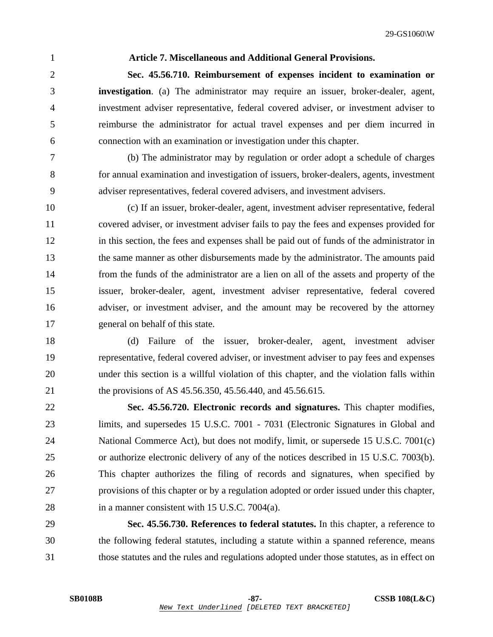## 1 **Article 7. Miscellaneous and Additional General Provisions.**

2 **Sec. 45.56.710. Reimbursement of expenses incident to examination or**  3 **investigation**. (a) The administrator may require an issuer, broker-dealer, agent, 4 investment adviser representative, federal covered adviser, or investment adviser to 5 reimburse the administrator for actual travel expenses and per diem incurred in 6 connection with an examination or investigation under this chapter.

7 (b) The administrator may by regulation or order adopt a schedule of charges 8 for annual examination and investigation of issuers, broker-dealers, agents, investment 9 adviser representatives, federal covered advisers, and investment advisers.

10 (c) If an issuer, broker-dealer, agent, investment adviser representative, federal 11 covered adviser, or investment adviser fails to pay the fees and expenses provided for 12 in this section, the fees and expenses shall be paid out of funds of the administrator in 13 the same manner as other disbursements made by the administrator. The amounts paid 14 from the funds of the administrator are a lien on all of the assets and property of the 15 issuer, broker-dealer, agent, investment adviser representative, federal covered 16 adviser, or investment adviser, and the amount may be recovered by the attorney 17 general on behalf of this state.

18 (d) Failure of the issuer, broker-dealer, agent, investment adviser 19 representative, federal covered adviser, or investment adviser to pay fees and expenses 20 under this section is a willful violation of this chapter, and the violation falls within 21 the provisions of AS 45.56.350, 45.56.440, and 45.56.615.

22 **Sec. 45.56.720. Electronic records and signatures.** This chapter modifies, 23 limits, and supersedes 15 U.S.C. 7001 - 7031 (Electronic Signatures in Global and 24 National Commerce Act), but does not modify, limit, or supersede 15 U.S.C. 7001(c) 25 or authorize electronic delivery of any of the notices described in 15 U.S.C. 7003(b). 26 This chapter authorizes the filing of records and signatures, when specified by 27 provisions of this chapter or by a regulation adopted or order issued under this chapter, 28 in a manner consistent with 15 U.S.C. 7004(a).

29 **Sec. 45.56.730. References to federal statutes.** In this chapter, a reference to 30 the following federal statutes, including a statute within a spanned reference, means 31 those statutes and the rules and regulations adopted under those statutes, as in effect on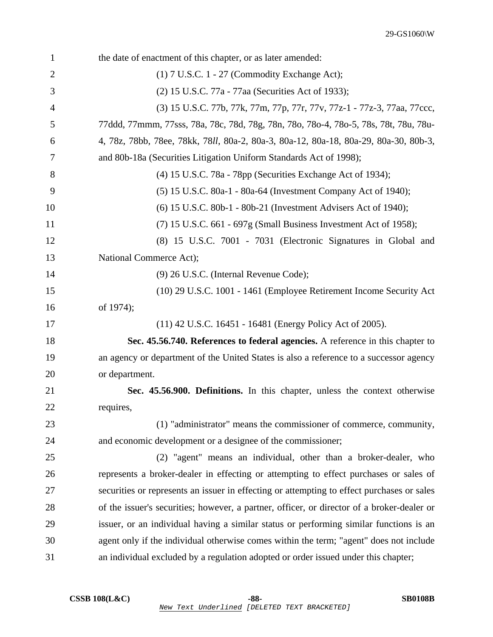| 1              | the date of enactment of this chapter, or as later amended:                                |
|----------------|--------------------------------------------------------------------------------------------|
| $\overline{2}$ | $(1)$ 7 U.S.C. 1 - 27 (Commodity Exchange Act);                                            |
| 3              | (2) 15 U.S.C. 77a - 77aa (Securities Act of 1933);                                         |
| 4              | (3) 15 U.S.C. 77b, 77k, 77m, 77p, 77r, 77v, 77z-1 - 77z-3, 77aa, 77ccc,                    |
| 5              | 77ddd, 77mmm, 77sss, 78a, 78c, 78d, 78g, 78n, 78o, 78o-4, 78o-5, 78s, 78t, 78u, 78u-       |
| 6              | 4, 78z, 78bb, 78ee, 78kk, 78ll, 80a-2, 80a-3, 80a-12, 80a-18, 80a-29, 80a-30, 80b-3,       |
| 7              | and 80b-18a (Securities Litigation Uniform Standards Act of 1998);                         |
| 8              | (4) 15 U.S.C. 78a - 78pp (Securities Exchange Act of 1934);                                |
| 9              | (5) 15 U.S.C. 80a-1 - 80a-64 (Investment Company Act of 1940);                             |
| 10             | (6) 15 U.S.C. 80b-1 - 80b-21 (Investment Advisers Act of 1940);                            |
| 11             | (7) 15 U.S.C. 661 - 697g (Small Business Investment Act of 1958);                          |
| 12             | (8) 15 U.S.C. 7001 - 7031 (Electronic Signatures in Global and                             |
| 13             | National Commerce Act);                                                                    |
| 14             | (9) 26 U.S.C. (Internal Revenue Code);                                                     |
| 15             | (10) 29 U.S.C. 1001 - 1461 (Employee Retirement Income Security Act                        |
| 16             | of 1974);                                                                                  |
| 17             | (11) 42 U.S.C. 16451 - 16481 (Energy Policy Act of 2005).                                  |
| 18             | Sec. 45.56.740. References to federal agencies. A reference in this chapter to             |
| 19             | an agency or department of the United States is also a reference to a successor agency     |
| 20             | or department.                                                                             |
| 21             | Sec. 45.56.900. Definitions. In this chapter, unless the context otherwise                 |
| 22             | requires,                                                                                  |
| 23             | (1) "administrator" means the commissioner of commerce, community,                         |
| 24             | and economic development or a designee of the commissioner;                                |
| 25             | (2) "agent" means an individual, other than a broker-dealer, who                           |
| 26             | represents a broker-dealer in effecting or attempting to effect purchases or sales of      |
| 27             | securities or represents an issuer in effecting or attempting to effect purchases or sales |
| 28             | of the issuer's securities; however, a partner, officer, or director of a broker-dealer or |
| 29             | issuer, or an individual having a similar status or performing similar functions is an     |
| 30             | agent only if the individual otherwise comes within the term; "agent" does not include     |
| 31             | an individual excluded by a regulation adopted or order issued under this chapter;         |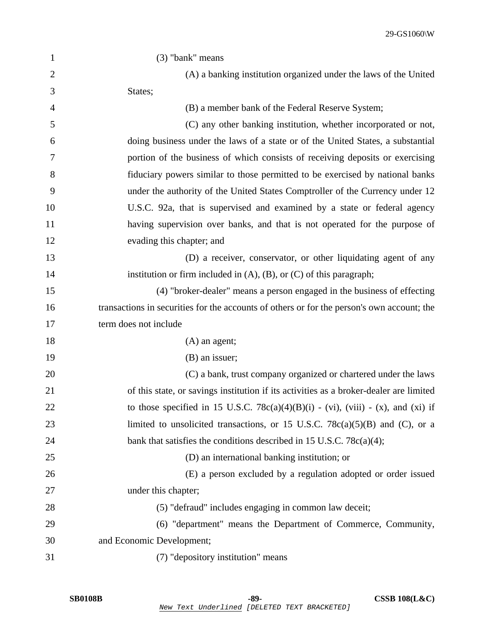| $\mathbf{1}$   | $(3)$ "bank" means                                                                         |
|----------------|--------------------------------------------------------------------------------------------|
| $\overline{2}$ | (A) a banking institution organized under the laws of the United                           |
| 3              | States;                                                                                    |
| 4              | (B) a member bank of the Federal Reserve System;                                           |
| 5              | (C) any other banking institution, whether incorporated or not,                            |
| 6              | doing business under the laws of a state or of the United States, a substantial            |
| 7              | portion of the business of which consists of receiving deposits or exercising              |
| 8              | fiduciary powers similar to those permitted to be exercised by national banks              |
| 9              | under the authority of the United States Comptroller of the Currency under 12              |
| 10             | U.S.C. 92a, that is supervised and examined by a state or federal agency                   |
| 11             | having supervision over banks, and that is not operated for the purpose of                 |
| 12             | evading this chapter; and                                                                  |
| 13             | (D) a receiver, conservator, or other liquidating agent of any                             |
| 14             | institution or firm included in $(A)$ , $(B)$ , or $(C)$ of this paragraph;                |
| 15             | (4) "broker-dealer" means a person engaged in the business of effecting                    |
| 16             | transactions in securities for the accounts of others or for the person's own account; the |
| 17             | term does not include                                                                      |
| 18             | $(A)$ an agent;                                                                            |
| 19             | (B) an issuer;                                                                             |
| 20             | (C) a bank, trust company organized or chartered under the laws                            |
| 21             | of this state, or savings institution if its activities as a broker-dealer are limited     |
| 22             | to those specified in 15 U.S.C. 78 $c(a)(4)(B)(i)$ - (vi), (viii) - (x), and (xi) if       |
| 23             | limited to unsolicited transactions, or 15 U.S.C. $78c(a)(5)(B)$ and (C), or a             |
| 24             | bank that satisfies the conditions described in 15 U.S.C. 78 $c(a)(4)$ ;                   |
| 25             | (D) an international banking institution; or                                               |
| 26             | (E) a person excluded by a regulation adopted or order issued                              |
| 27             | under this chapter;                                                                        |
| 28             | (5) "defraud" includes engaging in common law deceit;                                      |
| 29             | (6) "department" means the Department of Commerce, Community,                              |
| 30             | and Economic Development;                                                                  |
| 31             | (7) "depository institution" means                                                         |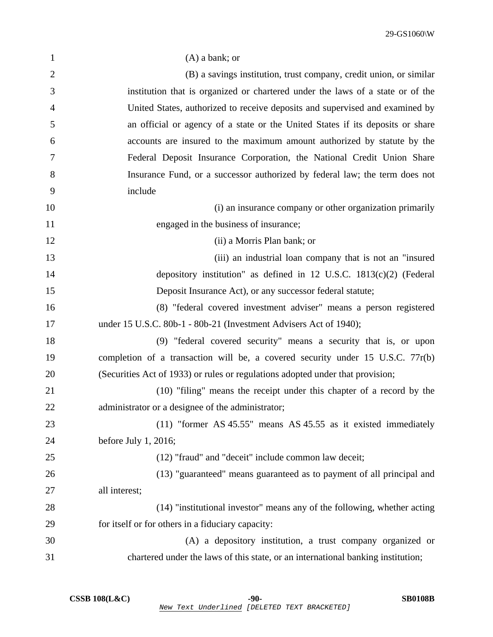| $\mathbf{1}$   | $(A)$ a bank; or                                                                 |
|----------------|----------------------------------------------------------------------------------|
| $\overline{2}$ | (B) a savings institution, trust company, credit union, or similar               |
| 3              | institution that is organized or chartered under the laws of a state or of the   |
| $\overline{4}$ | United States, authorized to receive deposits and supervised and examined by     |
| 5              | an official or agency of a state or the United States if its deposits or share   |
| 6              | accounts are insured to the maximum amount authorized by statute by the          |
| 7              | Federal Deposit Insurance Corporation, the National Credit Union Share           |
| 8              | Insurance Fund, or a successor authorized by federal law; the term does not      |
| 9              | include                                                                          |
| 10             | (i) an insurance company or other organization primarily                         |
| 11             | engaged in the business of insurance;                                            |
| 12             | (ii) a Morris Plan bank; or                                                      |
| 13             | (iii) an industrial loan company that is not an "insured                         |
| 14             | depository institution" as defined in 12 U.S.C. $1813(c)(2)$ (Federal            |
| 15             | Deposit Insurance Act), or any successor federal statute;                        |
| 16             | (8) "federal covered investment adviser" means a person registered               |
| 17             | under 15 U.S.C. 80b-1 - 80b-21 (Investment Advisers Act of 1940);                |
| 18             | (9) "federal covered security" means a security that is, or upon                 |
| 19             | completion of a transaction will be, a covered security under 15 U.S.C. $77r(b)$ |
| 20             | (Securities Act of 1933) or rules or regulations adopted under that provision;   |
| 21             | (10) "filing" means the receipt under this chapter of a record by the            |
| 22             | administrator or a designee of the administrator;                                |
| 23             | $(11)$ "former AS 45.55" means AS 45.55 as it existed immediately                |
| 24             | before July 1, 2016;                                                             |
| $25\,$         | (12) "fraud" and "deceit" include common law deceit;                             |
| 26             | (13) "guaranteed" means guaranteed as to payment of all principal and            |
| $27\,$         | all interest;                                                                    |
| 28             | (14) "institutional investor" means any of the following, whether acting         |
| 29             | for itself or for others in a fiduciary capacity:                                |
| 30             | (A) a depository institution, a trust company organized or                       |
| 31             | chartered under the laws of this state, or an international banking institution; |
|                |                                                                                  |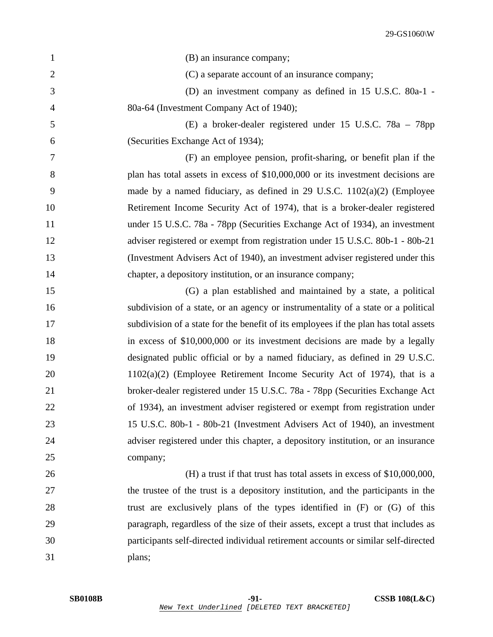| $\mathbf{1}$   | (B) an insurance company;                                                            |
|----------------|--------------------------------------------------------------------------------------|
| $\overline{2}$ | (C) a separate account of an insurance company;                                      |
| 3              | (D) an investment company as defined in 15 U.S.C. 80a-1 -                            |
| $\overline{4}$ | 80a-64 (Investment Company Act of 1940);                                             |
| 5              | (E) a broker-dealer registered under 15 U.S.C. 78a – 78pp                            |
| 6              | (Securities Exchange Act of 1934);                                                   |
| 7              | (F) an employee pension, profit-sharing, or benefit plan if the                      |
| 8              | plan has total assets in excess of \$10,000,000 or its investment decisions are      |
| 9              | made by a named fiduciary, as defined in 29 U.S.C. $1102(a)(2)$ (Employee            |
| 10             | Retirement Income Security Act of 1974), that is a broker-dealer registered          |
| 11             | under 15 U.S.C. 78a - 78pp (Securities Exchange Act of 1934), an investment          |
| 12             | adviser registered or exempt from registration under 15 U.S.C. 80b-1 - 80b-21        |
| 13             | (Investment Advisers Act of 1940), an investment adviser registered under this       |
| 14             | chapter, a depository institution, or an insurance company;                          |
| 15             | (G) a plan established and maintained by a state, a political                        |
| 16             | subdivision of a state, or an agency or instrumentality of a state or a political    |
| 17             | subdivision of a state for the benefit of its employees if the plan has total assets |
| 18             | in excess of \$10,000,000 or its investment decisions are made by a legally          |
| 19             | designated public official or by a named fiduciary, as defined in 29 U.S.C.          |
| 20             | $1102(a)(2)$ (Employee Retirement Income Security Act of 1974), that is a            |
| 21             | broker-dealer registered under 15 U.S.C. 78a - 78pp (Securities Exchange Act         |
| 22             | of 1934), an investment adviser registered or exempt from registration under         |
| 23             | 15 U.S.C. 80b-1 - 80b-21 (Investment Advisers Act of 1940), an investment            |
| 24             | adviser registered under this chapter, a depository institution, or an insurance     |
| 25             | company;                                                                             |
| 26             | (H) a trust if that trust has total assets in excess of $$10,000,000$ ,              |
| 27             | the trustee of the trust is a depository institution, and the participants in the    |
| 28             | trust are exclusively plans of the types identified in $(F)$ or $(G)$ of this        |
| 29             | paragraph, regardless of the size of their assets, except a trust that includes as   |
| 30             | participants self-directed individual retirement accounts or similar self-directed   |
| 31             | plans;                                                                               |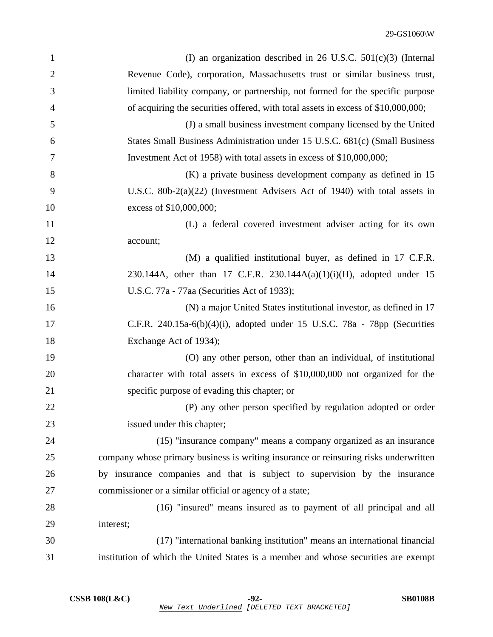| $\mathbf{1}$   | (I) an organization described in 26 U.S.C. $501(c)(3)$ (Internal                     |
|----------------|--------------------------------------------------------------------------------------|
| $\overline{2}$ | Revenue Code), corporation, Massachusetts trust or similar business trust,           |
| 3              | limited liability company, or partnership, not formed for the specific purpose       |
| $\overline{4}$ | of acquiring the securities offered, with total assets in excess of \$10,000,000;    |
| 5              | (J) a small business investment company licensed by the United                       |
| 6              | States Small Business Administration under 15 U.S.C. 681(c) (Small Business          |
| 7              | Investment Act of 1958) with total assets in excess of \$10,000,000;                 |
| 8              | (K) a private business development company as defined in 15                          |
| 9              | U.S.C. 80b-2( $a)(22)$ ) (Investment Advisers Act of 1940) with total assets in      |
| 10             | excess of \$10,000,000;                                                              |
| 11             | (L) a federal covered investment adviser acting for its own                          |
| 12             | account;                                                                             |
| 13             | (M) a qualified institutional buyer, as defined in 17 C.F.R.                         |
| 14             | 230.144A, other than 17 C.F.R. 230.144A(a)(1)(i)(H), adopted under 15                |
| 15             | U.S.C. 77a - 77aa (Securities Act of 1933);                                          |
| 16             | (N) a major United States institutional investor, as defined in 17                   |
| 17             | C.F.R. 240.15a-6(b)(4)(i), adopted under 15 U.S.C. 78a - 78pp (Securities            |
| 18             | Exchange Act of 1934);                                                               |
| 19             | (O) any other person, other than an individual, of institutional                     |
| 20             | character with total assets in excess of \$10,000,000 not organized for the          |
| 21             | specific purpose of evading this chapter; or                                         |
| 22             | (P) any other person specified by regulation adopted or order                        |
| 23             | issued under this chapter;                                                           |
| 24             | (15) "insurance company" means a company organized as an insurance                   |
| 25             | company whose primary business is writing insurance or reinsuring risks underwritten |
| 26             | by insurance companies and that is subject to supervision by the insurance           |
| 27             | commissioner or a similar official or agency of a state;                             |
| 28             | (16) "insured" means insured as to payment of all principal and all                  |
| 29             | interest;                                                                            |
| 30             | (17) "international banking institution" means an international financial            |
| 31             | institution of which the United States is a member and whose securities are exempt   |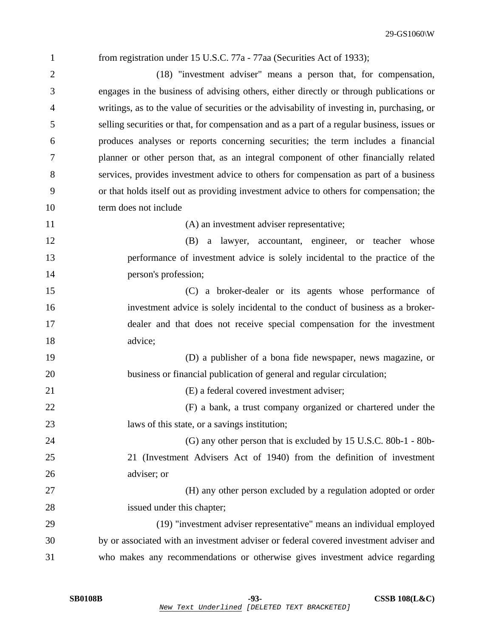| 1              | from registration under 15 U.S.C. 77a - 77aa (Securities Act of 1933);                      |
|----------------|---------------------------------------------------------------------------------------------|
| $\overline{2}$ | (18) "investment adviser" means a person that, for compensation,                            |
| 3              | engages in the business of advising others, either directly or through publications or      |
| $\overline{4}$ | writings, as to the value of securities or the advisability of investing in, purchasing, or |
| 5              | selling securities or that, for compensation and as a part of a regular business, issues or |
| 6              | produces analyses or reports concerning securities; the term includes a financial           |
| $\tau$         | planner or other person that, as an integral component of other financially related         |
| 8              | services, provides investment advice to others for compensation as part of a business       |
| 9              | or that holds itself out as providing investment advice to others for compensation; the     |
| 10             | term does not include                                                                       |
| 11             | (A) an investment adviser representative;                                                   |
| 12             | a lawyer, accountant, engineer, or teacher whose<br>(B)                                     |
| 13             | performance of investment advice is solely incidental to the practice of the                |
| 14             | person's profession;                                                                        |
| 15             | (C) a broker-dealer or its agents whose performance of                                      |
| 16             | investment advice is solely incidental to the conduct of business as a broker-              |
| 17             | dealer and that does not receive special compensation for the investment                    |
| 18             | advice;                                                                                     |
| 19             | (D) a publisher of a bona fide newspaper, news magazine, or                                 |
| 20             | business or financial publication of general and regular circulation;                       |
| 21             | (E) a federal covered investment adviser;                                                   |
| 22             | (F) a bank, a trust company organized or chartered under the                                |
| 23             | laws of this state, or a savings institution;                                               |
| 24             | (G) any other person that is excluded by 15 U.S.C. 80b-1 - 80b-                             |
| 25             | 21 (Investment Advisers Act of 1940) from the definition of investment                      |
| 26             | adviser; or                                                                                 |
| 27             | (H) any other person excluded by a regulation adopted or order                              |
| 28             | issued under this chapter;                                                                  |
| 29             | (19) "investment adviser representative" means an individual employed                       |
| 30             | by or associated with an investment adviser or federal covered investment adviser and       |
| 31             | who makes any recommendations or otherwise gives investment advice regarding                |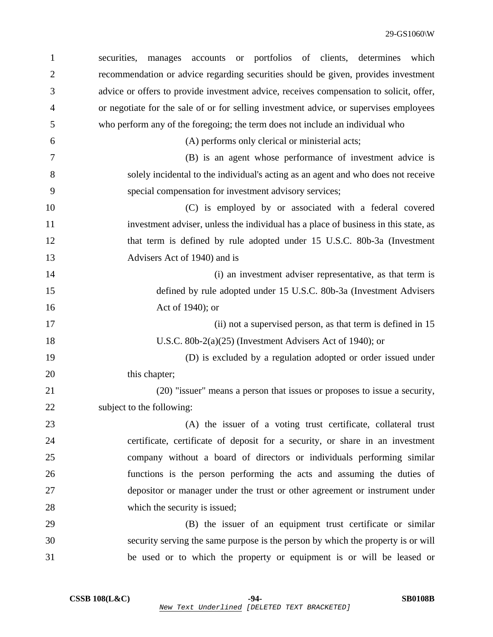| $\mathbf{1}$   | or portfolios of clients,<br>determines<br>which<br>securities,<br>accounts<br>manages  |
|----------------|-----------------------------------------------------------------------------------------|
| $\overline{2}$ | recommendation or advice regarding securities should be given, provides investment      |
| 3              | advice or offers to provide investment advice, receives compensation to solicit, offer, |
| 4              | or negotiate for the sale of or for selling investment advice, or supervises employees  |
| 5              | who perform any of the foregoing; the term does not include an individual who           |
| 6              | (A) performs only clerical or ministerial acts;                                         |
| 7              | (B) is an agent whose performance of investment advice is                               |
| 8              | solely incidental to the individual's acting as an agent and who does not receive       |
| 9              | special compensation for investment advisory services;                                  |
| 10             | (C) is employed by or associated with a federal covered                                 |
| 11             | investment adviser, unless the individual has a place of business in this state, as     |
| 12             | that term is defined by rule adopted under 15 U.S.C. 80b-3a (Investment                 |
| 13             | Advisers Act of 1940) and is                                                            |
| 14             | (i) an investment adviser representative, as that term is                               |
| 15             | defined by rule adopted under 15 U.S.C. 80b-3a (Investment Advisers                     |
| 16             | Act of 1940); or                                                                        |
| 17             | (ii) not a supervised person, as that term is defined in 15                             |
| 18             | U.S.C. 80b-2(a) $(25)$ (Investment Advisers Act of 1940); or                            |
| 19             | (D) is excluded by a regulation adopted or order issued under                           |
| 20             | this chapter;                                                                           |
| 21             | (20) "issuer" means a person that issues or proposes to issue a security,               |
| 22             | subject to the following:                                                               |
| 23             | (A) the issuer of a voting trust certificate, collateral trust                          |
| 24             | certificate, certificate of deposit for a security, or share in an investment           |
| 25             | company without a board of directors or individuals performing similar                  |
| 26             | functions is the person performing the acts and assuming the duties of                  |
| 27             | depositor or manager under the trust or other agreement or instrument under             |
| 28             | which the security is issued;                                                           |
| 29             | (B) the issuer of an equipment trust certificate or similar                             |
| 30             | security serving the same purpose is the person by which the property is or will        |
| 31             | be used or to which the property or equipment is or will be leased or                   |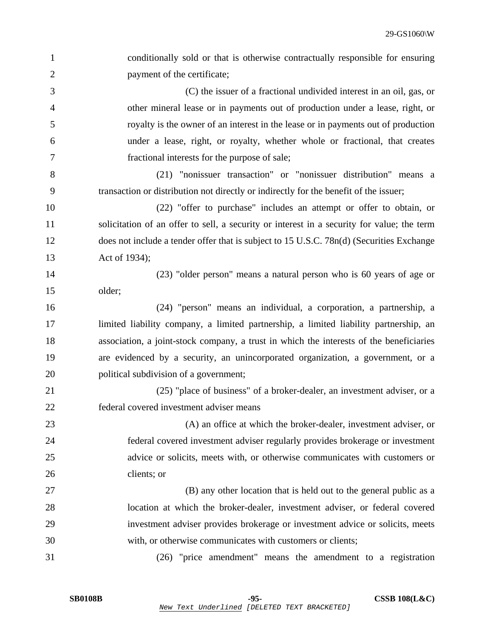| 1              | conditionally sold or that is otherwise contractually responsible for ensuring             |
|----------------|--------------------------------------------------------------------------------------------|
| $\overline{2}$ | payment of the certificate;                                                                |
| 3              | (C) the issuer of a fractional undivided interest in an oil, gas, or                       |
| $\overline{4}$ | other mineral lease or in payments out of production under a lease, right, or              |
| 5              | royalty is the owner of an interest in the lease or in payments out of production          |
| 6              | under a lease, right, or royalty, whether whole or fractional, that creates                |
| 7              | fractional interests for the purpose of sale;                                              |
| 8              | (21) "nonissuer transaction" or "nonissuer distribution" means a                           |
| 9              | transaction or distribution not directly or indirectly for the benefit of the issuer;      |
| 10             | (22) "offer to purchase" includes an attempt or offer to obtain, or                        |
| 11             | solicitation of an offer to sell, a security or interest in a security for value; the term |
| 12             | does not include a tender offer that is subject to 15 U.S.C. 78n(d) (Securities Exchange   |
| 13             | Act of 1934);                                                                              |
| 14             | (23) "older person" means a natural person who is 60 years of age or                       |
| 15             | older;                                                                                     |
| 16             | (24) "person" means an individual, a corporation, a partnership, a                         |
| 17             | limited liability company, a limited partnership, a limited liability partnership, an      |
| 18             | association, a joint-stock company, a trust in which the interests of the beneficiaries    |
| 19             | are evidenced by a security, an unincorporated organization, a government, or a            |
| 20             | political subdivision of a government;                                                     |
| 21             | (25) "place of business" of a broker-dealer, an investment adviser, or a                   |
| 22             | federal covered investment adviser means                                                   |
| 23             | (A) an office at which the broker-dealer, investment adviser, or                           |
| 24             | federal covered investment adviser regularly provides brokerage or investment              |
| 25             | advice or solicits, meets with, or otherwise communicates with customers or                |
| 26             | clients; or                                                                                |
| 27             | (B) any other location that is held out to the general public as a                         |
| 28             | location at which the broker-dealer, investment adviser, or federal covered                |
| 29             | investment adviser provides brokerage or investment advice or solicits, meets              |
| 30             | with, or otherwise communicates with customers or clients;                                 |
| 31             | (26) "price amendment" means the amendment to a registration                               |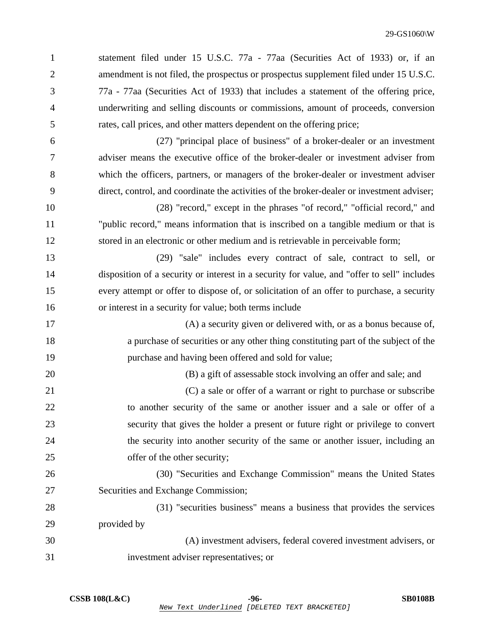1 statement filed under 15 U.S.C. 77a - 77aa (Securities Act of 1933) or, if an 2 amendment is not filed, the prospectus or prospectus supplement filed under 15 U.S.C. 3 77a - 77aa (Securities Act of 1933) that includes a statement of the offering price, 4 underwriting and selling discounts or commissions, amount of proceeds, conversion 5 rates, call prices, and other matters dependent on the offering price;

6 (27) "principal place of business" of a broker-dealer or an investment 7 adviser means the executive office of the broker-dealer or investment adviser from 8 which the officers, partners, or managers of the broker-dealer or investment adviser 9 direct, control, and coordinate the activities of the broker-dealer or investment adviser;

10 (28) "record," except in the phrases "of record," "official record," and 11 "public record," means information that is inscribed on a tangible medium or that is 12 stored in an electronic or other medium and is retrievable in perceivable form;

13 (29) "sale" includes every contract of sale, contract to sell, or 14 disposition of a security or interest in a security for value, and "offer to sell" includes 15 every attempt or offer to dispose of, or solicitation of an offer to purchase, a security 16 or interest in a security for value; both terms include

17 (A) a security given or delivered with, or as a bonus because of, 18 a purchase of securities or any other thing constituting part of the subject of the 19 purchase and having been offered and sold for value;

20 (B) a gift of assessable stock involving an offer and sale; and

21 (C) a sale or offer of a warrant or right to purchase or subscribe 22 to another security of the same or another issuer and a sale or offer of a 23 security that gives the holder a present or future right or privilege to convert 24 the security into another security of the same or another issuer, including an 25 offer of the other security;

26 (30) "Securities and Exchange Commission" means the United States 27 Securities and Exchange Commission;

28 (31) "securities business" means a business that provides the services 29 provided by

30 (A) investment advisers, federal covered investment advisers, or 31 investment adviser representatives; or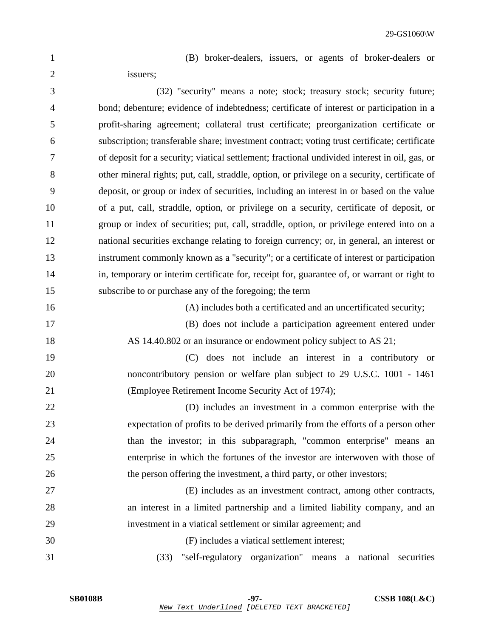1 (B) broker-dealers, issuers, or agents of broker-dealers or 2 issuers;

3 (32) "security" means a note; stock; treasury stock; security future; 4 bond; debenture; evidence of indebtedness; certificate of interest or participation in a 5 profit-sharing agreement; collateral trust certificate; preorganization certificate or 6 subscription; transferable share; investment contract; voting trust certificate; certificate 7 of deposit for a security; viatical settlement; fractional undivided interest in oil, gas, or 8 other mineral rights; put, call, straddle, option, or privilege on a security, certificate of 9 deposit, or group or index of securities, including an interest in or based on the value 10 of a put, call, straddle, option, or privilege on a security, certificate of deposit, or 11 group or index of securities; put, call, straddle, option, or privilege entered into on a 12 national securities exchange relating to foreign currency; or, in general, an interest or 13 instrument commonly known as a "security"; or a certificate of interest or participation 14 in, temporary or interim certificate for, receipt for, guarantee of, or warrant or right to 15 subscribe to or purchase any of the foregoing; the term 16 (A) includes both a certificated and an uncertificated security; 17 (B) does not include a participation agreement entered under 18 AS 14.40.802 or an insurance or endowment policy subject to AS 21; 19 (C) does not include an interest in a contributory or 20 noncontributory pension or welfare plan subject to 29 U.S.C. 1001 - 1461 21 (Employee Retirement Income Security Act of 1974); 22 (D) includes an investment in a common enterprise with the 23 expectation of profits to be derived primarily from the efforts of a person other 24 than the investor; in this subparagraph, "common enterprise" means an

25 enterprise in which the fortunes of the investor are interwoven with those of 26 the person offering the investment, a third party, or other investors; 27 (E) includes as an investment contract, among other contracts,

28 an interest in a limited partnership and a limited liability company, and an 29 investment in a viatical settlement or similar agreement; and

30 (F) includes a viatical settlement interest;

31 (33) "self-regulatory organization" means a national securities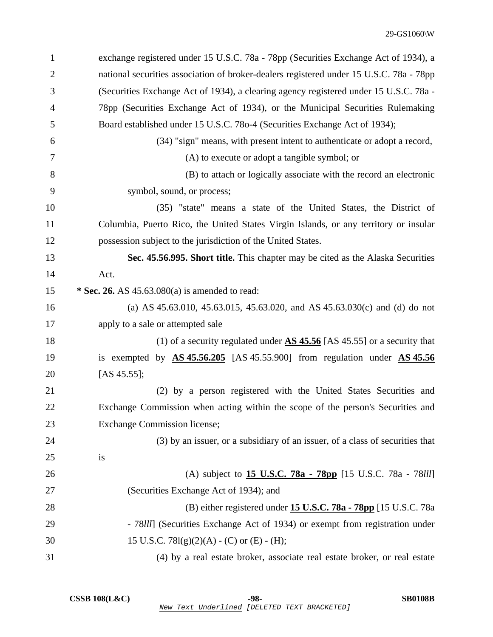| $\mathbf{1}$   | exchange registered under 15 U.S.C. 78a - 78pp (Securities Exchange Act of 1934), a                   |
|----------------|-------------------------------------------------------------------------------------------------------|
| $\overline{2}$ | national securities association of broker-dealers registered under 15 U.S.C. 78a - 78pp               |
| 3              | (Securities Exchange Act of 1934), a clearing agency registered under 15 U.S.C. 78a -                 |
| $\overline{4}$ | 78pp (Securities Exchange Act of 1934), or the Municipal Securities Rulemaking                        |
| 5              | Board established under 15 U.S.C. 78o-4 (Securities Exchange Act of 1934);                            |
| 6              | (34) "sign" means, with present intent to authenticate or adopt a record,                             |
| $\overline{7}$ | (A) to execute or adopt a tangible symbol; or                                                         |
| 8              | (B) to attach or logically associate with the record an electronic                                    |
| 9              | symbol, sound, or process;                                                                            |
| 10             | (35) "state" means a state of the United States, the District of                                      |
| 11             | Columbia, Puerto Rico, the United States Virgin Islands, or any territory or insular                  |
| 12             | possession subject to the jurisdiction of the United States.                                          |
| 13             | Sec. 45.56.995. Short title. This chapter may be cited as the Alaska Securities                       |
| 14             | Act.                                                                                                  |
| 15             | * Sec. 26. AS $45.63.080(a)$ is amended to read:                                                      |
| 16             | (a) AS 45.63.010, 45.63.015, 45.63.020, and AS 45.63.030(c) and (d) do not                            |
| 17             | apply to a sale or attempted sale                                                                     |
| 18             | (1) of a security regulated under $\Delta S$ 45.56 [AS 45.55] or a security that                      |
| 19             | is exempted by $\overline{AS}\,45.56.205$ [AS 45.55.900] from regulation under $\overline{AS}\,45.56$ |
| 20             | [AS $45.55$ ];                                                                                        |
| 21             | (2) by a person registered with the United States Securities and                                      |
| 22             | Exchange Commission when acting within the scope of the person's Securities and                       |
| 23             | <b>Exchange Commission license;</b>                                                                   |
| 24             | (3) by an issuer, or a subsidiary of an issuer, of a class of securities that                         |
| 25             | is                                                                                                    |
| 26             | (A) subject to <b>15 U.S.C. 78a - 78pp</b> [15 U.S.C. 78a - 78lll]                                    |
| 27             | (Securities Exchange Act of 1934); and                                                                |
| 28             | (B) either registered under 15 U.S.C. 78a - 78pp [15 U.S.C. 78a                                       |
| 29             | - 78III] (Securities Exchange Act of 1934) or exempt from registration under                          |
| 30             | 15 U.S.C. 78l(g)(2)(A) - (C) or (E) - (H);                                                            |
| 31             | (4) by a real estate broker, associate real estate broker, or real estate                             |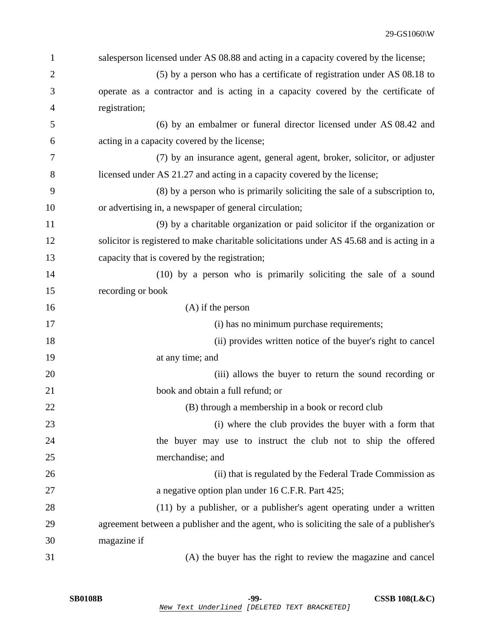| $\mathbf{1}$ | salesperson licensed under AS 08.88 and acting in a capacity covered by the license;       |
|--------------|--------------------------------------------------------------------------------------------|
| $\mathbf{2}$ | (5) by a person who has a certificate of registration under AS 08.18 to                    |
| 3            | operate as a contractor and is acting in a capacity covered by the certificate of          |
| 4            | registration;                                                                              |
| 5            | (6) by an embalmer or funeral director licensed under AS 08.42 and                         |
| 6            | acting in a capacity covered by the license;                                               |
| 7            | (7) by an insurance agent, general agent, broker, solicitor, or adjuster                   |
| 8            | licensed under AS 21.27 and acting in a capacity covered by the license;                   |
| 9            | (8) by a person who is primarily soliciting the sale of a subscription to,                 |
| 10           | or advertising in, a newspaper of general circulation;                                     |
| 11           | (9) by a charitable organization or paid solicitor if the organization or                  |
| 12           | solicitor is registered to make charitable solicitations under AS 45.68 and is acting in a |
| 13           | capacity that is covered by the registration;                                              |
| 14           | (10) by a person who is primarily soliciting the sale of a sound                           |
| 15           | recording or book                                                                          |
| 16           | $(A)$ if the person                                                                        |
| 17           | (i) has no minimum purchase requirements;                                                  |
| 18           | (ii) provides written notice of the buyer's right to cancel                                |
| 19           | at any time; and                                                                           |
| 20           | (iii) allows the buyer to return the sound recording or                                    |
| 21           | book and obtain a full refund; or                                                          |
| 22           | (B) through a membership in a book or record club                                          |
| 23           | (i) where the club provides the buyer with a form that                                     |
| 24           | the buyer may use to instruct the club not to ship the offered                             |
| 25           | merchandise; and                                                                           |
| 26           | (ii) that is regulated by the Federal Trade Commission as                                  |
| 27           | a negative option plan under 16 C.F.R. Part 425;                                           |
| 28           | (11) by a publisher, or a publisher's agent operating under a written                      |
| 29           | agreement between a publisher and the agent, who is soliciting the sale of a publisher's   |
| 30           | magazine if                                                                                |
| 31           | (A) the buyer has the right to review the magazine and cancel                              |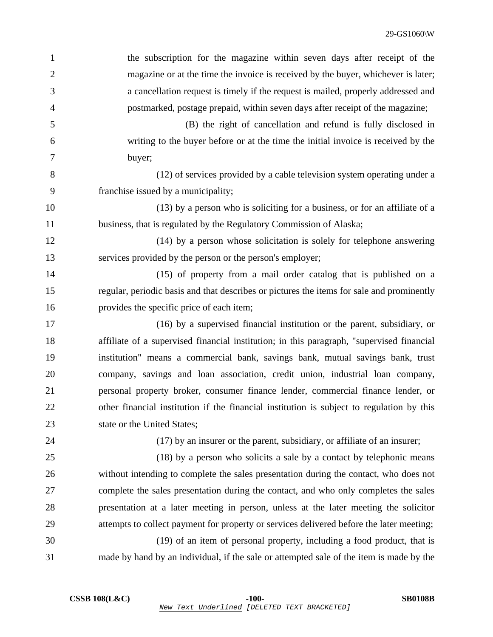| $\mathbf{1}$   | the subscription for the magazine within seven days after receipt of the                  |
|----------------|-------------------------------------------------------------------------------------------|
| $\overline{2}$ | magazine or at the time the invoice is received by the buyer, whichever is later;         |
| 3              | a cancellation request is timely if the request is mailed, properly addressed and         |
| $\overline{4}$ | postmarked, postage prepaid, within seven days after receipt of the magazine;             |
| 5              | (B) the right of cancellation and refund is fully disclosed in                            |
| 6              | writing to the buyer before or at the time the initial invoice is received by the         |
| 7              | buyer;                                                                                    |
| 8              | (12) of services provided by a cable television system operating under a                  |
| 9              | franchise issued by a municipality;                                                       |
| 10             | (13) by a person who is soliciting for a business, or for an affiliate of a               |
| 11             | business, that is regulated by the Regulatory Commission of Alaska;                       |
| 12             | (14) by a person whose solicitation is solely for telephone answering                     |
| 13             | services provided by the person or the person's employer;                                 |
| 14             | (15) of property from a mail order catalog that is published on a                         |
| 15             | regular, periodic basis and that describes or pictures the items for sale and prominently |
| 16             | provides the specific price of each item;                                                 |
| 17             | (16) by a supervised financial institution or the parent, subsidiary, or                  |
| 18             | affiliate of a supervised financial institution; in this paragraph, "supervised financial |
| 19             | institution" means a commercial bank, savings bank, mutual savings bank, trust            |
| 20             | company, savings and loan association, credit union, industrial loan company,             |
| 21             | personal property broker, consumer finance lender, commercial finance lender, or          |
| 22             | other financial institution if the financial institution is subject to regulation by this |
| 23             | state or the United States;                                                               |
| 24             | (17) by an insurer or the parent, subsidiary, or affiliate of an insurer;                 |
| 25             | (18) by a person who solicits a sale by a contact by telephonic means                     |
| 26             | without intending to complete the sales presentation during the contact, who does not     |
| 27             | complete the sales presentation during the contact, and who only completes the sales      |
| 28             | presentation at a later meeting in person, unless at the later meeting the solicitor      |
| 29             | attempts to collect payment for property or services delivered before the later meeting;  |
| 30             | (19) of an item of personal property, including a food product, that is                   |
| 31             | made by hand by an individual, if the sale or attempted sale of the item is made by the   |
|                |                                                                                           |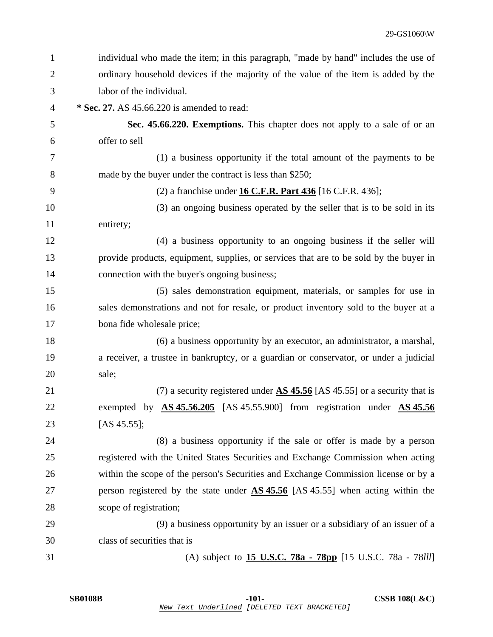1 individual who made the item; in this paragraph, "made by hand" includes the use of 2 ordinary household devices if the majority of the value of the item is added by the 3 labor of the individual. 4 **\* Sec. 27.** AS 45.66.220 is amended to read: 5 **Sec. 45.66.220. Exemptions.** This chapter does not apply to a sale of or an 6 offer to sell 7 (1) a business opportunity if the total amount of the payments to be 8 made by the buyer under the contract is less than \$250; 9 (2) a franchise under **16 C.F.R. Part 436** [16 C.F.R. 436]; 10 (3) an ongoing business operated by the seller that is to be sold in its 11 entirety; 12 (4) a business opportunity to an ongoing business if the seller will 13 provide products, equipment, supplies, or services that are to be sold by the buyer in 14 connection with the buyer's ongoing business; 15 (5) sales demonstration equipment, materials, or samples for use in 16 sales demonstrations and not for resale, or product inventory sold to the buyer at a 17 bona fide wholesale price; 18 (6) a business opportunity by an executor, an administrator, a marshal, 19 a receiver, a trustee in bankruptcy, or a guardian or conservator, or under a judicial 20 sale; 21 (7) a security registered under **AS 45.56** [AS 45.55] or a security that is 22 exempted by **AS 45.56.205** [AS 45.55.900] from registration under **AS 45.56** 23 [AS 45.55]; 24 (8) a business opportunity if the sale or offer is made by a person 25 registered with the United States Securities and Exchange Commission when acting 26 within the scope of the person's Securities and Exchange Commission license or by a 27 person registered by the state under **AS 45.56** [AS 45.55] when acting within the 28 scope of registration; 29 (9) a business opportunity by an issuer or a subsidiary of an issuer of a 30 class of securities that is 31 (A) subject to **15 U.S.C. 78a - 78pp** [15 U.S.C. 78a - 78*lll*]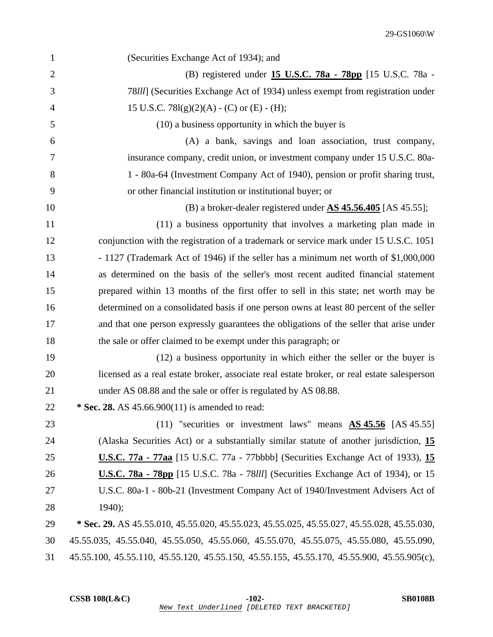| $\mathbf{1}$   | (Securities Exchange Act of 1934); and                                                             |
|----------------|----------------------------------------------------------------------------------------------------|
| $\overline{2}$ | (B) registered under 15 U.S.C. 78a - 78pp [15 U.S.C. 78a -                                         |
| 3              | 78 <i>III</i> ] (Securities Exchange Act of 1934) unless exempt from registration under            |
| $\overline{4}$ | 15 U.S.C. 78l(g)(2)(A) - (C) or (E) - (H);                                                         |
| 5              | $(10)$ a business opportunity in which the buyer is                                                |
| 6              | (A) a bank, savings and loan association, trust company,                                           |
| 7              | insurance company, credit union, or investment company under 15 U.S.C. 80a-                        |
| 8              | 1 - 80a-64 (Investment Company Act of 1940), pension or profit sharing trust,                      |
| 9              | or other financial institution or institutional buyer; or                                          |
| 10             | (B) a broker-dealer registered under $\Delta S$ 45.56.405 [AS 45.55];                              |
| 11             | (11) a business opportunity that involves a marketing plan made in                                 |
| 12             | conjunction with the registration of a trademark or service mark under 15 U.S.C. 1051              |
| 13             | - 1127 (Trademark Act of 1946) if the seller has a minimum net worth of \$1,000,000                |
| 14             | as determined on the basis of the seller's most recent audited financial statement                 |
| 15             | prepared within 13 months of the first offer to sell in this state; net worth may be               |
| 16             | determined on a consolidated basis if one person owns at least 80 percent of the seller            |
| 17             | and that one person expressly guarantees the obligations of the seller that arise under            |
| 18             | the sale or offer claimed to be exempt under this paragraph; or                                    |
| 19             | (12) a business opportunity in which either the seller or the buyer is                             |
| 20             | licensed as a real estate broker, associate real estate broker, or real estate salesperson         |
| 21             | under AS 08.88 and the sale or offer is regulated by AS 08.88.                                     |
| 22             | <b>* Sec. 28.</b> AS $45.66.900(11)$ is amended to read:                                           |
| 23             | $(11)$ "securities or investment laws" means AS 45.56 [AS 45.55]                                   |
| 24             | (Alaska Securities Act) or a substantially similar statute of another jurisdiction, 15             |
| 25             | <b>U.S.C. 77a - 77aa</b> [15 U.S.C. 77a - 77bbbb] (Securities Exchange Act of 1933), 15            |
| 26             | <b>U.S.C. 78a - 78pp</b> [15 U.S.C. 78a - 78 <i>lll</i> ] (Securities Exchange Act of 1934), or 15 |
| 27             | U.S.C. 80a-1 - 80b-21 (Investment Company Act of 1940/Investment Advisers Act of                   |
| 28             | $1940$ ;                                                                                           |
| 29             | <b>* Sec. 29.</b> AS 45.55.010, 45.55.020, 45.55.023, 45.55.025, 45.55.027, 45.55.028, 45.55.030,  |
| 30             | 45.55.035, 45.55.040, 45.55.050, 45.55.060, 45.55.070, 45.55.075, 45.55.080, 45.55.090,            |
| 31             | 45.55.100, 45.55.110, 45.55.120, 45.55.150, 45.55.155, 45.55.170, 45.55.900, 45.55.905(c),         |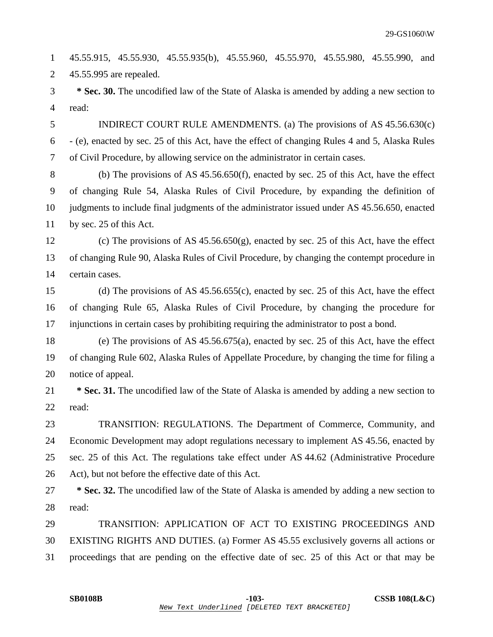1 45.55.915, 45.55.930, 45.55.935(b), 45.55.960, 45.55.970, 45.55.980, 45.55.990, and 2 45.55.995 are repealed.

3 **\* Sec. 30.** The uncodified law of the State of Alaska is amended by adding a new section to 4 read:

5 INDIRECT COURT RULE AMENDMENTS. (a) The provisions of AS 45.56.630(c) 6 - (e), enacted by sec. 25 of this Act, have the effect of changing Rules 4 and 5, Alaska Rules 7 of Civil Procedure, by allowing service on the administrator in certain cases.

8 (b) The provisions of AS 45.56.650(f), enacted by sec. 25 of this Act, have the effect 9 of changing Rule 54, Alaska Rules of Civil Procedure, by expanding the definition of 10 judgments to include final judgments of the administrator issued under AS 45.56.650, enacted 11 by sec. 25 of this Act.

12 (c) The provisions of AS  $45.56.650(g)$ , enacted by sec. 25 of this Act, have the effect 13 of changing Rule 90, Alaska Rules of Civil Procedure, by changing the contempt procedure in 14 certain cases.

15 (d) The provisions of AS 45.56.655(c), enacted by sec. 25 of this Act, have the effect 16 of changing Rule 65, Alaska Rules of Civil Procedure, by changing the procedure for 17 injunctions in certain cases by prohibiting requiring the administrator to post a bond.

18 (e) The provisions of AS 45.56.675(a), enacted by sec. 25 of this Act, have the effect 19 of changing Rule 602, Alaska Rules of Appellate Procedure, by changing the time for filing a 20 notice of appeal.

21 **\* Sec. 31.** The uncodified law of the State of Alaska is amended by adding a new section to 22 read:

23 TRANSITION: REGULATIONS. The Department of Commerce, Community, and 24 Economic Development may adopt regulations necessary to implement AS 45.56, enacted by 25 sec. 25 of this Act. The regulations take effect under AS 44.62 (Administrative Procedure 26 Act), but not before the effective date of this Act.

27 **\* Sec. 32.** The uncodified law of the State of Alaska is amended by adding a new section to 28 read:

29 TRANSITION: APPLICATION OF ACT TO EXISTING PROCEEDINGS AND 30 EXISTING RIGHTS AND DUTIES. (a) Former AS 45.55 exclusively governs all actions or 31 proceedings that are pending on the effective date of sec. 25 of this Act or that may be